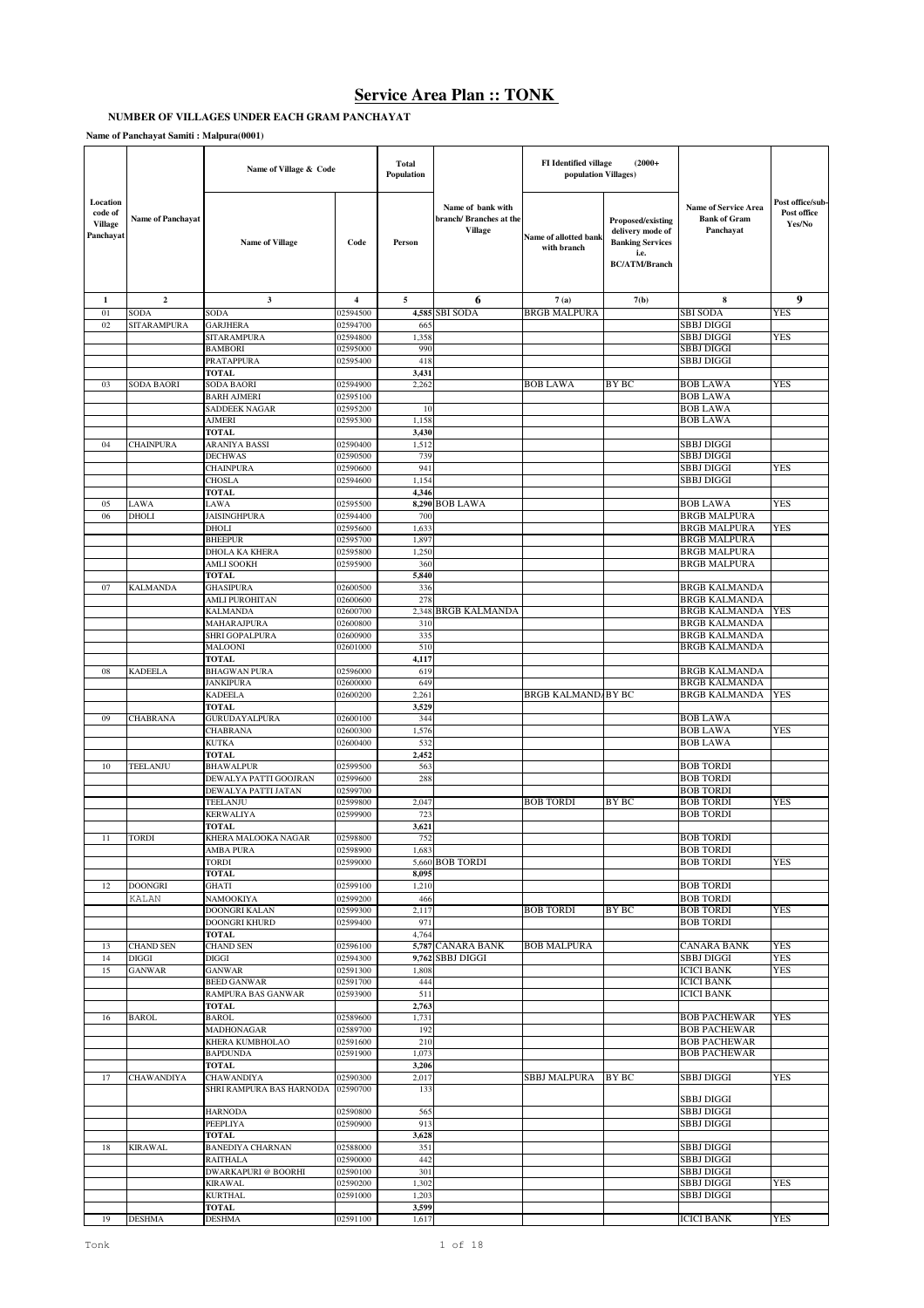# **NUMBER OF VILLAGES UNDER EACH GRAM PANCHAYAT**

**Name of Panchayat Samiti : Malpura(0001)**

|                                                    |                          | Name of Village & Code                       |                      | Total<br><b>Population</b> |                                                                | FI Identified village<br>population Villages) | $(2000+$                                                                                         |                                                                 |                                           |
|----------------------------------------------------|--------------------------|----------------------------------------------|----------------------|----------------------------|----------------------------------------------------------------|-----------------------------------------------|--------------------------------------------------------------------------------------------------|-----------------------------------------------------------------|-------------------------------------------|
| Location<br>code of<br><b>Village</b><br>Panchavat | <b>Name of Panchayat</b> | <b>Name of Village</b>                       | Code                 | Person                     | Name of bank with<br>branch/ Branches at the<br><b>Village</b> | Name of allotted bank<br>with branch          | Proposed/existing<br>delivery mode of<br><b>Banking Services</b><br>i.e.<br><b>BC/ATM/Branch</b> | <b>Name of Service Area</b><br><b>Bank of Gram</b><br>Panchayat | Post office/sub-<br>Post office<br>Yes/No |
| 1                                                  | $\overline{2}$           | 3                                            | $\overline{4}$       | 5                          | 6                                                              | 7(a)                                          | 7(b)                                                                                             | 8                                                               | 9                                         |
| 01                                                 | SODA                     | SODA                                         | 02594500             | 4,585                      | <b>SBI SODA</b>                                                | <b>BRGB MALPURA</b>                           |                                                                                                  | <b>SBI SODA</b>                                                 | YES                                       |
| 02                                                 | <b>SITARAMPURA</b>       | <b>GARJHERA</b>                              | 02594700             | 665                        |                                                                |                                               |                                                                                                  | SBBJ DIGGI                                                      |                                           |
|                                                    |                          | SITARAMPURA<br><b>BAMBORI</b>                | 02594800<br>02595000 | 1,358<br>990               |                                                                |                                               |                                                                                                  | <b>SBBJ DIGGI</b><br>SBBJ DIGGI                                 | YES                                       |
|                                                    |                          | PRATAPPURA                                   | 02595400             | 418                        |                                                                |                                               |                                                                                                  | SBBJ DIGGI                                                      |                                           |
|                                                    |                          | <b>TOTAL</b>                                 |                      | 3,431                      |                                                                |                                               |                                                                                                  |                                                                 |                                           |
| 03                                                 | SODA BAORI               | SODA BAORI                                   | 02594900             | 2,262                      |                                                                | <b>BOB LAWA</b>                               | BY BC                                                                                            | <b>BOB LAWA</b>                                                 | <b>YES</b>                                |
|                                                    |                          | <b>BARH AJMERI</b><br><b>SADDEEK NAGAR</b>   | 02595100<br>02595200 | 10                         |                                                                |                                               |                                                                                                  | <b>BOB LAWA</b><br><b>BOB LAWA</b>                              |                                           |
|                                                    |                          | AJMERI                                       | 02595300             | 1,158                      |                                                                |                                               |                                                                                                  | <b>BOB LAWA</b>                                                 |                                           |
|                                                    |                          | <b>TOTAL</b>                                 |                      | 3,430                      |                                                                |                                               |                                                                                                  |                                                                 |                                           |
| 04                                                 | CHAINPURA                | <b>ARANIYA BASSI</b>                         | 02590400             | 1,512                      |                                                                |                                               |                                                                                                  | <b>SBBJ DIGGI</b>                                               |                                           |
|                                                    |                          | <b>DECHWAS</b><br><b>CHAINPURA</b>           | 02590500<br>02590600 | 739<br>941                 |                                                                |                                               |                                                                                                  | <b>SBBJ DIGGI</b><br><b>SBBJ DIGGI</b>                          | YES                                       |
|                                                    |                          | <b>CHOSLA</b>                                | 02594600             | 1,154                      |                                                                |                                               |                                                                                                  | SBBJ DIGGI                                                      |                                           |
|                                                    |                          | <b>TOTAL</b>                                 |                      | 4.346                      |                                                                |                                               |                                                                                                  |                                                                 |                                           |
| 05                                                 | LAWA                     | LAWA                                         | 02595500             |                            | 8,290 BOB LAWA                                                 |                                               |                                                                                                  | <b>BOB LAWA</b>                                                 | YES                                       |
| 06                                                 | DHOLI                    | <b>JAISINGHPURA</b><br>DHOLI                 | 02594400<br>02595600 | 700<br>1,633               |                                                                |                                               |                                                                                                  | <b>BRGB MALPURA</b><br><b>BRGB MALPURA</b>                      | YES                                       |
|                                                    |                          | <b>BHEEPUR</b>                               | 02595700             | 1,897                      |                                                                |                                               |                                                                                                  | <b>BRGB MALPURA</b>                                             |                                           |
|                                                    |                          | DHOLA KA KHERA                               | 02595800             | 1,250                      |                                                                |                                               |                                                                                                  | <b>BRGB MALPURA</b>                                             |                                           |
|                                                    |                          | AMLI SOOKH                                   | 02595900             | 360                        |                                                                |                                               |                                                                                                  | <b>BRGB MALPURA</b>                                             |                                           |
| 07                                                 | KALMANDA                 | <b>TOTAL</b><br><b>GHASIPURA</b>             | 02600500             | 5,840<br>336               |                                                                |                                               |                                                                                                  | <b>BRGB KALMANDA</b>                                            |                                           |
|                                                    |                          | AMLI PUROHITAN                               | 02600600             | 278                        |                                                                |                                               |                                                                                                  | <b>BRGB KALMANDA</b>                                            |                                           |
|                                                    |                          | <b>KALMANDA</b>                              | 02600700             |                            | 2,348 BRGB KALMANDA                                            |                                               |                                                                                                  | <b>BRGB KALMANDA</b>                                            | YES                                       |
|                                                    |                          | MAHARAJPURA                                  | 02600800             | 310                        |                                                                |                                               |                                                                                                  | <b>BRGB KALMANDA</b>                                            |                                           |
|                                                    |                          | SHRI GOPALPURA<br><b>MALOONI</b>             | 02600900<br>02601000 | 335<br>510                 |                                                                |                                               |                                                                                                  | <b>BRGB KALMANDA</b><br><b>BRGB KALMANDA</b>                    |                                           |
|                                                    |                          | <b>TOTAL</b>                                 |                      | 4,117                      |                                                                |                                               |                                                                                                  |                                                                 |                                           |
| 08                                                 | <b>KADEELA</b>           | <b>BHAGWAN PURA</b>                          | 02596000             | 619                        |                                                                |                                               |                                                                                                  | <b>BRGB KALMANDA</b>                                            |                                           |
|                                                    |                          | <b>JANKIPURA</b>                             | 02600000             | 649                        |                                                                |                                               |                                                                                                  | <b>BRGB KALMANDA</b>                                            |                                           |
|                                                    |                          | <b>KADEELA</b><br><b>TOTAL</b>               | 02600200             | 2,261<br>3,529             |                                                                | <b>BRGB KALMAND/BY BC</b>                     |                                                                                                  | <b>BRGB KALMANDA</b>                                            | <b>YES</b>                                |
| 09                                                 | CHABRANA                 | <b>GURUDAYALPURA</b>                         | 02600100             | 344                        |                                                                |                                               |                                                                                                  | <b>BOB LAWA</b>                                                 |                                           |
|                                                    |                          | <b>CHABRANA</b>                              | 02600300             | 1,576                      |                                                                |                                               |                                                                                                  | <b>BOB LAWA</b>                                                 | YES                                       |
|                                                    |                          | <b>KUTKA</b>                                 | 02600400             | 532                        |                                                                |                                               |                                                                                                  | <b>BOB LAWA</b>                                                 |                                           |
| $10\,$                                             | TEELANJU                 | <b>TOTAL</b><br><b>BHAWALPUR</b>             | 02599500             | 2,452<br>563               |                                                                |                                               |                                                                                                  | <b>BOB TORDI</b>                                                |                                           |
|                                                    |                          | DEWALYA PATTI GOOJRAN                        | 02599600             | 288                        |                                                                |                                               |                                                                                                  | <b>BOB TORDI</b>                                                |                                           |
|                                                    |                          | DEWALYA PATTI JATAN                          | 02599700             |                            |                                                                |                                               |                                                                                                  | <b>BOB TORDI</b>                                                |                                           |
|                                                    |                          | TEELANJU                                     | 02599800             | 2,047                      |                                                                | <b>BOB TORDI</b>                              | BY BC                                                                                            | <b>BOB TORDI</b>                                                | YES                                       |
|                                                    |                          | KERWALIYA<br>TOTAL                           | 02599900             | 723<br>3,621               |                                                                |                                               |                                                                                                  | <b>BOB TORDI</b>                                                |                                           |
| 11                                                 | <b>TORDI</b>             | KHERA MALOOKA NAGAR                          | 02598800             | 752                        |                                                                |                                               |                                                                                                  | <b>BOB TORDI</b>                                                |                                           |
|                                                    |                          | AMBA PURA                                    | 02598900             | 1,683                      |                                                                |                                               |                                                                                                  | <b>BOB TORDI</b>                                                |                                           |
|                                                    |                          | TORDI                                        | 02599000             |                            | 5,660 BOB TORDI                                                |                                               |                                                                                                  | <b>BOB TORDI</b>                                                | <b>YES</b>                                |
| 12                                                 | <b>DOONGRI</b>           | <b>TOTAL</b><br><b>GHATI</b>                 | 02599100             | 8,095<br>1,210             |                                                                |                                               |                                                                                                  | <b>BOB TORDI</b>                                                |                                           |
|                                                    | KALAN                    | NAMOOKIYA                                    | 02599200             | 466                        |                                                                |                                               |                                                                                                  | <b>BOB TORDI</b>                                                |                                           |
|                                                    |                          | DOONGRI KALAN                                | 02599300             | 2,117                      |                                                                | <b>BOB TORDI</b>                              | <b>BY BC</b>                                                                                     | <b>BOB TORDI</b>                                                | YES                                       |
|                                                    |                          | DOONGRI KHURD                                | 02599400             | 971                        |                                                                |                                               |                                                                                                  | <b>BOB TORDI</b>                                                |                                           |
| 13                                                 | <b>CHAND SEN</b>         | TOTAL<br><b>CHAND SEN</b>                    | 02596100             | 4,764                      | 5,787 CANARA BANK                                              | <b>BOB MALPURA</b>                            |                                                                                                  | <b>CANARA BANK</b>                                              | YES                                       |
| 14                                                 | DIGGI                    | <b>DIGGI</b>                                 | 02594300             |                            | 9,762 SBBJ DIGGI                                               |                                               |                                                                                                  | <b>SBBJ DIGGI</b>                                               | <b>YES</b>                                |
| 15                                                 | <b>GANWAR</b>            | <b>GANWAR</b>                                | 02591300             | 1,808                      |                                                                |                                               |                                                                                                  | <b>ICICI BANK</b>                                               | YES                                       |
|                                                    |                          | <b>BEED GANWAR</b>                           | 02591700             | 444                        |                                                                |                                               |                                                                                                  | <b>ICICI BANK</b>                                               |                                           |
|                                                    |                          | RAMPURA BAS GANWAR<br><b>TOTAL</b>           | 02593900             | 511<br>2,763               |                                                                |                                               |                                                                                                  | <b>ICICI BANK</b>                                               |                                           |
| 16                                                 | <b>BAROL</b>             | <b>BAROL</b>                                 | 02589600             | 1,731                      |                                                                |                                               |                                                                                                  | <b>BOB PACHEWAR</b>                                             | YES                                       |
|                                                    |                          | <b>MADHONAGAR</b>                            | 02589700             | 192                        |                                                                |                                               |                                                                                                  | <b>BOB PACHEWAR</b>                                             |                                           |
|                                                    |                          | KHERA KUMBHOLAO                              | 02591600             | 210                        |                                                                |                                               |                                                                                                  | <b>BOB PACHEWAR</b>                                             |                                           |
|                                                    |                          | <b>BAPDUNDA</b><br><b>TOTAL</b>              | 02591900             | 1,073<br>3,206             |                                                                |                                               |                                                                                                  | <b>BOB PACHEWAR</b>                                             |                                           |
| 17                                                 | <b>CHAWANDIYA</b>        | <b>CHAWANDIYA</b>                            | 02590300             | 2,017                      |                                                                | SBBJ MALPURA                                  | BY BC                                                                                            | <b>SBBJ DIGGI</b>                                               | YES                                       |
|                                                    |                          | SHRI RAMPURA BAS HARNODA                     | 02590700             | 133                        |                                                                |                                               |                                                                                                  |                                                                 |                                           |
|                                                    |                          |                                              |                      |                            |                                                                |                                               |                                                                                                  | <b>SBBJ DIGGI</b>                                               |                                           |
|                                                    |                          | <b>HARNODA</b><br>PEEPLIYA                   | 02590800<br>02590900 | 565<br>913                 |                                                                |                                               |                                                                                                  | <b>SBBJ DIGGI</b><br><b>SBBJ DIGGI</b>                          |                                           |
|                                                    |                          | <b>TOTAL</b>                                 |                      | 3,628                      |                                                                |                                               |                                                                                                  |                                                                 |                                           |
| 18                                                 | <b>KIRAWAL</b>           | <b>BANEDIYA CHARNAN</b>                      | 02588000             | 351                        |                                                                |                                               |                                                                                                  | <b>SBBJ DIGGI</b>                                               |                                           |
|                                                    |                          | <b>RAITHALA</b>                              | 02590000             | 442<br>301                 |                                                                |                                               |                                                                                                  | <b>SBBJ DIGGI</b><br><b>SBBJ DIGGI</b>                          |                                           |
|                                                    |                          | <b>DWARKAPURI @ BOORHI</b><br><b>KIRAWAL</b> | 02590100<br>02590200 | 1,302                      |                                                                |                                               |                                                                                                  | <b>SBBJ DIGGI</b>                                               | YES                                       |
|                                                    |                          | <b>KURTHAL</b>                               | 02591000             | 1,203                      |                                                                |                                               |                                                                                                  | <b>SBBJ DIGGI</b>                                               |                                           |
|                                                    |                          | TOTAL                                        |                      | 3,599                      |                                                                |                                               |                                                                                                  |                                                                 |                                           |
| 19                                                 | <b>DESHMA</b>            | <b>DESHMA</b>                                | 02591100             | 1,617                      |                                                                |                                               |                                                                                                  | <b>ICICI BANK</b>                                               | <b>YES</b>                                |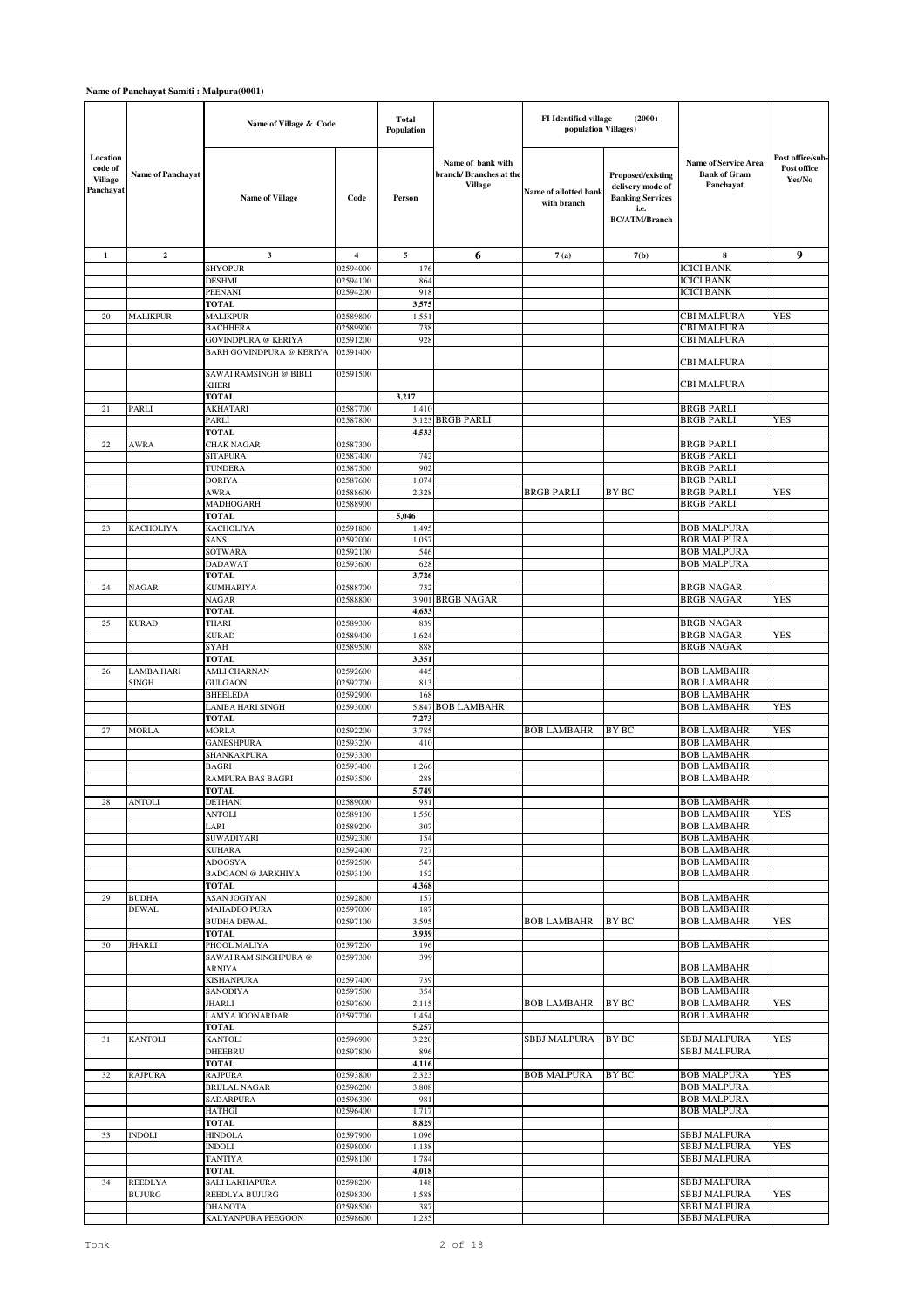|                                                    |                                 | Name of Village & Code                  |                         | Total<br><b>Population</b> |                                                                | FI Identified village<br>population Villages) | $(2000+$                                                                                         |                                                                 |                                           |
|----------------------------------------------------|---------------------------------|-----------------------------------------|-------------------------|----------------------------|----------------------------------------------------------------|-----------------------------------------------|--------------------------------------------------------------------------------------------------|-----------------------------------------------------------------|-------------------------------------------|
| Location<br>code of<br><b>Village</b><br>Panchayat | <b>Name of Panchayat</b>        | <b>Name of Village</b>                  | Code                    | Person                     | Name of bank with<br>branch/ Branches at the<br><b>Village</b> | Name of allotted bank<br>with branch          | Proposed/existing<br>delivery mode of<br><b>Banking Services</b><br>i.e.<br><b>BC/ATM/Branch</b> | <b>Name of Service Area</b><br><b>Bank of Gram</b><br>Panchayat | Post office/sub-<br>Post office<br>Yes/No |
| $\mathbf{1}$                                       | $\mathbf 2$                     | 3                                       | $\overline{\mathbf{4}}$ | 5                          | 6                                                              | 7(a)                                          | 7(b)                                                                                             | 8                                                               | 9                                         |
|                                                    |                                 | <b>SHYOPUR</b>                          | 02594000                | 176                        |                                                                |                                               |                                                                                                  | <b>ICICI BANK</b>                                               |                                           |
|                                                    |                                 | <b>DESHMI</b>                           | 02594100                | 864                        |                                                                |                                               |                                                                                                  | <b>ICICI BANK</b>                                               |                                           |
|                                                    |                                 | PEENANI                                 | 02594200                | 918                        |                                                                |                                               |                                                                                                  | <b>ICICI BANK</b>                                               |                                           |
| 20                                                 | <b>MALIKPUR</b>                 | <b>TOTAL</b><br><b>MALIKPUR</b>         | 02589800                | 3,575<br>1,551             |                                                                |                                               |                                                                                                  | <b>CBI MALPURA</b>                                              | YES                                       |
|                                                    |                                 | <b>BACHHERA</b>                         | 02589900                | 738                        |                                                                |                                               |                                                                                                  | CBI MALPURA                                                     |                                           |
|                                                    |                                 | <b>GOVINDPURA @ KERIYA</b>              | 02591200                | 928                        |                                                                |                                               |                                                                                                  | CBI MALPURA                                                     |                                           |
|                                                    |                                 | <b>BARH GOVINDPURA @ KERIYA</b>         | 02591400                |                            |                                                                |                                               |                                                                                                  |                                                                 |                                           |
|                                                    |                                 |                                         |                         |                            |                                                                |                                               |                                                                                                  | CBI MALPURA                                                     |                                           |
|                                                    |                                 | SAWAI RAMSINGH @ BIBLI                  | 02591500                |                            |                                                                |                                               |                                                                                                  | CBI MALPURA                                                     |                                           |
|                                                    |                                 | <b>KHERI</b><br><b>TOTAL</b>            |                         | 3,217                      |                                                                |                                               |                                                                                                  |                                                                 |                                           |
| 21                                                 | <b>PARLI</b>                    | <b>AKHATARI</b>                         | 02587700                | 1,410                      |                                                                |                                               |                                                                                                  | <b>BRGB PARLI</b>                                               |                                           |
|                                                    |                                 | PARLI                                   | 02587800                |                            | 3,123 BRGB PARLI                                               |                                               |                                                                                                  | <b>BRGB PARLI</b>                                               | <b>YES</b>                                |
|                                                    |                                 | <b>TOTAL</b>                            |                         | 4,533                      |                                                                |                                               |                                                                                                  |                                                                 |                                           |
| 22                                                 | AWRA                            | <b>CHAK NAGAR</b>                       | 02587300                |                            |                                                                |                                               |                                                                                                  | <b>BRGB PARLI</b>                                               |                                           |
|                                                    |                                 | <b>SITAPURA</b>                         | 02587400                | 742                        |                                                                |                                               |                                                                                                  | <b>BRGB PARLI</b>                                               |                                           |
|                                                    |                                 | <b>TUNDERA</b><br><b>DORIYA</b>         | 02587500                | 902<br>1,074               |                                                                |                                               |                                                                                                  | <b>BRGB PARLI</b>                                               |                                           |
|                                                    |                                 | AWRA                                    | 02587600<br>02588600    | 2,328                      |                                                                | <b>BRGB PARLI</b>                             | <b>BY BC</b>                                                                                     | BRGB PARLI<br><b>BRGB PARLI</b>                                 | YES                                       |
|                                                    |                                 | MADHOGARH                               | 02588900                |                            |                                                                |                                               |                                                                                                  | <b>BRGB PARLI</b>                                               |                                           |
|                                                    |                                 | <b>TOTAL</b>                            |                         | 5,046                      |                                                                |                                               |                                                                                                  |                                                                 |                                           |
| 23                                                 | KACHOLIYA                       | <b>KACHOLIYA</b>                        | 02591800                | 1,495                      |                                                                |                                               |                                                                                                  | <b>BOB MALPURA</b>                                              |                                           |
|                                                    |                                 | SANS                                    | 02592000                | 1,057                      |                                                                |                                               |                                                                                                  | <b>BOB MALPURA</b>                                              |                                           |
|                                                    |                                 | <b>SOTWARA</b>                          | 02592100                | 546                        |                                                                |                                               |                                                                                                  | <b>BOB MALPURA</b>                                              |                                           |
|                                                    |                                 | <b>DADAWAT</b><br><b>TOTAL</b>          | 02593600                | 628<br>3,726               |                                                                |                                               |                                                                                                  | <b>BOB MALPURA</b>                                              |                                           |
| 24                                                 | NAGAR                           | <b>KUMHARIYA</b>                        | 02588700                | 732                        |                                                                |                                               |                                                                                                  | <b>BRGB NAGAR</b>                                               |                                           |
|                                                    |                                 | <b>NAGAR</b>                            | 02588800                |                            | 3,901 BRGB NAGAR                                               |                                               |                                                                                                  | <b>BRGB NAGAR</b>                                               | YES                                       |
|                                                    |                                 | <b>TOTAL</b>                            |                         | 4,633                      |                                                                |                                               |                                                                                                  |                                                                 |                                           |
| 25                                                 | <b>KURAD</b>                    | <b>THARI</b>                            | 02589300                | 839                        |                                                                |                                               |                                                                                                  | <b>BRGB NAGAR</b>                                               |                                           |
|                                                    |                                 | <b>KURAD</b>                            | 02589400                | 1,624                      |                                                                |                                               |                                                                                                  | <b>BRGB NAGAR</b>                                               | YES                                       |
|                                                    |                                 | <b>SYAH</b><br><b>TOTAL</b>             | 02589500                | 888<br>3,351               |                                                                |                                               |                                                                                                  | <b>BRGB NAGAR</b>                                               |                                           |
| 26                                                 | <b>LAMBA HARI</b>               | <b>AMLI CHARNAN</b>                     | 02592600                | 445                        |                                                                |                                               |                                                                                                  | <b>BOB LAMBAHR</b>                                              |                                           |
|                                                    | <b>SINGH</b>                    | <b>GULGAON</b>                          | 02592700                | 813                        |                                                                |                                               |                                                                                                  | <b>BOB LAMBAHR</b>                                              |                                           |
|                                                    |                                 | <b>BHEELEDA</b>                         | 02592900                | 168                        |                                                                |                                               |                                                                                                  | <b>BOB LAMBAHR</b>                                              |                                           |
|                                                    |                                 | LAMBA HARI SINGH                        | 02593000                |                            | 5,847 BOB LAMBAHR                                              |                                               |                                                                                                  | <b>BOB LAMBAHR</b>                                              | YES                                       |
|                                                    |                                 | <b>TOTAL</b>                            |                         | 7,273                      |                                                                |                                               |                                                                                                  |                                                                 |                                           |
| 27                                                 | <b>MORLA</b>                    | <b>MORLA</b><br><b>GANESHPURA</b>       | 02592200<br>02593200    | 3,785<br>410               |                                                                | <b>BOB LAMBAHR</b>                            | <b>BY BC</b>                                                                                     | <b>BOB LAMBAHR</b><br><b>BOB LAMBAHR</b>                        | YES                                       |
|                                                    |                                 | SHANKARPURA                             | 02593300                |                            |                                                                |                                               |                                                                                                  | <b>BOB LAMBAHR</b>                                              |                                           |
|                                                    |                                 | <b>BAGRI</b>                            | 02593400                | 1,266                      |                                                                |                                               |                                                                                                  | <b>BOB LAMBAHR</b>                                              |                                           |
|                                                    |                                 | <b>RAMPURA BAS BAGRI</b>                | 02593500                | 288                        |                                                                |                                               |                                                                                                  | <b>BOB LAMBAHR</b>                                              |                                           |
|                                                    |                                 | <b>TOTAL</b>                            |                         | 5,749                      |                                                                |                                               |                                                                                                  |                                                                 |                                           |
| 28                                                 | <b>ANTOLI</b>                   | <b>DETHANI</b>                          | 02589000                | 931                        |                                                                |                                               |                                                                                                  | <b>BOB LAMBAHR</b>                                              |                                           |
|                                                    |                                 | <b>ANTOLI</b><br>LARI                   | 02589100<br>02589200    | 1,550<br>307               |                                                                |                                               |                                                                                                  | <b>BOB LAMBAHR</b><br><b>BOB LAMBAHR</b>                        | YES                                       |
|                                                    |                                 | SUWADIYARI                              | 02592300                | 154                        |                                                                |                                               |                                                                                                  | <b>BOB LAMBAHR</b>                                              |                                           |
|                                                    |                                 | <b>KUHARA</b>                           | 02592400                | 727                        |                                                                |                                               |                                                                                                  | <b>BOB LAMBAHR</b>                                              |                                           |
|                                                    |                                 | <b>ADOOSYA</b>                          | 02592500                | 547                        |                                                                |                                               |                                                                                                  | <b>BOB LAMBAHR</b>                                              |                                           |
|                                                    |                                 | <b>BADGAON @ JARKHIYA</b>               | 02593100                | 152                        |                                                                |                                               |                                                                                                  | <b>BOB LAMBAHR</b>                                              |                                           |
| 29                                                 | <b>BUDHA</b>                    | <b>TOTAL</b><br><b>ASAN JOGIYAN</b>     | 02592800                | 4,368<br>157               |                                                                |                                               |                                                                                                  | <b>BOB LAMBAHR</b>                                              |                                           |
|                                                    | <b>DEWAL</b>                    | <b>MAHADEO PURA</b>                     | 02597000                | 187                        |                                                                |                                               |                                                                                                  | <b>BOB LAMBAHR</b>                                              |                                           |
|                                                    |                                 | <b>BUDHA DEWAL</b>                      | 02597100                | 3,595                      |                                                                | <b>BOB LAMBAHR</b>                            | BY BC                                                                                            | <b>BOB LAMBAHR</b>                                              | <b>YES</b>                                |
|                                                    |                                 | <b>TOTAL</b>                            |                         | 3,939                      |                                                                |                                               |                                                                                                  |                                                                 |                                           |
| 30                                                 | JHARLI                          | PHOOL MALIYA                            | 02597200                | 196                        |                                                                |                                               |                                                                                                  | <b>BOB LAMBAHR</b>                                              |                                           |
|                                                    |                                 | SAWAI RAM SINGHPURA @<br>ARNIYA         | 02597300                | 399                        |                                                                |                                               |                                                                                                  | <b>BOB LAMBAHR</b>                                              |                                           |
|                                                    |                                 | <b>KISHANPURA</b>                       | 02597400                | 739                        |                                                                |                                               |                                                                                                  | <b>BOB LAMBAHR</b>                                              |                                           |
|                                                    |                                 | <b>SANODIYA</b>                         | 02597500                | 354                        |                                                                |                                               |                                                                                                  | <b>BOB LAMBAHR</b>                                              |                                           |
|                                                    |                                 | JHARLI                                  | 02597600                | 2,115                      |                                                                | <b>BOB LAMBAHR</b>                            | BY BC                                                                                            | <b>BOB LAMBAHR</b>                                              | <b>YES</b>                                |
|                                                    |                                 | <b>LAMYA JOONARDAR</b>                  | 02597700                | 1,454                      |                                                                |                                               |                                                                                                  | <b>BOB LAMBAHR</b>                                              |                                           |
| $31\,$                                             | <b>KANTOLI</b>                  | <b>TOTAL</b><br><b>KANTOLI</b>          | 02596900                | 5,257<br>3,220             |                                                                | <b>SBBJ MALPURA</b>                           | <b>BY BC</b>                                                                                     | SBBJ MALPURA                                                    | <b>YES</b>                                |
|                                                    |                                 | <b>DHEEBRU</b>                          | 02597800                | 896                        |                                                                |                                               |                                                                                                  | <b>SBBJ MALPURA</b>                                             |                                           |
|                                                    |                                 | <b>TOTAL</b>                            |                         | 4,116                      |                                                                |                                               |                                                                                                  |                                                                 |                                           |
| 32                                                 | <b>RAJPURA</b>                  | <b>RAJPURA</b>                          | 02593800                | 2,323                      |                                                                | <b>BOB MALPURA</b>                            | BY BC                                                                                            | <b>BOB MALPURA</b>                                              | <b>YES</b>                                |
|                                                    |                                 | <b>BRIJLAL NAGAR</b>                    | 02596200                | 3,808                      |                                                                |                                               |                                                                                                  | <b>BOB MALPURA</b>                                              |                                           |
|                                                    |                                 | <b>SADARPURA</b><br><b>HATHGI</b>       | 02596300                | 981                        |                                                                |                                               |                                                                                                  | <b>BOB MALPURA</b><br><b>BOB MALPURA</b>                        |                                           |
|                                                    |                                 | <b>TOTAL</b>                            | 02596400                | 1,717<br>8,829             |                                                                |                                               |                                                                                                  |                                                                 |                                           |
| 33                                                 | <b>INDOLI</b>                   | <b>HINDOLA</b>                          | 02597900                | 1,096                      |                                                                |                                               |                                                                                                  | <b>SBBJ MALPURA</b>                                             |                                           |
|                                                    |                                 | <b>INDOLI</b>                           | 02598000                | 1,138                      |                                                                |                                               |                                                                                                  | <b>SBBJ MALPURA</b>                                             | <b>YES</b>                                |
|                                                    |                                 | <b>TANTIYA</b>                          | 02598100                | 1,784                      |                                                                |                                               |                                                                                                  | <b>SBBJ MALPURA</b>                                             |                                           |
|                                                    |                                 | <b>TOTAL</b>                            |                         | 4,018                      |                                                                |                                               |                                                                                                  |                                                                 |                                           |
| 34                                                 | <b>REEDLYA</b><br><b>BUJURG</b> | <b>SALI LAKHAPURA</b><br>REEDLYA BUJURG | 02598200<br>02598300    | 148<br>1,588               |                                                                |                                               |                                                                                                  | <b>SBBJ MALPURA</b><br>SBBJ MALPURA                             | YES                                       |
|                                                    |                                 | <b>DHANOTA</b>                          | 02598500                | 387                        |                                                                |                                               |                                                                                                  | SBBJ MALPURA                                                    |                                           |
|                                                    |                                 | KALYANPURA PEEGOON                      | 02598600                | 1,235                      |                                                                |                                               |                                                                                                  | <b>SBBJ MALPURA</b>                                             |                                           |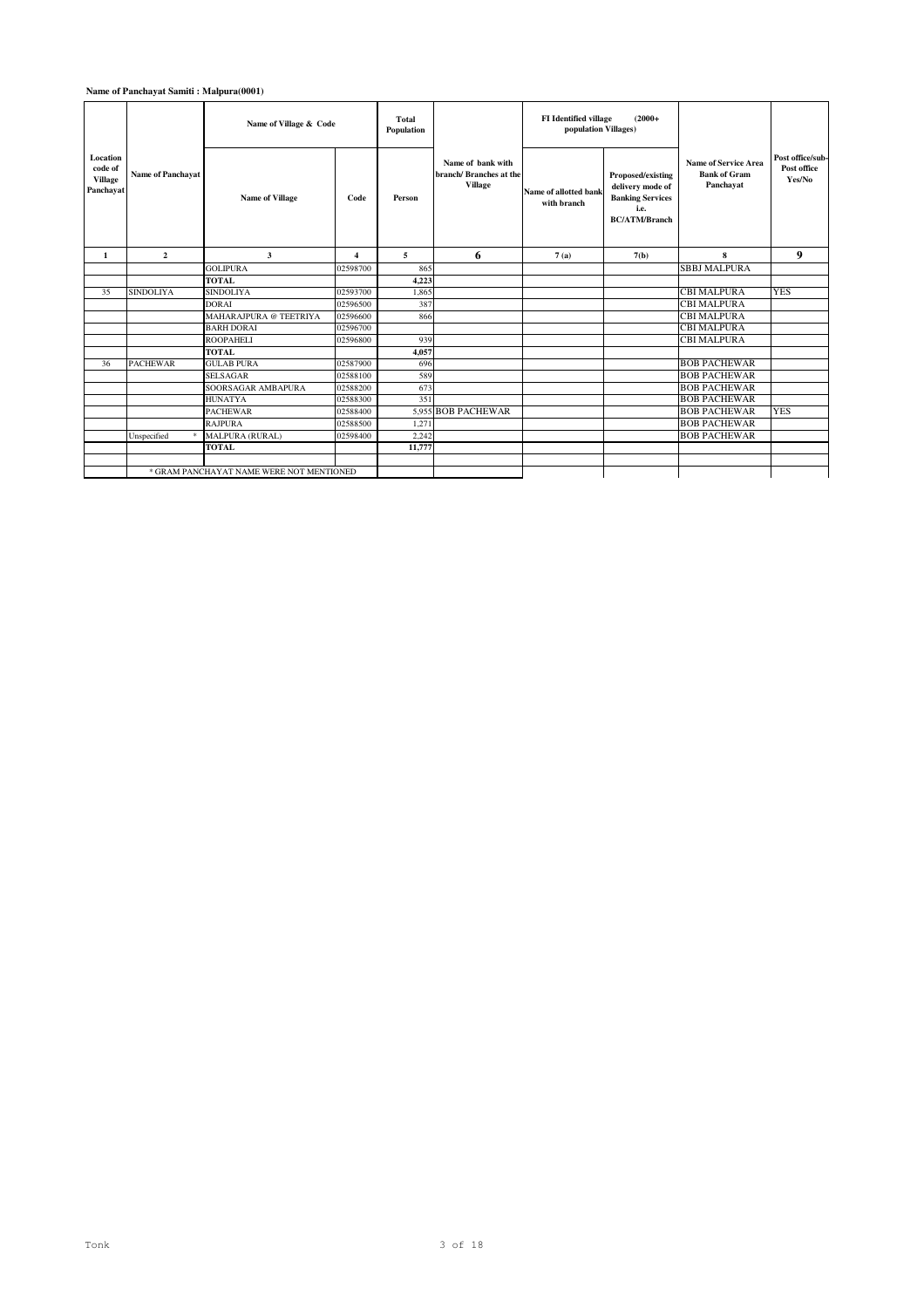### **Name of Panchayat Samiti : Malpura(0001)**

|                                                    |                          | Name of Village & Code                   |                         | <b>Total</b><br>Population |                                                                | <b>FI</b> Identified village<br>population Villages) | $(2000+$                                                                                         |                                                          |                                           |
|----------------------------------------------------|--------------------------|------------------------------------------|-------------------------|----------------------------|----------------------------------------------------------------|------------------------------------------------------|--------------------------------------------------------------------------------------------------|----------------------------------------------------------|-------------------------------------------|
| Location<br>code of<br><b>Village</b><br>Panchayat | <b>Name of Panchavat</b> | <b>Name of Village</b>                   | Code                    | Person                     | Name of bank with<br>branch/ Branches at the<br><b>Village</b> | Name of allotted bank<br>with branch                 | Proposed/existing<br>delivery mode of<br><b>Banking Services</b><br>i.e.<br><b>BC/ATM/Branch</b> | Name of Service Area<br><b>Bank of Gram</b><br>Panchayat | Post office/sub-<br>Post office<br>Yes/No |
| 1                                                  | $\overline{2}$           | 3                                        | $\overline{\mathbf{4}}$ | 5                          | 6                                                              | 7(a)                                                 | 7(b)                                                                                             | 8                                                        | 9                                         |
|                                                    |                          | <b>GOLIPURA</b>                          | 02598700                | 865                        |                                                                |                                                      |                                                                                                  | <b>SBBJ MALPURA</b>                                      |                                           |
|                                                    |                          | <b>TOTAL</b>                             |                         | 4,223                      |                                                                |                                                      |                                                                                                  |                                                          |                                           |
| 35                                                 | <b>SINDOLIYA</b>         | <b>SINDOLIYA</b>                         | 02593700                | 1,865                      |                                                                |                                                      |                                                                                                  | CBI MALPURA                                              | <b>YES</b>                                |
|                                                    |                          | <b>DORAI</b>                             | 02596500                | 387                        |                                                                |                                                      |                                                                                                  | CBI MALPURA                                              |                                           |
|                                                    |                          | MAHARAJPURA @ TEETRIYA                   | 02596600                | 866                        |                                                                |                                                      |                                                                                                  | CBI MALPURA                                              |                                           |
|                                                    |                          | <b>BARH DORAI</b>                        | 02596700                |                            |                                                                |                                                      |                                                                                                  | <b>CBI MALPURA</b>                                       |                                           |
|                                                    |                          | <b>ROOPAHELI</b>                         | 02596800                | 939                        |                                                                |                                                      |                                                                                                  | <b>CBI MALPURA</b>                                       |                                           |
|                                                    |                          | <b>TOTAL</b>                             |                         | 4.057                      |                                                                |                                                      |                                                                                                  |                                                          |                                           |
| 36                                                 | <b>PACHEWAR</b>          | <b>GULAB PURA</b>                        | 02587900                | 696                        |                                                                |                                                      |                                                                                                  | <b>BOB PACHEWAR</b>                                      |                                           |
|                                                    |                          | <b>SELSAGAR</b>                          | 02588100                | 589                        |                                                                |                                                      |                                                                                                  | <b>BOB PACHEWAR</b>                                      |                                           |
|                                                    |                          | SOORSAGAR AMBAPURA                       | 02588200                | 673                        |                                                                |                                                      |                                                                                                  | <b>BOB PACHEWAR</b>                                      |                                           |
|                                                    |                          | <b>HUNATYA</b>                           | 02588300                | 351                        |                                                                |                                                      |                                                                                                  | <b>BOB PACHEWAR</b>                                      |                                           |
|                                                    |                          | <b>PACHEWAR</b>                          | 02588400                |                            | 5.955 BOB PACHEWAR                                             |                                                      |                                                                                                  | <b>BOB PACHEWAR</b>                                      | <b>YES</b>                                |
|                                                    |                          | <b>RAJPURA</b>                           | 02588500                | 1,271                      |                                                                |                                                      |                                                                                                  | <b>BOB PACHEWAR</b>                                      |                                           |
|                                                    | Unspecified              | MALPURA (RURAL)                          | 02598400                | 2,242                      |                                                                |                                                      |                                                                                                  | <b>BOB PACHEWAR</b>                                      |                                           |
|                                                    |                          | <b>TOTAL</b>                             |                         | 11,777                     |                                                                |                                                      |                                                                                                  |                                                          |                                           |
|                                                    |                          |                                          |                         |                            |                                                                |                                                      |                                                                                                  |                                                          |                                           |
|                                                    |                          | * GRAM PANCHAYAT NAME WERE NOT MENTIONED |                         |                            |                                                                |                                                      |                                                                                                  |                                                          |                                           |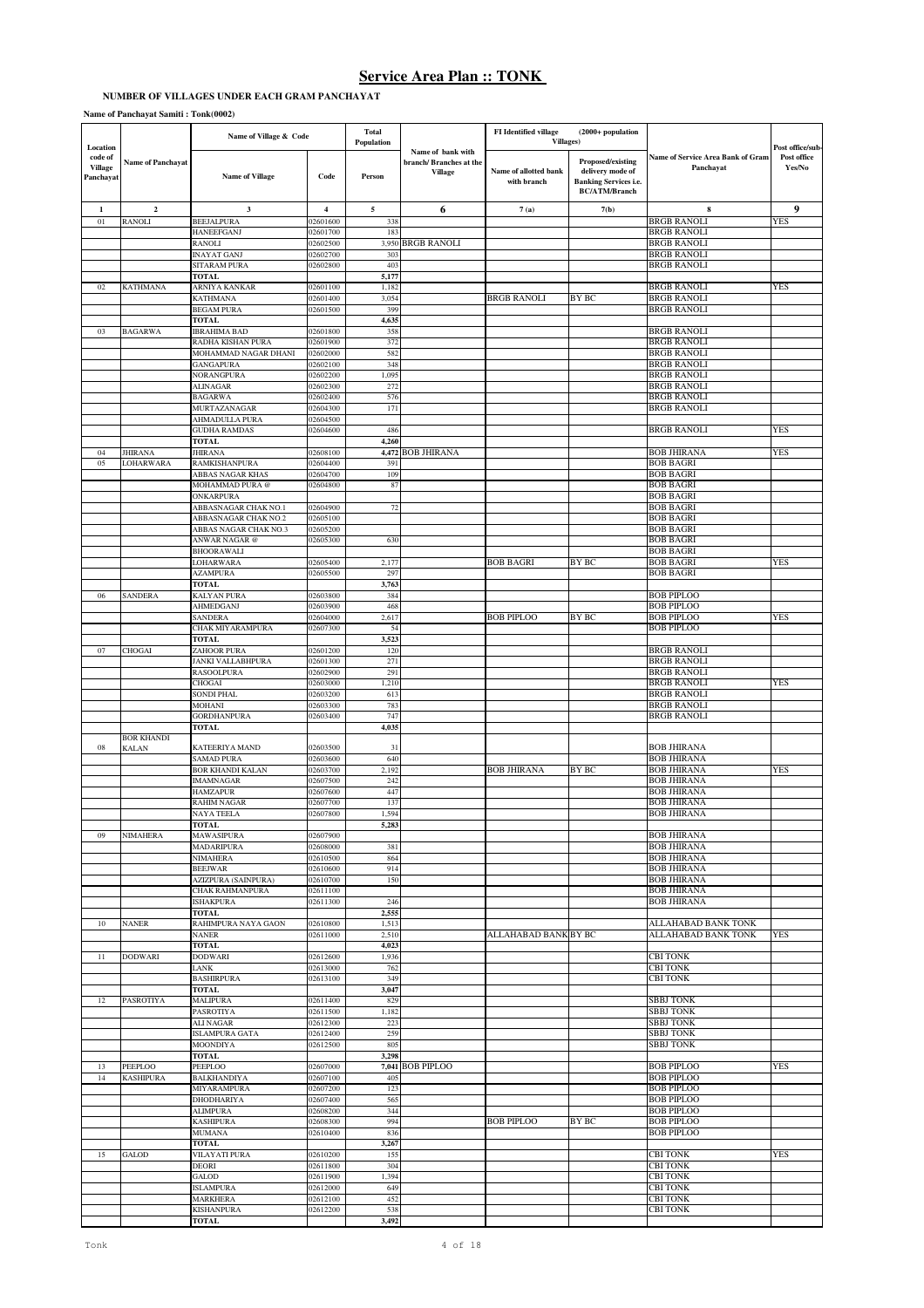## **NUMBER OF VILLAGES UNDER EACH GRAM PANCHAYAT**

|                                                    |                          | Name of Village & Code                     |                      | <b>Total</b><br>Population |                                                               | FI Identified village<br>Villages)   | (2000+ population                                                                             |                                                | Post office/sub-      |
|----------------------------------------------------|--------------------------|--------------------------------------------|----------------------|----------------------------|---------------------------------------------------------------|--------------------------------------|-----------------------------------------------------------------------------------------------|------------------------------------------------|-----------------------|
| Location<br>code of<br><b>Village</b><br>Panchayat | <b>Name of Panchayat</b> | <b>Name of Village</b>                     | Code                 | Person                     | Name of bank with<br>branch/Branches at the<br><b>Village</b> | Name of allotted bank<br>with branch | Proposed/existing<br>delivery mode of<br><b>Banking Services i.e.</b><br><b>BC/ATM/Branch</b> | Name of Service Area Bank of Gram<br>Panchayat | Post office<br>Yes/No |
| $\mathbf{1}$                                       | $\overline{2}$           | $\mathbf{3}$                               | $\overline{4}$       | $\sqrt{5}$                 | 6                                                             | 7(a)                                 | 7(b)                                                                                          | 8                                              | 9                     |
| $01\,$                                             | RANOLI                   | <b>BEEJALPURA</b>                          | 02601600             | 338                        |                                                               |                                      |                                                                                               | <b>BRGB RANOLI</b>                             | YES                   |
|                                                    |                          | <b>HANEEFGANJ</b><br>RANOLI                | 02601700<br>02602500 | 183<br>3,950               | <b>BRGB RANOLI</b>                                            |                                      |                                                                                               | <b>BRGB RANOLI</b><br><b>BRGB RANOLI</b>       |                       |
|                                                    |                          | <b>INAYAT GANJ</b>                         | 02602700             | 303                        |                                                               |                                      |                                                                                               | <b>BRGB RANOLI</b>                             |                       |
|                                                    |                          | <b>SITARAM PURA</b>                        | 02602800             | 403                        |                                                               |                                      |                                                                                               | <b>BRGB RANOLI</b>                             |                       |
|                                                    |                          | <b>TOTAL</b>                               |                      | 5,177                      |                                                               |                                      |                                                                                               |                                                |                       |
| 02                                                 | <b>KATHMANA</b>          | ARNIYA KANKAR<br><b>KATHMANA</b>           | 02601100<br>02601400 | 1,182<br>3,054             |                                                               | <b>BRGB RANOLI</b>                   | BY BC                                                                                         | <b>BRGB RANOLI</b><br><b>BRGB RANOLI</b>       | YES                   |
|                                                    |                          | <b>BEGAM PURA</b>                          | 02601500             | 399                        |                                                               |                                      |                                                                                               | <b>BRGB RANOLI</b>                             |                       |
|                                                    |                          | <b>TOTAL</b>                               |                      | 4,635                      |                                                               |                                      |                                                                                               |                                                |                       |
| 03                                                 | <b>BAGARWA</b>           | <b>IBRAHIMA BAD</b><br>RADHA KISHAN PURA   | 02601800<br>02601900 | 358                        |                                                               |                                      |                                                                                               | <b>BRGB RANOLI</b>                             |                       |
|                                                    |                          | MOHAMMAD NAGAR DHANI                       | 02602000             | 372<br>582                 |                                                               |                                      |                                                                                               | <b>BRGB RANOLI</b><br><b>BRGB RANOLI</b>       |                       |
|                                                    |                          | <b>GANGAPURA</b>                           | 02602100             | 348                        |                                                               |                                      |                                                                                               | <b>BRGB RANOLI</b>                             |                       |
|                                                    |                          | NORANGPURA                                 | 02602200             | 1,095                      |                                                               |                                      |                                                                                               | <b>BRGB RANOLI</b>                             |                       |
|                                                    |                          | <b>ALINAGAR</b><br><b>BAGARWA</b>          | 02602300<br>02602400 | 272<br>576                 |                                                               |                                      |                                                                                               | <b>BRGB RANOLI</b><br><b>BRGB RANOLI</b>       |                       |
|                                                    |                          | MURTAZANAGAR                               | 02604300             | 171                        |                                                               |                                      |                                                                                               | <b>BRGB RANOLI</b>                             |                       |
|                                                    |                          | AHMADULLA PURA                             | 02604500             |                            |                                                               |                                      |                                                                                               |                                                |                       |
|                                                    |                          | <b>GUDHA RAMDAS</b>                        | 02604600             | 486                        |                                                               |                                      |                                                                                               | <b>BRGB RANOLI</b>                             | YES                   |
| 04                                                 | <b>JHIRANA</b>           | <b>TOTAL</b><br><b>JHIRANA</b>             | 02608100             | 4,260<br>4,472             | <b>BOB JHIRANA</b>                                            |                                      |                                                                                               | <b>BOB JHIRANA</b>                             | YES                   |
| 05                                                 | LOHARWARA                | RAMKISHANPURA                              | 02604400             | 391                        |                                                               |                                      |                                                                                               | <b>BOB BAGRI</b>                               |                       |
|                                                    |                          | ABBAS NAGAR KHAS                           | 02604700             | 109                        |                                                               |                                      |                                                                                               | <b>BOB BAGRI</b>                               |                       |
|                                                    |                          | MOHAMMAD PURA @                            | 02604800             | 87                         |                                                               |                                      |                                                                                               | <b>BOB BAGRI</b><br><b>BOB BAGRI</b>           |                       |
|                                                    |                          | ONKARPURA<br>ABBASNAGAR CHAK NO.1          | 02604900             | 72                         |                                                               |                                      |                                                                                               | <b>BOB BAGRI</b>                               |                       |
|                                                    |                          | ABBASNAGAR CHAK NO.2                       | 02605100             |                            |                                                               |                                      |                                                                                               | <b>BOB BAGRI</b>                               |                       |
|                                                    |                          | ABBAS NAGAR CHAK NO.3                      | 02605200             |                            |                                                               |                                      |                                                                                               | <b>BOB BAGRI</b>                               |                       |
|                                                    |                          | ANWAR NAGAR @<br><b>BHOORAWALI</b>         | 02605300             | 630                        |                                                               |                                      |                                                                                               | <b>BOB BAGRI</b><br><b>BOB BAGRI</b>           |                       |
|                                                    |                          | LOHARWARA                                  | 02605400             | 2,177                      |                                                               | <b>BOB BAGRI</b>                     | BY BC                                                                                         | <b>BOB BAGRI</b>                               | YES                   |
|                                                    |                          | <b>AZAMPURA</b>                            | 02605500             | 297                        |                                                               |                                      |                                                                                               | <b>BOB BAGRI</b>                               |                       |
|                                                    |                          | <b>TOTAL</b>                               |                      | 3,763                      |                                                               |                                      |                                                                                               |                                                |                       |
| 06                                                 | <b>SANDERA</b>           | <b>KALYAN PURA</b><br>AHMEDGANJ            | 02603800<br>02603900 | 384<br>468                 |                                                               |                                      |                                                                                               | <b>BOB PIPLOO</b><br><b>BOB PIPLOO</b>         |                       |
|                                                    |                          | <b>SANDERA</b>                             | 02604000             | 2,617                      |                                                               | <b>BOB PIPLOO</b>                    | BY BC                                                                                         | <b>BOB PIPLOO</b>                              | YES                   |
|                                                    |                          | CHAK MIYARAMPURA                           | 02607300             | 54                         |                                                               |                                      |                                                                                               | <b>BOB PIPLOO</b>                              |                       |
|                                                    |                          | <b>TOTAL</b>                               |                      | 3,523                      |                                                               |                                      |                                                                                               |                                                |                       |
| 07                                                 | CHOGAI                   | ZAHOOR PURA<br>JANKI VALLABHPURA           | 02601200<br>02601300 | 120<br>271                 |                                                               |                                      |                                                                                               | <b>BRGB RANOLI</b><br><b>BRGB RANOLI</b>       |                       |
|                                                    |                          | <b>RASOOLPURA</b>                          | 02602900             | 291                        |                                                               |                                      |                                                                                               | <b>BRGB RANOLI</b>                             |                       |
|                                                    |                          | <b>CHOGAI</b>                              | 02603000             | 1,210                      |                                                               |                                      |                                                                                               | <b>BRGB RANOLI</b>                             | YES                   |
|                                                    |                          | <b>SONDI PHAL</b><br>MOHANI                | 02603200<br>02603300 | 613<br>783                 |                                                               |                                      |                                                                                               | <b>BRGB RANOLI</b><br><b>BRGB RANOLI</b>       |                       |
|                                                    |                          | <b>GORDHANPURA</b>                         | 02603400             | 747                        |                                                               |                                      |                                                                                               | <b>BRGB RANOLI</b>                             |                       |
|                                                    |                          | TOTAL                                      |                      | 4,035                      |                                                               |                                      |                                                                                               |                                                |                       |
|                                                    | <b>BOR KHANDI</b>        | KATEERIYA MAND                             | 02603500             |                            |                                                               |                                      |                                                                                               | <b>BOB JHIRANA</b>                             |                       |
| 08                                                 | <b>KALAN</b>             | <b>SAMAD PURA</b>                          | 02603600             | 31<br>640                  |                                                               |                                      |                                                                                               | <b>BOB JHIRANA</b>                             |                       |
|                                                    |                          | <b>BOR KHANDI KALAN</b>                    | 02603700             | 2,192                      |                                                               | <b>BOB JHIRANA</b>                   | BY BC                                                                                         | <b>BOB JHIRANA</b>                             | YES                   |
|                                                    |                          | <b>IMAMNAGAR</b>                           | 02607500             | 242                        |                                                               |                                      |                                                                                               | <b>BOB JHIRANA</b>                             |                       |
|                                                    |                          | <b>HAMZAPUR</b><br><b>RAHIM NAGAR</b>      | 02607600<br>02607700 | 447<br>137                 |                                                               |                                      |                                                                                               | <b>BOB JHIRANA</b><br><b>BOB JHIRANA</b>       |                       |
|                                                    |                          | <b>NAYA TEELA</b>                          | 02607800             | 1,594                      |                                                               |                                      |                                                                                               | <b>BOB JHIRANA</b>                             |                       |
|                                                    |                          | TOTAL                                      |                      | 5,283                      |                                                               |                                      |                                                                                               |                                                |                       |
| 09                                                 | <b>NIMAHERA</b>          | MAWASIPURA<br><b>MADARIPURA</b>            | 02607900<br>02608000 | 381                        |                                                               |                                      |                                                                                               | <b>BOB JHIRANA</b><br><b>BOB JHIRANA</b>       |                       |
|                                                    |                          | <b>NIMAHERA</b>                            | 02610500             | 864                        |                                                               |                                      |                                                                                               | <b>BOB JHIRANA</b>                             |                       |
|                                                    |                          | <b>BEEJWAR</b>                             | 02610600             | 914                        |                                                               |                                      |                                                                                               | <b>BOB JHIRANA</b>                             |                       |
|                                                    |                          | AZIZPURA (SAINPURA)                        | 02610700             | 150                        |                                                               |                                      |                                                                                               | <b>BOB JHIRANA</b>                             |                       |
|                                                    |                          | <b>CHAK RAHMANPURA</b><br><b>ISHAKPURA</b> | 02611100<br>02611300 | 246                        |                                                               |                                      |                                                                                               | <b>BOB JHIRANA</b><br><b>BOB JHIRANA</b>       |                       |
|                                                    |                          | TOTAL                                      |                      | 2,555                      |                                                               |                                      |                                                                                               |                                                |                       |
| 10                                                 | <b>NANER</b>             | RAHIMPURA NAYA GAON                        | 02610800             | 1,513                      |                                                               |                                      |                                                                                               | ALLAHABAD BANK TONK                            |                       |
|                                                    |                          | <b>NANER</b><br><b>TOTAL</b>               | 02611000             | 2,510<br>4,023             |                                                               | <b>ALLAHABAD BANK BY BC</b>          |                                                                                               | ALLAHABAD BANK TONK                            | YES                   |
| $11\,$                                             | <b>DODWARI</b>           | <b>DODWARI</b>                             | 02612600             | 1,936                      |                                                               |                                      |                                                                                               | <b>CBI TONK</b>                                |                       |
|                                                    |                          | <b>LANK</b>                                | 02613000             | 762                        |                                                               |                                      |                                                                                               | <b>CBI TONK</b>                                |                       |
|                                                    |                          | <b>BASHIRPURA</b>                          | 02613100             | 349                        |                                                               |                                      |                                                                                               | <b>CBI TONK</b>                                |                       |
| 12                                                 | PASROTIYA                | TOTAL<br><b>MALIPURA</b>                   | 02611400             | 3,047<br>829               |                                                               |                                      |                                                                                               | <b>SBBJ TONK</b>                               |                       |
|                                                    |                          | PASROTIYA                                  | 02611500             | 1,182                      |                                                               |                                      |                                                                                               | <b>SBBJ TONK</b>                               |                       |
|                                                    |                          | <b>ALI NAGAR</b>                           | 02612300             | 223                        |                                                               |                                      |                                                                                               | <b>SBBJ TONK</b>                               |                       |
|                                                    |                          | <b>ISLAMPURA GATA</b>                      | 02612400             | 259                        |                                                               |                                      |                                                                                               | <b>SBBJ TONK</b><br><b>SBBJ TONK</b>           |                       |
|                                                    |                          | MOONDIYA<br>TOTAL                          | 02612500             | 805<br>3,298               |                                                               |                                      |                                                                                               |                                                |                       |
| 13                                                 | PEEPLOO                  | PEEPLOO                                    | 02607000             |                            | 7,041 BOB PIPLOO                                              |                                      |                                                                                               | <b>BOB PIPLOO</b>                              | YES                   |
| 14                                                 | <b>KASHIPURA</b>         | <b>BALKHANDIYA</b>                         | 02607100             | 405                        |                                                               |                                      |                                                                                               | <b>BOB PIPLOO</b>                              |                       |
|                                                    |                          | MIYARAMPURA<br><b>DHODHARIYA</b>           | 02607200<br>02607400 | 123<br>565                 |                                                               |                                      |                                                                                               | <b>BOB PIPLOO</b><br><b>BOB PIPLOO</b>         |                       |
|                                                    |                          | <b>ALIMPURA</b>                            | 02608200             | 344                        |                                                               |                                      |                                                                                               | <b>BOB PIPLOO</b>                              |                       |
|                                                    |                          | <b>KASHIPURA</b>                           | 02608300             | 994                        |                                                               | <b>BOB PIPLOO</b>                    | BY BC                                                                                         | <b>BOB PIPLOO</b>                              |                       |
|                                                    |                          | <b>MUMANA</b>                              | 02610400             | 836                        |                                                               |                                      |                                                                                               | <b>BOB PIPLOO</b>                              |                       |
| 15                                                 | <b>GALOD</b>             | TOTAL                                      | 02610200             | 3,267<br>155               |                                                               |                                      |                                                                                               | <b>CBI TONK</b>                                | YES                   |
|                                                    |                          | VILAYATI PURA<br><b>DEORI</b>              | 02611800             | 304                        |                                                               |                                      |                                                                                               | <b>CBI TONK</b>                                |                       |
|                                                    |                          | GALOD                                      | 02611900             | 1,394                      |                                                               |                                      |                                                                                               | <b>CBI TONK</b>                                |                       |
|                                                    |                          | <b>ISLAMPURA</b>                           | 02612000             | 649                        |                                                               |                                      |                                                                                               | CBI TONK                                       |                       |
|                                                    |                          | <b>MARKHERA</b><br><b>KISHANPURA</b>       | 02612100<br>02612200 | 452<br>538                 |                                                               |                                      |                                                                                               | CBI TONK<br><b>CBI TONK</b>                    |                       |
|                                                    |                          | TOTAL                                      |                      | 3,492                      |                                                               |                                      |                                                                                               |                                                |                       |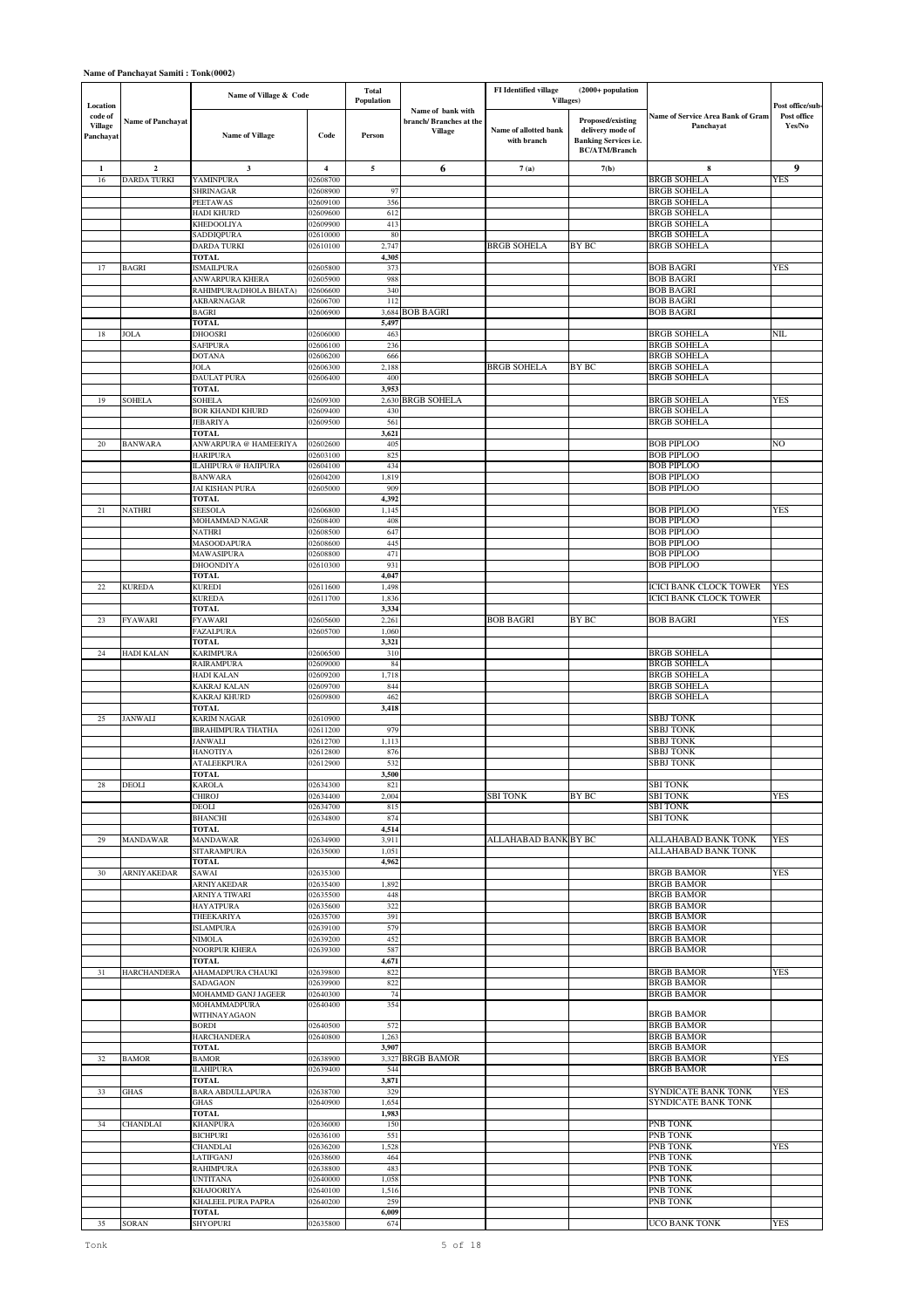|                                             |                          | Name of Village & Code                 |                      | <b>Total</b><br>Population |                                                               | <b>FI</b> Identified village<br><b>Villages</b> ) | (2000+ population                                                                             |                                                  |                                           |
|---------------------------------------------|--------------------------|----------------------------------------|----------------------|----------------------------|---------------------------------------------------------------|---------------------------------------------------|-----------------------------------------------------------------------------------------------|--------------------------------------------------|-------------------------------------------|
| Location<br>code of<br>Village<br>Panchayat | <b>Name of Panchavat</b> | <b>Name of Village</b>                 | Code                 | Person                     | Name of bank with<br>branch/Branches at the<br><b>Village</b> | Name of allotted bank<br>with branch              | Proposed/existing<br>delivery mode of<br><b>Banking Services i.e.</b><br><b>BC/ATM/Branch</b> | Name of Service Area Bank of Gram<br>Panchayat   | Post office/sub-<br>Post office<br>Yes/No |
| 1                                           | $\overline{\mathbf{2}}$  | 3                                      | $\overline{4}$       | 5                          | 6                                                             | 7(a)                                              | 7(b)                                                                                          | 8                                                | 9                                         |
| 16                                          | <b>DARDA TURKI</b>       | YAMINPURA                              | 02608700             |                            |                                                               |                                                   |                                                                                               | <b>BRGB SOHELA</b>                               | YES                                       |
|                                             |                          | SHRINAGAR<br>PEETAWAS                  | 02608900<br>02609100 | 97<br>356                  |                                                               |                                                   |                                                                                               | <b>BRGB SOHELA</b><br>BRGB SOHELA                |                                           |
|                                             |                          | HADI KHURD                             | 02609600             | 612                        |                                                               |                                                   |                                                                                               | <b>BRGB SOHELA</b>                               |                                           |
|                                             |                          | KHEDOOLIYA                             | 02609900             | 413                        |                                                               |                                                   |                                                                                               | BRGB SOHELA                                      |                                           |
|                                             |                          | SADDIQPURA<br>DARDA TURKI              | 02610000<br>02610100 | 80<br>2,747                |                                                               | <b>BRGB SOHELA</b>                                | BY BC                                                                                         | <b>BRGB SOHELA</b><br><b>BRGB SOHELA</b>         |                                           |
|                                             |                          | <b>TOTAL</b>                           |                      | 4,305                      |                                                               |                                                   |                                                                                               |                                                  |                                           |
| 17                                          | <b>BAGRI</b>             | <b>ISMAILPURA</b><br>ANWARPURA KHERA   | 02605800<br>02605900 | 373<br>988                 |                                                               |                                                   |                                                                                               | <b>BOB BAGRI</b><br><b>BOB BAGRI</b>             | YES                                       |
|                                             |                          | RAHIMPURA(DHOLA BHATA)                 | 02606600             | 340                        |                                                               |                                                   |                                                                                               | <b>BOB BAGRI</b>                                 |                                           |
|                                             |                          | AKBARNAGAR                             | 02606700             | 112                        |                                                               |                                                   |                                                                                               | <b>BOB BAGRI</b>                                 |                                           |
|                                             |                          | <b>BAGRI</b><br><b>TOTAL</b>           | 02606900             | 3,684<br>5,497             | <b>BOB BAGRI</b>                                              |                                                   |                                                                                               | <b>BOB BAGRI</b>                                 |                                           |
| 18                                          | JOLA                     | <b>DHOOSRI</b>                         | 02606000             | 463                        |                                                               |                                                   |                                                                                               | <b>BRGB SOHELA</b>                               | NIL                                       |
|                                             |                          | SAFIPURA<br><b>DOTANA</b>              | 02606100             | 236                        |                                                               |                                                   |                                                                                               | <b>BRGB SOHELA</b><br><b>BRGB SOHELA</b>         |                                           |
|                                             |                          | <b>JOLA</b>                            | 02606200<br>02606300 | 666<br>2,188               |                                                               | <b>BRGB SOHELA</b>                                | BY BC                                                                                         | <b>BRGB SOHELA</b>                               |                                           |
|                                             |                          | DAULAT PURA                            | 02606400             | 400                        |                                                               |                                                   |                                                                                               | <b>BRGB SOHELA</b>                               |                                           |
| 19                                          | <b>SOHELA</b>            | TOTAL<br>SOHELA                        | 02609300             | 3,953<br>2,630             | <b>BRGB SOHELA</b>                                            |                                                   |                                                                                               | <b>BRGB SOHELA</b>                               | YES                                       |
|                                             |                          | <b>BOR KHANDI KHURD</b>                | 02609400             | 430                        |                                                               |                                                   |                                                                                               | <b>BRGB SOHELA</b>                               |                                           |
|                                             |                          | <b>JEBARIYA</b>                        | 02609500             | 561                        |                                                               |                                                   |                                                                                               | <b>BRGB SOHELA</b>                               |                                           |
| 20                                          | <b>BANWARA</b>           | TOTAL<br>ANWARPURA @ HAMEERIYA         | 02602600             | 3,621<br>405               |                                                               |                                                   |                                                                                               | <b>BOB PIPLOO</b>                                | NO                                        |
|                                             |                          | HARIPURA                               | 02603100             | 825                        |                                                               |                                                   |                                                                                               | BOB PIPLOO                                       |                                           |
|                                             |                          | ILAHIPURA @ HAJIPURA<br><b>BANWARA</b> | 02604100<br>02604200 | 434<br>1,819               |                                                               |                                                   |                                                                                               | <b>BOB PIPLOO</b><br><b>BOB PIPLOO</b>           |                                           |
|                                             |                          | JAI KISHAN PURA                        | 02605000             | 909                        |                                                               |                                                   |                                                                                               | <b>BOB PIPLOO</b>                                |                                           |
|                                             |                          | <b>TOTAL</b>                           |                      | 4,392                      |                                                               |                                                   |                                                                                               |                                                  |                                           |
| 21                                          | <b>NATHRI</b>            | SEESOLA<br>MOHAMMAD NAGAR              | 02606800<br>02608400 | 1,145<br>408               |                                                               |                                                   |                                                                                               | <b>BOB PIPLOO</b><br><b>BOB PIPLOO</b>           | YES                                       |
|                                             |                          | NATHRI                                 | 02608500             | 647                        |                                                               |                                                   |                                                                                               | <b>BOB PIPLOO</b>                                |                                           |
|                                             |                          | MASOODAPURA<br>MAWASIPURA              | 02608600<br>02608800 | 445<br>471                 |                                                               |                                                   |                                                                                               | <b>BOB PIPLOO</b><br><b>BOB PIPLOO</b>           |                                           |
|                                             |                          | <b>DHOONDIYA</b>                       | 02610300             | 931                        |                                                               |                                                   |                                                                                               | <b>BOB PIPLOO</b>                                |                                           |
|                                             |                          | TOTAL                                  |                      | 4,047                      |                                                               |                                                   |                                                                                               |                                                  |                                           |
| $22\,$                                      | <b>KUREDA</b>            | <b>KUREDI</b><br><b>KUREDA</b>         | 02611600<br>02611700 | 1,498<br>1,836             |                                                               |                                                   |                                                                                               | ICICI BANK CLOCK TOWER<br>ICICI BANK CLOCK TOWER | YES                                       |
|                                             |                          | <b>TOTAL</b>                           |                      | 3,334                      |                                                               |                                                   |                                                                                               |                                                  |                                           |
| 23                                          | <b>FYAWARI</b>           | FYAWARI                                | 02605600             | 2,261                      |                                                               | <b>BOB BAGRI</b>                                  | BY BC                                                                                         | <b>BOB BAGRI</b>                                 | YES                                       |
|                                             |                          | FAZALPURA<br>TOTAL                     | 02605700             | 1,060<br>3,321             |                                                               |                                                   |                                                                                               |                                                  |                                           |
| 24                                          | HADI KALAN               | <b>KARIMPURA</b>                       | 02606500             | 310                        |                                                               |                                                   |                                                                                               | BRGB SOHELA                                      |                                           |
|                                             |                          | RAIRAMPURA<br>HADI KALAN               | 02609000<br>02609200 | 84<br>1,718                |                                                               |                                                   |                                                                                               | <b>BRGB SOHELA</b><br><b>BRGB SOHELA</b>         |                                           |
|                                             |                          | KAKRAJ KALAN                           | 02609700             | 844                        |                                                               |                                                   |                                                                                               | <b>BRGB SOHELA</b>                               |                                           |
|                                             |                          | KAKRAJ KHURD                           | 02609800             | 462                        |                                                               |                                                   |                                                                                               | <b>BRGB SOHELA</b>                               |                                           |
| 25                                          | <b>JANWALI</b>           | TOTAL<br><b>KARIM NAGAR</b>            | 02610900             | 3,418                      |                                                               |                                                   |                                                                                               | <b>SBBJ TONK</b>                                 |                                           |
|                                             |                          | <b>IBRAHIMPURA THATHA</b>              | 02611200             | 979                        |                                                               |                                                   |                                                                                               | SBBJ TONK                                        |                                           |
|                                             |                          | JANWALI<br>HANOTIYA                    | 02612700<br>02612800 | 1,113                      |                                                               |                                                   |                                                                                               | <b>SBBJ TONK</b><br>SBBJ TONK                    |                                           |
|                                             |                          | <b>ATALEEKPURA</b>                     | 02612900             | 876<br>532                 |                                                               |                                                   |                                                                                               | <b>SBBJ TONK</b>                                 |                                           |
|                                             |                          | <b>TOTAL</b>                           |                      | 3,500                      |                                                               |                                                   |                                                                                               |                                                  |                                           |
| 28                                          | <b>DEOLI</b>             | <b>KAROLA</b><br>CHIROJ                | 02634300<br>02634400 | 821<br>2,004               |                                                               | <b>SBI TONK</b>                                   | BY BC                                                                                         | SBI TONK<br>SBI TONK                             | <b>YES</b>                                |
|                                             |                          | DEOLI                                  | 02634700             | 815                        |                                                               |                                                   |                                                                                               | SBI TONK                                         |                                           |
|                                             |                          | <b>BHANCHI</b>                         | 02634800             | 874                        |                                                               |                                                   |                                                                                               | <b>SBI TONK</b>                                  |                                           |
| 29                                          | <b>MANDAWAR</b>          | TOTAL<br>MANDAWAR                      | 02634900             | 4,514<br>3,911             |                                                               | ALLAHABAD BANK BY BC                              |                                                                                               | ALLAHABAD BANK TONK                              | YES                                       |
|                                             |                          | <b>SITARAMPURA</b>                     | 02635000             | 1,051                      |                                                               |                                                   |                                                                                               | ALLAHABAD BANK TONK                              |                                           |
| 30                                          | ARNIYAKEDAR              | <b>TOTAL</b><br>SAWAI                  | 02635300             | 4,962                      |                                                               |                                                   |                                                                                               | <b>BRGB BAMOR</b>                                | YES                                       |
|                                             |                          | <b>ARNIYAKEDAR</b>                     | 02635400             | 1,892                      |                                                               |                                                   |                                                                                               | <b>BRGB BAMOR</b>                                |                                           |
|                                             |                          | ARNIYA TIWARI                          | 02635500             | 448                        |                                                               |                                                   |                                                                                               | <b>BRGB BAMOR</b>                                |                                           |
|                                             |                          | HAYATPURA<br>THEEKARIYA                | 02635600<br>02635700 | 322<br>391                 |                                                               |                                                   |                                                                                               | <b>BRGB BAMOR</b><br><b>BRGB BAMOR</b>           |                                           |
|                                             |                          | <b>ISLAMPURA</b>                       | 02639100             | 579                        |                                                               |                                                   |                                                                                               | <b>BRGB BAMOR</b>                                |                                           |
|                                             |                          | NIMOLA<br>NOORPUR KHERA                | 02639200<br>02639300 | 452<br>587                 |                                                               |                                                   |                                                                                               | <b>BRGB BAMOR</b><br><b>BRGB BAMOR</b>           |                                           |
|                                             |                          | <b>TOTAL</b>                           |                      | 4,671                      |                                                               |                                                   |                                                                                               |                                                  |                                           |
| 31                                          | <b>HARCHANDERA</b>       | AHAMADPURA CHAUKI<br>SADAGAON          | 02639800             | 822<br>822                 |                                                               |                                                   |                                                                                               | <b>BRGB BAMOR</b><br><b>BRGB BAMOR</b>           | YES                                       |
|                                             |                          | MOHAMMD GANJ JAGEER                    | 02639900<br>02640300 | 74                         |                                                               |                                                   |                                                                                               | <b>BRGB BAMOR</b>                                |                                           |
|                                             |                          | MOHAMMADPURA                           | 02640400             | 354                        |                                                               |                                                   |                                                                                               |                                                  |                                           |
|                                             |                          | WITHNAYAGAON<br><b>BORDI</b>           | 02640500             | 572                        |                                                               |                                                   |                                                                                               | <b>BRGB BAMOR</b><br><b>BRGB BAMOR</b>           |                                           |
|                                             |                          | <b>HARCHANDERA</b>                     | 02640800             | 1,263                      |                                                               |                                                   |                                                                                               | <b>BRGB BAMOR</b>                                |                                           |
| 32                                          | <b>BAMOR</b>             | <b>TOTAL</b><br><b>BAMOR</b>           | 02638900             | 3,907                      | 3,327 BRGB BAMOR                                              |                                                   |                                                                                               | <b>BRGB BAMOR</b><br><b>BRGB BAMOR</b>           | <b>YES</b>                                |
|                                             |                          | <b>ILAHIPURA</b>                       | 02639400             | 544                        |                                                               |                                                   |                                                                                               | <b>BRGB BAMOR</b>                                |                                           |
|                                             |                          | <b>TOTAL</b>                           |                      | 3,871                      |                                                               |                                                   |                                                                                               |                                                  |                                           |
| 33                                          | <b>GHAS</b>              | <b>BARA ABDULLAPURA</b><br><b>GHAS</b> | 02638700<br>02640900 | 329<br>1,654               |                                                               |                                                   |                                                                                               | SYNDICATE BANK TONK<br>SYNDICATE BANK TONK       | YES                                       |
|                                             |                          | <b>TOTAL</b>                           |                      | 1,983                      |                                                               |                                                   |                                                                                               |                                                  |                                           |
| 34                                          | CHANDLAI                 | <b>KHANPURA</b>                        | 02636000             | 150                        |                                                               |                                                   |                                                                                               | PNB TONK<br>PNB TONK                             |                                           |
|                                             |                          | <b>BICHPURI</b><br>CHANDLAI            | 02636100<br>02636200 | 551<br>1,528               |                                                               |                                                   |                                                                                               | PNB TONK                                         | YES                                       |
|                                             |                          | LATIFGANJ                              | 02638600             | 464                        |                                                               |                                                   |                                                                                               | PNB TONK                                         |                                           |
|                                             |                          | <b>RAHIMPURA</b><br>UNTITANA           | 02638800<br>02640000 | 483<br>1,058               |                                                               |                                                   |                                                                                               | PNB TONK<br>PNB TONK                             |                                           |
|                                             |                          | <b>KHAJOORIYA</b>                      | 02640100             | 1,516                      |                                                               |                                                   |                                                                                               | PNB TONK                                         |                                           |
|                                             |                          | KHALEEL PURA PAPRA                     | 02640200             | 259                        |                                                               |                                                   |                                                                                               | PNB TONK                                         |                                           |
| 35                                          | <b>SORAN</b>             | TOTAL<br><b>SHYOPURI</b>               | 02635800             | 6,009<br>674               |                                                               |                                                   |                                                                                               | UCO BANK TONK                                    | YES                                       |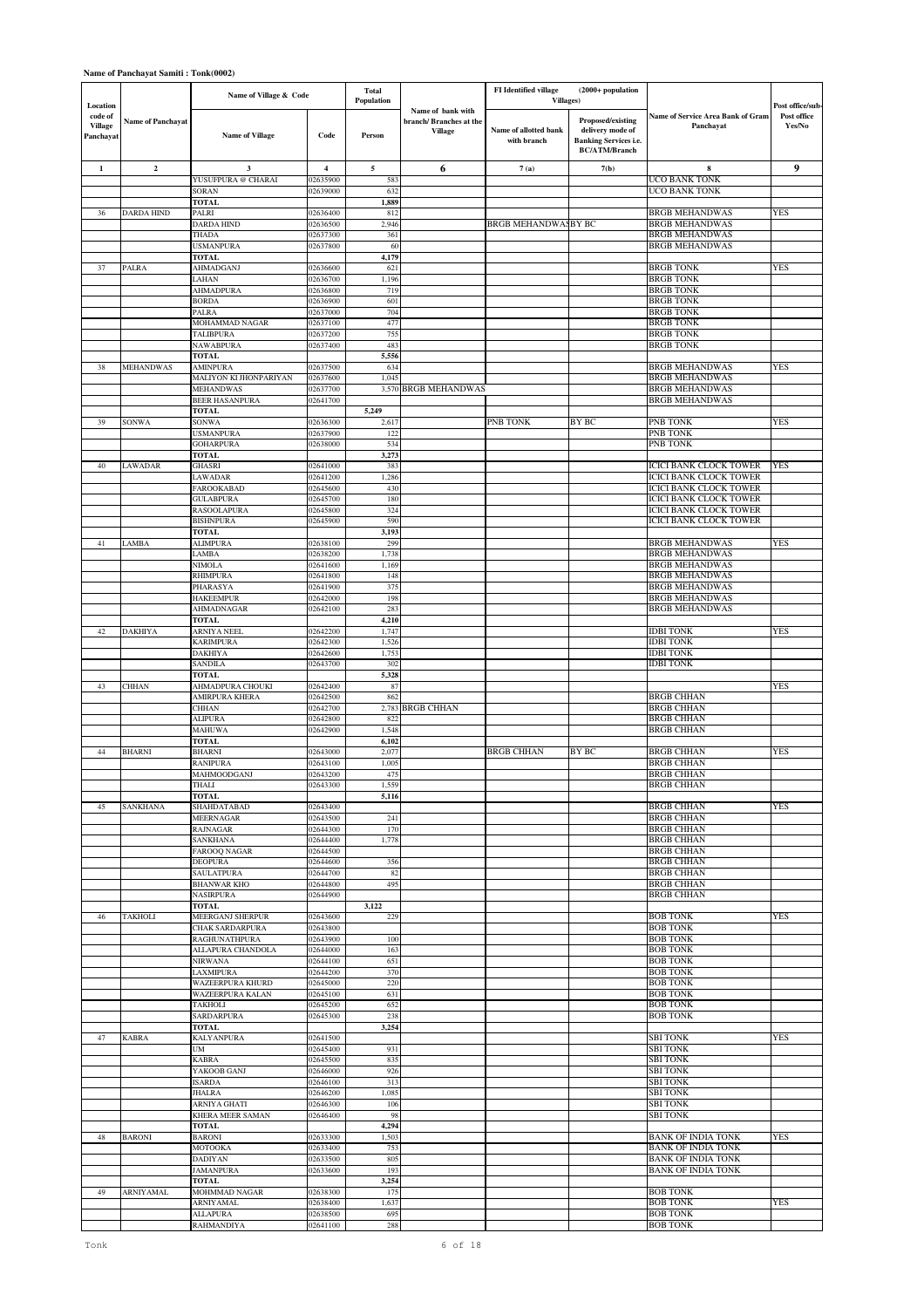|                                                    |                          | Name of Village & Code                     |                         | Total<br>Population |                                                               | FI Identified village<br>Villages)   | (2000+ population                                                                             |                                                                |                                          |
|----------------------------------------------------|--------------------------|--------------------------------------------|-------------------------|---------------------|---------------------------------------------------------------|--------------------------------------|-----------------------------------------------------------------------------------------------|----------------------------------------------------------------|------------------------------------------|
| Location<br>code of<br><b>Village</b><br>Panchayat | <b>Name of Panchayat</b> | <b>Name of Village</b>                     | Code                    | Person              | Name of bank with<br>branch/Branches at the<br><b>Village</b> | Name of allotted bank<br>with branch | Proposed/existing<br>delivery mode of<br><b>Banking Services i.e.</b><br><b>BC/ATM/Branch</b> | Name of Service Area Bank of Gram<br>Panchayat                 | Post office/sub<br>Post office<br>Yes/No |
| 1                                                  | $\mathbf 2$              | 3                                          | $\overline{\mathbf{4}}$ | 5                   | 6                                                             | 7(a)                                 | 7(b)                                                                                          | 8                                                              | 9                                        |
|                                                    |                          | YUSUFPURA @ CHARAI<br>SORAN                | 02635900<br>02639000    | 583<br>632          |                                                               |                                      |                                                                                               | UCO BANK TONK<br>UCO BANK TONK                                 |                                          |
|                                                    |                          | <b>TOTAL</b>                               |                         | 1,889               |                                                               |                                      |                                                                                               |                                                                |                                          |
| 36                                                 | DARDA HIND               | PALRI<br>DARDA HIND                        | 02636400<br>02636500    | 812<br>2,946        |                                                               | <b>BRGB MEHANDWASBY BC</b>           |                                                                                               | <b>BRGB MEHANDWAS</b><br><b>BRGB MEHANDWAS</b>                 | YES                                      |
|                                                    |                          | THADA                                      | 02637300                | 361                 |                                                               |                                      |                                                                                               | <b>BRGB MEHANDWAS</b>                                          |                                          |
|                                                    |                          | <b>USMANPURA</b><br>TOTAL                  | 02637800                | 60<br>4,179         |                                                               |                                      |                                                                                               | <b>BRGB MEHANDWAS</b>                                          |                                          |
| 37                                                 | PALRA                    | AHMADGANJ                                  | 02636600                | 621                 |                                                               |                                      |                                                                                               | <b>BRGB TONK</b>                                               | YES                                      |
|                                                    |                          | LAHAN<br>AHMADPURA                         | 02636700<br>02636800    | 1,196<br>719        |                                                               |                                      |                                                                                               | <b>BRGB TONK</b><br><b>BRGB TONK</b>                           |                                          |
|                                                    |                          | <b>BORDA</b>                               | 02636900                | 601                 |                                                               |                                      |                                                                                               | <b>BRGB TONK</b>                                               |                                          |
|                                                    |                          | PALRA<br>MOHAMMAD NAGAR                    | 02637000<br>02637100    | 704<br>477          |                                                               |                                      |                                                                                               | <b>BRGB TONK</b><br><b>BRGB TONK</b>                           |                                          |
|                                                    |                          | TALIBPURA                                  | 02637200                | 755                 |                                                               |                                      |                                                                                               | <b>BRGB TONK</b>                                               |                                          |
|                                                    |                          | <b>NAWABPURA</b><br><b>TOTAL</b>           | 02637400                | 483<br>5,556        |                                                               |                                      |                                                                                               | <b>BRGB TONK</b>                                               |                                          |
| 38                                                 | <b>MEHANDWAS</b>         | AMINPURA                                   | 02637500                | 634                 |                                                               |                                      |                                                                                               | <b>BRGB MEHANDWAS</b>                                          | YES                                      |
|                                                    |                          | MALIYON KI JHONPARIYAN<br><b>MEHANDWAS</b> | 02637600<br>02637700    | 1,045               | 3,570 BRGB MEHANDWAS                                          |                                      |                                                                                               | <b>BRGB MEHANDWAS</b><br><b>BRGB MEHANDWAS</b>                 |                                          |
|                                                    |                          | BEER HASANPURA                             | 02641700                |                     |                                                               |                                      |                                                                                               | <b>BRGB MEHANDWAS</b>                                          |                                          |
| 39                                                 | SONWA                    | <b>TOTAL</b><br>SONWA                      | 02636300                | 5,249<br>2,617      |                                                               | PNB TONK                             | BY BC                                                                                         | PNB TONK                                                       | YES                                      |
|                                                    |                          | <b>USMANPURA</b>                           | 02637900                | 122                 |                                                               |                                      |                                                                                               | PNB TONK                                                       |                                          |
|                                                    |                          | <b>GOHARPURA</b><br><b>TOTAL</b>           | 02638000                | 534<br>3,273        |                                                               |                                      |                                                                                               | PNB TONK                                                       |                                          |
| 40                                                 | LAWADAR                  | <b>GHASRI</b>                              | 02641000                | 383                 |                                                               |                                      |                                                                                               | <b>ICICI BANK CLOCK TOWER</b>                                  | YES                                      |
|                                                    |                          | LAWADAR<br><b>FAROOKABAD</b>               | 02641200<br>02645600    | 1,286<br>430        |                                                               |                                      |                                                                                               | <b>ICICI BANK CLOCK TOWER</b><br><b>ICICI BANK CLOCK TOWER</b> |                                          |
|                                                    |                          | <b>GULABPURA</b>                           | 02645700                | 180                 |                                                               |                                      |                                                                                               | <b>ICICI BANK CLOCK TOWER</b>                                  |                                          |
|                                                    |                          | <b>RASOOLAPURA</b><br><b>BISHNPURA</b>     | 02645800<br>02645900    | 324<br>590          |                                                               |                                      |                                                                                               | ICICI BANK CLOCK TOWER<br>ICICI BANK CLOCK TOWER               |                                          |
|                                                    |                          | <b>TOTAL</b>                               |                         | 3,193               |                                                               |                                      |                                                                                               |                                                                |                                          |
| 41                                                 | LAMBA                    | <b>ALIMPURA</b><br>LAMBA                   | 02638100<br>02638200    | 299<br>1,738        |                                                               |                                      |                                                                                               | <b>BRGB MEHANDWAS</b><br><b>BRGB MEHANDWAS</b>                 | YES                                      |
|                                                    |                          | <b>NIMOLA</b>                              | 02641600                | 1,169               |                                                               |                                      |                                                                                               | <b>BRGB MEHANDWAS</b>                                          |                                          |
|                                                    |                          | <b>RHIMPURA</b><br>PHARASYA                | 02641800<br>02641900    | 148<br>375          |                                                               |                                      |                                                                                               | <b>BRGB MEHANDWAS</b><br><b>BRGB MEHANDWAS</b>                 |                                          |
|                                                    |                          | <b>HAKEEMPUR</b>                           | 02642000                | 198                 |                                                               |                                      |                                                                                               | <b>BRGB MEHANDWAS</b>                                          |                                          |
|                                                    |                          | AHMADNAGAR<br><b>TOTAL</b>                 | 02642100                | 283<br>4,210        |                                                               |                                      |                                                                                               | <b>BRGB MEHANDWAS</b>                                          |                                          |
| 42                                                 | <b>DAKHIYA</b>           | ARNIYA NEEL                                | 02642200                | 1,747               |                                                               |                                      |                                                                                               | <b>IDBI TONK</b>                                               | YES                                      |
|                                                    |                          | <b>KARIMPURA</b><br><b>DAKHIYA</b>         | 02642300<br>02642600    | 1,526<br>1,753      |                                                               |                                      |                                                                                               | <b>IDBI TONK</b><br><b>IDBI TONK</b>                           |                                          |
|                                                    |                          | <b>SANDILA</b>                             | 02643700                | 302                 |                                                               |                                      |                                                                                               | <b>IDBI TONK</b>                                               |                                          |
| 43                                                 | <b>CHHAN</b>             | <b>TOTAL</b><br>AHMADPURA CHOUKI           | 02642400                | 5,328<br>87         |                                                               |                                      |                                                                                               |                                                                | YES                                      |
|                                                    |                          | AMIRPURA KHERA                             | 02642500                | 862                 |                                                               |                                      |                                                                                               | <b>BRGB CHHAN</b>                                              |                                          |
|                                                    |                          | <b>CHHAN</b><br><b>ALIPURA</b>             | 02642700<br>02642800    | 2,783<br>822        | <b>BRGB CHHAN</b>                                             |                                      |                                                                                               | <b>BRGB CHHAN</b><br><b>BRGB CHHAN</b>                         |                                          |
|                                                    |                          | MAHUWA                                     | 02642900                | 1,548               |                                                               |                                      |                                                                                               | <b>BRGB CHHAN</b>                                              |                                          |
| 44                                                 | <b>BHARNI</b>            | <b>TOTAL</b><br><b>BHARNI</b>              | 02643000                | 6,102<br>2,077      |                                                               | <b>BRGB CHHAN</b>                    | BY BC                                                                                         | BRGB CHHAN                                                     | YES                                      |
|                                                    |                          | <b>RANIPURA</b>                            | 02643100                | 1,005               |                                                               |                                      |                                                                                               | <b>BRGB CHHAN</b>                                              |                                          |
|                                                    |                          | MAHMOODGANJ<br>THALI                       | 02643200<br>02643300    | 475<br>1,559        |                                                               |                                      |                                                                                               | <b>BRGB CHHAN</b><br><b>BRGB CHHAN</b>                         |                                          |
|                                                    |                          | <b>TOTAL</b>                               |                         | 5,116               |                                                               |                                      |                                                                                               |                                                                |                                          |
| 45                                                 | <b>SANKHANA</b>          | SHAHDATABAD<br>MEERNAGAR                   | 02643400<br>02643500    | 241                 |                                                               |                                      |                                                                                               | <b>BRGB CHHAN</b><br><b>BRGB CHHAN</b>                         | YES                                      |
|                                                    |                          | <b>RAJNAGAR</b>                            | 02644300                | 170                 |                                                               |                                      |                                                                                               | <b>BRGB CHHAN</b>                                              |                                          |
|                                                    |                          | SANKHANA<br><b>FAROOQ NAGAR</b>            | 02644400<br>02644500    | 1,778               |                                                               |                                      |                                                                                               | <b>BRGB CHHAN</b><br><b>BRGB CHHAN</b>                         |                                          |
|                                                    |                          | <b>DEOPURA</b>                             | 02644600                | 356                 |                                                               |                                      |                                                                                               | <b>BRGB CHHAN</b>                                              |                                          |
|                                                    |                          | <b>SAULATPURA</b><br><b>BHANWAR KHO</b>    | 02644700<br>02644800    | 82<br>495           |                                                               |                                      |                                                                                               | <b>BRGB CHHAN</b><br><b>BRGB CHHAN</b>                         |                                          |
|                                                    |                          | NASIRPURA                                  | 02644900                |                     |                                                               |                                      |                                                                                               | <b>BRGB CHHAN</b>                                              |                                          |
| 46                                                 | <b>TAKHOLI</b>           | <b>TOTAL</b><br>MEERGANJ SHERPUR           | 02643600                | 3,122<br>229        |                                                               |                                      |                                                                                               | <b>BOB TONK</b>                                                | YES                                      |
|                                                    |                          | <b>CHAK SARDARPURA</b>                     | 02643800                |                     |                                                               |                                      |                                                                                               | <b>BOB TONK</b>                                                |                                          |
|                                                    |                          | RAGHUNATHPURA<br>ALLAPURA CHANDOLA         | 02643900<br>02644000    | 100<br>163          |                                                               |                                      |                                                                                               | <b>BOB TONK</b><br><b>BOB TONK</b>                             |                                          |
|                                                    |                          | <b>NIRWANA</b>                             | 02644100                | 651                 |                                                               |                                      |                                                                                               | <b>BOB TONK</b>                                                |                                          |
|                                                    |                          | <b>LAXMIPURA</b><br>WAZEERPURA KHURD       | 02644200<br>02645000    | 370<br>220          |                                                               |                                      |                                                                                               | <b>BOB TONK</b><br><b>BOB TONK</b>                             |                                          |
|                                                    |                          | <b>WAZEERPURA KALAN</b>                    | 02645100                | 631                 |                                                               |                                      |                                                                                               | <b>BOB TONK</b>                                                |                                          |
|                                                    |                          | <b>TAKHOLI</b><br>SARDARPURA               | 02645200<br>02645300    | 652<br>238          |                                                               |                                      |                                                                                               | <b>BOB TONK</b><br><b>BOB TONK</b>                             |                                          |
|                                                    | <b>KABRA</b>             | <b>TOTAL</b>                               |                         | 3,254               |                                                               |                                      |                                                                                               | <b>SBI TONK</b>                                                | YES                                      |
| 47                                                 |                          | <b>KALYANPURA</b><br>UM                    | 02641500<br>02645400    | 931                 |                                                               |                                      |                                                                                               | <b>SBI TONK</b>                                                |                                          |
|                                                    |                          | <b>KABRA</b>                               | 02645500                | 835<br>926          |                                                               |                                      |                                                                                               | <b>SBI TONK</b><br>SBI TONK                                    |                                          |
|                                                    |                          | YAKOOB GANJ<br><b>ISARDA</b>               | 02646000<br>02646100    | 313                 |                                                               |                                      |                                                                                               | SBI TONK                                                       |                                          |
|                                                    |                          | <b>JHALRA</b>                              | 02646200                | 1,085               |                                                               |                                      |                                                                                               | <b>SBI TONK</b><br><b>SBI TONK</b>                             |                                          |
|                                                    |                          | ARNIYA GHATI<br><b>KHERA MEER SAMAN</b>    | 02646300<br>02646400    | 106<br>98           |                                                               |                                      |                                                                                               | SBI TONK                                                       |                                          |
| $48\,$                                             | <b>BARONI</b>            | TOTAL<br><b>BARONI</b>                     | 02633300                | 4,294<br>1,503      |                                                               |                                      |                                                                                               | <b>BANK OF INDIA TONK</b>                                      | YES                                      |
|                                                    |                          | MOTOOKA                                    | 02633400                | 753                 |                                                               |                                      |                                                                                               | <b>BANK OF INDIA TONK</b>                                      |                                          |
|                                                    |                          | <b>DADIYAN</b>                             | 02633500                | 805<br>193          |                                                               |                                      |                                                                                               | <b>BANK OF INDIA TONK</b><br><b>BANK OF INDIA TONK</b>         |                                          |
|                                                    |                          | <b>JAMANPURA</b><br><b>TOTAL</b>           | 02633600                | 3,254               |                                                               |                                      |                                                                                               |                                                                |                                          |
| 49                                                 | <b>ARNIYAMAL</b>         | MOHMMAD NAGAR<br>ARNIYAMAL                 | 02638300<br>02638400    | 175<br>1,637        |                                                               |                                      |                                                                                               | <b>BOB TONK</b><br><b>BOB TONK</b>                             | YES                                      |
|                                                    |                          | <b>ALLAPURA</b>                            | 02638500                | 695                 |                                                               |                                      |                                                                                               | <b>BOB TONK</b>                                                |                                          |
|                                                    |                          | RAHMANDIYA                                 | 02641100                | 288                 |                                                               |                                      |                                                                                               | <b>BOB TONK</b>                                                |                                          |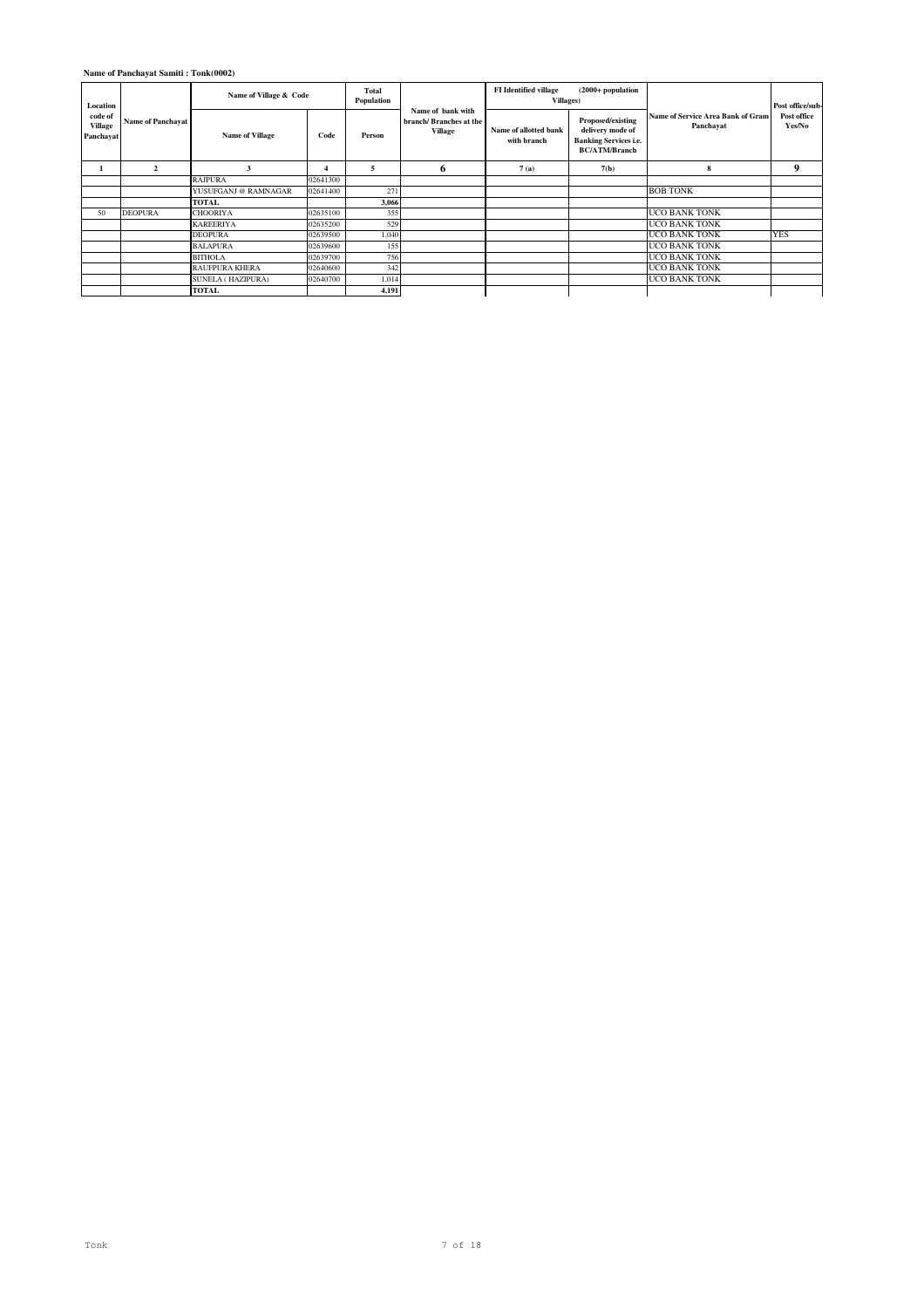| Location                                                                      |                        | Name of Village & Code   |          | Total<br>Population                                    |                                      | <b>FI</b> Identified village<br><b>Villages</b> )                                             | $(2000+$ population                                   |                       | Post office/sub- |
|-------------------------------------------------------------------------------|------------------------|--------------------------|----------|--------------------------------------------------------|--------------------------------------|-----------------------------------------------------------------------------------------------|-------------------------------------------------------|-----------------------|------------------|
| code of<br><b>Name of Panchayat</b><br>Village<br>Panchayat<br>$\overline{2}$ | <b>Name of Village</b> | Code                     | Person   | Name of bank with<br>branch/Branches at the<br>Village | Name of allotted bank<br>with branch | Proposed/existing<br>delivery mode of<br><b>Banking Services i.e.</b><br><b>BC/ATM/Branch</b> | <b>Name of Service Area Bank of Gram</b><br>Panchayat | Post office<br>Yes/No |                  |
|                                                                               |                        | 3                        |          | 5                                                      | 6                                    | 7(a)                                                                                          | 7(b)                                                  | 8                     | 9                |
|                                                                               |                        | <b>RAJPURA</b>           | 02641300 |                                                        |                                      |                                                                                               |                                                       |                       |                  |
|                                                                               |                        | YUSUFGANJ @ RAMNAGAR     | 02641400 | 271                                                    |                                      |                                                                                               |                                                       | <b>BOB TONK</b>       |                  |
|                                                                               |                        | TOTAL                    |          | 3,066                                                  |                                      |                                                                                               |                                                       |                       |                  |
| 50                                                                            | <b>DEOPURA</b>         | <b>CHOORIYA</b>          | 02635100 | 355                                                    |                                      |                                                                                               |                                                       | <b>UCO BANK TONK</b>  |                  |
|                                                                               |                        | <b>KAREERIYA</b>         | 02635200 | 529                                                    |                                      |                                                                                               |                                                       | <b>UCO BANK TONK</b>  |                  |
|                                                                               |                        | <b>DEOPURA</b>           | 02639500 | 1.040                                                  |                                      |                                                                                               |                                                       | <b>UCO BANK TONK</b>  | <b>YES</b>       |
|                                                                               |                        | <b>BALAPURA</b>          | 02639600 | 155                                                    |                                      |                                                                                               |                                                       | <b>UCO BANK TONK</b>  |                  |
|                                                                               |                        | <b>BITHOLA</b>           | 02639700 | 756                                                    |                                      |                                                                                               |                                                       | <b>UCO BANK TONK</b>  |                  |
|                                                                               |                        | <b>RAUFPURA KHERA</b>    | 02640600 | 342                                                    |                                      |                                                                                               |                                                       | <b>UCO BANK TONK</b>  |                  |
|                                                                               |                        | <b>SUNELA (HAZIPURA)</b> | 02640700 | 1,014                                                  |                                      |                                                                                               |                                                       | <b>UCO BANK TONK</b>  |                  |
|                                                                               |                        | TOTAL                    |          | 4,191                                                  |                                      |                                                                                               |                                                       |                       |                  |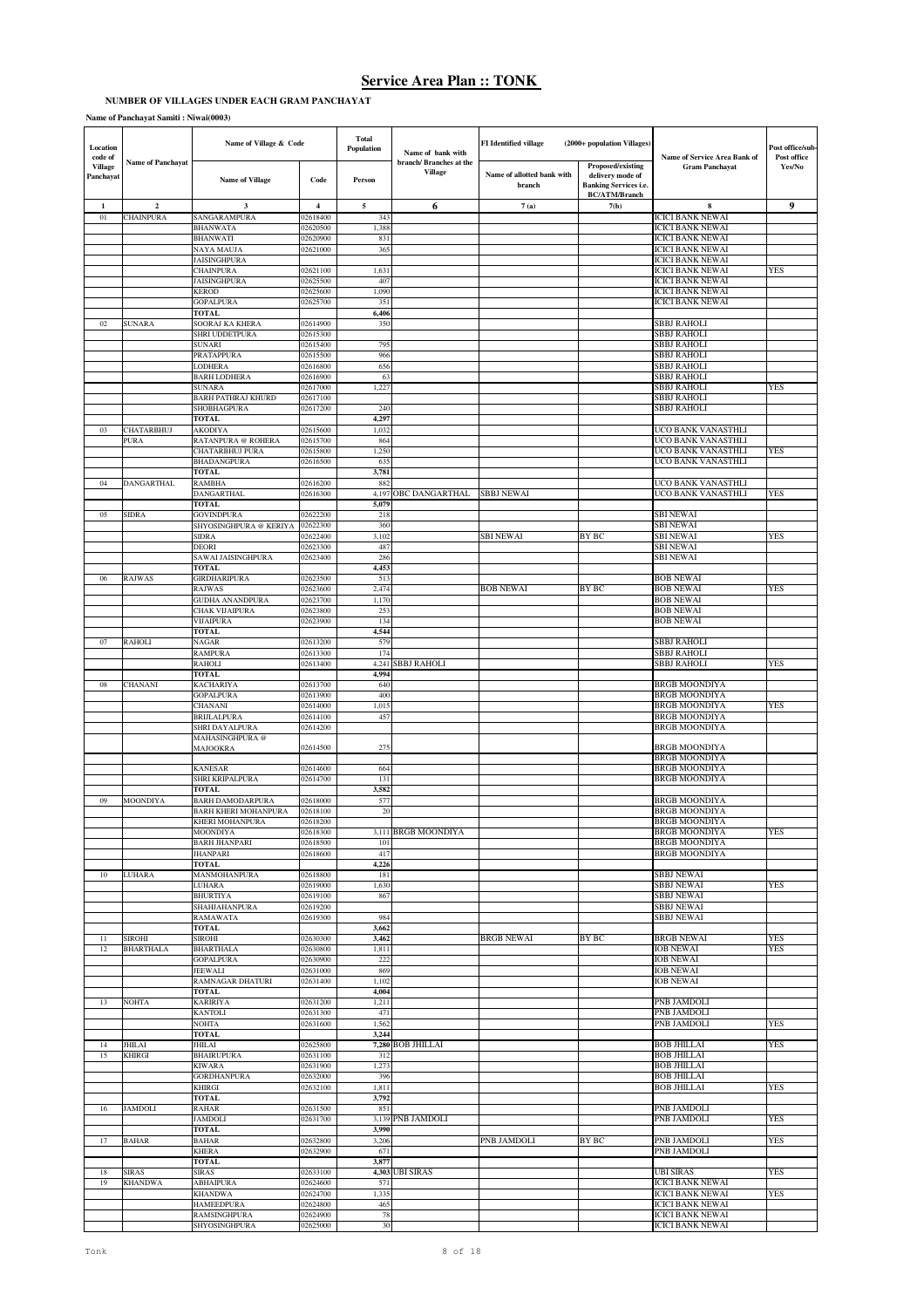## **NUMBER OF VILLAGES UNDER EACH GRAM PANCHAYAT**

**Name of Panchayat Samiti : Niwai(0003)**

| Location<br>code of  |                                | Name of Village & Code                                 |                      | <b>Total</b><br>Population | Name of bank with                  | <b>FI</b> Identified village         | (2000+ population Villages)                                                                   | Name of Service Area Bank of                       | Post office/sub<br>Post office |
|----------------------|--------------------------------|--------------------------------------------------------|----------------------|----------------------------|------------------------------------|--------------------------------------|-----------------------------------------------------------------------------------------------|----------------------------------------------------|--------------------------------|
| Village<br>Panchayat | <b>Name of Panchayat</b>       | <b>Name of Village</b>                                 | Code                 | Person                     | branch/ Branches at the<br>Village | Name of allotted bank with<br>branch | Proposed/existing<br>delivery mode of<br><b>Banking Services i.e.</b><br><b>BC/ATM/Branch</b> | <b>Gram Panchayat</b>                              | Yes/No                         |
| $\mathbf{1}$         | $\overline{2}$                 | $\overline{\mathbf{3}}$                                | $\overline{4}$       | $\sqrt{5}$                 | 6                                  | 7(a)                                 | 7(b)                                                                                          | 8                                                  | 9                              |
| 01                   | CHAINPURA                      | SANGARAMPURA<br><b>BHANWATA</b>                        | 02618400<br>02620500 | 343<br>1,388               |                                    |                                      |                                                                                               | <b>ICICI BANK NEWAI</b><br><b>ICICI BANK NEWAI</b> |                                |
|                      |                                | <b>BHANWATI</b>                                        | 02620900             | 831                        |                                    |                                      |                                                                                               | <b>ICICI BANK NEWAI</b>                            |                                |
|                      |                                | NAYA MAUJA                                             | 02621000             | 365                        |                                    |                                      |                                                                                               | <b>ICICI BANK NEWAI</b>                            |                                |
|                      |                                | <b>JAISINGHPURA</b><br><b>CHAINPURA</b>                | 02621100             | 1,63                       |                                    |                                      |                                                                                               | <b>ICICI BANK NEWAI</b><br><b>ICICI BANK NEWAI</b> | YES                            |
|                      |                                | <b>JAISINGHPURA</b>                                    | 02625500             | 407                        |                                    |                                      |                                                                                               | <b>ICICI BANK NEWAI</b>                            |                                |
|                      |                                | <b>KEROD</b>                                           | 02625600             | 1,090                      |                                    |                                      |                                                                                               | <b>ICICI BANK NEWAI</b>                            |                                |
|                      |                                | <b>GOPALPURA</b><br><b>TOTAL</b>                       | 02625700             | 351<br>6,406               |                                    |                                      |                                                                                               | <b>ICICI BANK NEWAI</b>                            |                                |
| 02                   | SUNARA                         | SOORAJ KA KHERA                                        | 02614900             | 350                        |                                    |                                      |                                                                                               | SBBJ RAHOLI                                        |                                |
|                      |                                | SHRI UDDETPURA<br><b>SUNARI</b>                        | 02615300             |                            |                                    |                                      |                                                                                               | SBBJ RAHOLI                                        |                                |
|                      |                                | PRATAPPURA                                             | 02615400<br>02615500 | 795<br>966                 |                                    |                                      |                                                                                               | <b>SBBJ RAHOLI</b><br>SBBJ RAHOLI                  |                                |
|                      |                                | <b>LODHERA</b>                                         | 02616800             | 656                        |                                    |                                      |                                                                                               | SBBJ RAHOLI                                        |                                |
|                      |                                | <b>BARH LODHERA</b><br><b>SUNARA</b>                   | 02616900<br>02617000 | 63<br>1,227                |                                    |                                      |                                                                                               | SBBJ RAHOLI<br><b>SBBJ RAHOLI</b>                  | YES                            |
|                      |                                | <b>BARH PATHRAJ KHURD</b>                              | 02617100             |                            |                                    |                                      |                                                                                               | SBBJ RAHOLI                                        |                                |
|                      |                                | SHOBHAGPURA                                            | 02617200             | 240                        |                                    |                                      |                                                                                               | SBBJ RAHOLI                                        |                                |
| 03                   | CHATARBHUJ                     | <b>TOTAL</b><br><b>AKODIYA</b>                         | 02615600             | 4,297<br>1,032             |                                    |                                      |                                                                                               | UCO BANK VANASTHLI                                 |                                |
|                      | PURA                           | RATANPURA @ ROHERA                                     | 02615700             | 864                        |                                    |                                      |                                                                                               | UCO BANK VANASTHLI                                 |                                |
|                      |                                | <b>CHATARBHUJ PURA</b>                                 | 02615800             | 1,250                      |                                    |                                      |                                                                                               | UCO BANK VANASTHLI                                 | YES                            |
|                      |                                | BHADANGPURA<br><b>TOTAL</b>                            | 02616500             | 635<br>3,781               |                                    |                                      |                                                                                               | UCO BANK VANASTHLI                                 |                                |
| 04                   | <b>DANGARTHAL</b>              | <b>RAMBHA</b>                                          | 02616200             | 882                        |                                    |                                      |                                                                                               | UCO BANK VANASTHLI                                 |                                |
|                      |                                | DANGARTHAL                                             | 02616300             | 4,197                      | <b>OBC DANGARTHAL</b>              | <b>SBBJ NEWAI</b>                    |                                                                                               | UCO BANK VANASTHLI                                 | YES                            |
| 05                   | <b>SIDRA</b>                   | <b>TOTAL</b><br><b>GOVINDPURA</b>                      | 02622200             | 5,079<br>218               |                                    |                                      |                                                                                               | <b>SBI NEWAI</b>                                   |                                |
|                      |                                | SHYOSINGHPURA @ KERIYA                                 | 02622300             | 360                        |                                    |                                      |                                                                                               | SBI NEWAI                                          |                                |
|                      |                                | <b>SIDRA</b>                                           | 02622400             | 3,102                      |                                    | <b>SBI NEWAI</b>                     | <b>BY BC</b>                                                                                  | <b>SBI NEWAI</b>                                   | YES                            |
|                      |                                | <b>DEORI</b><br>SAWAI JAISINGHPURA                     | 02623300<br>02623400 | 487<br>286                 |                                    |                                      |                                                                                               | <b>SBI NEWAI</b><br><b>SBI NEWAI</b>               |                                |
|                      |                                | <b>TOTAL</b>                                           |                      | 4,453                      |                                    |                                      |                                                                                               |                                                    |                                |
| 06                   | RAJWAS                         | <b>GIRDHARIPURA</b>                                    | 02623500             | 513                        |                                    |                                      |                                                                                               | <b>BOB NEWAI</b>                                   |                                |
|                      |                                | RAJWAS<br><b>GUDHA ANANDPURA</b>                       | 02623600<br>02623700 | 2,474<br>1,170             |                                    | <b>BOB NEWAI</b>                     | BY BC                                                                                         | <b>BOB NEWAI</b><br><b>BOB NEWAI</b>               | YES                            |
|                      |                                | CHAK VIJAIPURA                                         | 02623800             | 253                        |                                    |                                      |                                                                                               | <b>BOB NEWAI</b>                                   |                                |
|                      |                                | <b>VIJAIPURA</b>                                       | 02623900             | 134                        |                                    |                                      |                                                                                               | <b>BOB NEWAI</b>                                   |                                |
|                      | <b>RAHOLI</b>                  | <b>TOTAL</b>                                           |                      | 4,544                      |                                    |                                      |                                                                                               | <b>SBBJ RAHOLI</b>                                 |                                |
| 07                   |                                | <b>NAGAR</b><br><b>RAMPURA</b>                         | 02613200<br>02613300 | 579<br>174                 |                                    |                                      |                                                                                               | <b>SBBJ RAHOLI</b>                                 |                                |
|                      |                                | RAHOLI                                                 | 02613400             | 4,241                      | SBBJ RAHOLI                        |                                      |                                                                                               | SBBJ RAHOLI                                        | YES                            |
| 08                   | <b>CHANANI</b>                 | <b>TOTAL</b><br><b>KACHARIYA</b>                       | 02613700             | 4,994<br>640               |                                    |                                      |                                                                                               | <b>BRGB MOONDIYA</b>                               |                                |
|                      |                                | <b>GOPALPURA</b>                                       | 02613900             | 400                        |                                    |                                      |                                                                                               | <b>BRGB MOONDIYA</b>                               |                                |
|                      |                                | CHANANI                                                | 02614000             | 1,015                      |                                    |                                      |                                                                                               | <b>BRGB MOONDIYA</b>                               | YES                            |
|                      |                                | <b>BRIJLALPURA</b><br>SHRI DAYALPURA                   | 02614100<br>02614200 | 457                        |                                    |                                      |                                                                                               | <b>BRGB MOONDIYA</b><br><b>BRGB MOONDIYA</b>       |                                |
|                      |                                | MAHASINGHPURA @                                        |                      |                            |                                    |                                      |                                                                                               |                                                    |                                |
|                      |                                | <b>MAJOOKRA</b>                                        | 02614500             | 275                        |                                    |                                      |                                                                                               | <b>BRGB MOONDIYA</b>                               |                                |
|                      |                                | <b>KANESAR</b>                                         | 02614600             | 664                        |                                    |                                      |                                                                                               | <b>BRGB MOONDIYA</b><br><b>BRGB MOONDIYA</b>       |                                |
|                      |                                | SHRI KRIPALPURA                                        | 02614700             | 131                        |                                    |                                      |                                                                                               | <b>BRGB MOONDIYA</b>                               |                                |
|                      |                                | <b>TOTAL</b>                                           |                      | 3,582                      |                                    |                                      |                                                                                               |                                                    |                                |
| 09                   | MOONDIYA                       | <b>BARH DAMODARPURA</b><br><b>BARH KHERI MOHANPURA</b> | 02618000<br>02618100 | 577<br>20                  |                                    |                                      |                                                                                               | <b>BRGB MOONDIYA</b><br><b>BRGB MOONDIYA</b>       |                                |
|                      |                                | KHERI MOHANPURA                                        | 2618200              |                            |                                    |                                      |                                                                                               | BRGB MOONDIYA                                      |                                |
|                      |                                | MOONDIYA                                               | 02618300             |                            | 3,111 BRGB MOONDIYA                |                                      |                                                                                               | <b>BRGB MOONDIYA</b>                               | <b>YES</b>                     |
|                      |                                | <b>BARH JHANPARI</b><br><b>JHANPARI</b>                | 02618500<br>02618600 | 101<br>417                 |                                    |                                      |                                                                                               | <b>BRGB MOONDIYA</b><br><b>BRGB MOONDIYA</b>       |                                |
|                      |                                | <b>TOTAL</b>                                           |                      | 4,226                      |                                    |                                      |                                                                                               |                                                    |                                |
| 10                   | <b>LUHARA</b>                  | MANMOHANPURA                                           | 02618800             | 181                        |                                    |                                      |                                                                                               | <b>SBBJ NEWAI</b>                                  |                                |
|                      |                                | <b>LUHARA</b><br><b>BHURTIYA</b>                       | 02619000<br>02619100 | 1,630<br>867               |                                    |                                      |                                                                                               | <b>SBBJ NEWAI</b><br><b>SBBJ NEWAI</b>             | YES                            |
|                      |                                | SHAHJAHANPURA                                          | 02619200             |                            |                                    |                                      |                                                                                               | <b>SBBJ NEWAI</b>                                  |                                |
|                      |                                | RAMAWATA<br><b>TOTAL</b>                               | 02619300             | 984<br>3,662               |                                    |                                      |                                                                                               | <b>SBBJ NEWAI</b>                                  |                                |
| 11                   | SIROHI                         | SIROHI                                                 | 02630300             | 3,462                      |                                    | <b>BRGB NEWAI</b>                    | BY BC                                                                                         | <b>BRGB NEWAI</b>                                  | YES                            |
| 12                   | <b>BHARTHALA</b>               | <b>BHARTHALA</b>                                       | 02630800             | 1,811                      |                                    |                                      |                                                                                               | <b>IOB NEWAI</b>                                   | YES                            |
|                      |                                | <b>GOPALPURA</b><br><b>JEEWALI</b>                     | 02630900<br>02631000 | 222<br>869                 |                                    |                                      |                                                                                               | <b>IOB NEWAI</b><br><b>IOB NEWAI</b>               |                                |
|                      |                                | RAMNAGAR DHATURI                                       | 02631400             | 1,102                      |                                    |                                      |                                                                                               | <b>IOB NEWAI</b>                                   |                                |
|                      |                                | <b>TOTAL</b>                                           |                      | 4,004                      |                                    |                                      |                                                                                               |                                                    |                                |
| 13                   | <b>NOHTA</b>                   | <b>KARIRIYA</b><br><b>KANTOLI</b>                      | 02631200<br>02631300 | 1,211<br>471               |                                    |                                      |                                                                                               | <b>PNB JAMDOLI</b><br>PNB JAMDOLI                  |                                |
|                      |                                | NOHTA                                                  | 02631600             | 1,562                      |                                    |                                      |                                                                                               | PNB JAMDOLI                                        | YES                            |
|                      |                                | <b>TOTAL</b>                                           |                      | 3,244                      |                                    |                                      |                                                                                               |                                                    |                                |
| 14<br>15             | <b>JHILAI</b><br>KHIRGI        | JHILAI<br><b>BHAIRUPURA</b>                            | 02625800<br>02631100 | 312                        | 7,280 BOB JHILLAI                  |                                      |                                                                                               | <b>BOB JHILLAI</b><br><b>BOB JHILLAI</b>           | <b>YES</b>                     |
|                      |                                | <b>KIWARA</b>                                          | 02631900             | 1,273                      |                                    |                                      |                                                                                               | <b>BOB JHILLAI</b>                                 |                                |
|                      |                                | <b>GORDHANPURA</b>                                     | 02632000             | 396                        |                                    |                                      |                                                                                               | <b>BOB JHILLAI</b>                                 |                                |
|                      |                                | <b>KHIRGI</b><br><b>TOTAL</b>                          | 02632100             | 1,811<br>3,792             |                                    |                                      |                                                                                               | <b>BOB JHILLAI</b>                                 | YES                            |
| 16                   | <b>JAMDOLI</b>                 | RAHAR                                                  | 02631500             | 851                        |                                    |                                      |                                                                                               | PNB JAMDOLI                                        |                                |
|                      |                                | <b>JAMDOLI</b>                                         | 02631700             |                            | 3,139 PNB JAMDOLI                  |                                      |                                                                                               | PNB JAMDOLI                                        | <b>YES</b>                     |
| 17                   | <b>BAHAR</b>                   | <b>TOTAL</b><br><b>BAHAR</b>                           | 02632800             | 3,990<br>3,206             |                                    | PNB JAMDOLI                          | <b>BY BC</b>                                                                                  | PNB JAMDOLI                                        | YES                            |
|                      |                                | <b>KHERA</b>                                           | 02632900             | 671                        |                                    |                                      |                                                                                               | PNB JAMDOLI                                        |                                |
|                      |                                | <b>TOTAL</b>                                           |                      | 3,877                      |                                    |                                      |                                                                                               |                                                    |                                |
| 18<br>19             | <b>SIRAS</b><br><b>KHANDWA</b> | SIRAS<br>ABHAIPURA                                     | 02633100<br>02624600 | 571                        | 4,303 UBI SIRAS                    |                                      |                                                                                               | <b>UBI SIRAS</b><br><b>ICICI BANK NEWAI</b>        | YES                            |
|                      |                                | KHANDWA                                                | 02624700             | 1,335                      |                                    |                                      |                                                                                               | <b>ICICI BANK NEWAI</b>                            | YES                            |
|                      |                                | <b>HAMEEDPURA</b>                                      | 02624800             | 465                        |                                    |                                      |                                                                                               | <b>ICICI BANK NEWAI</b>                            |                                |
|                      |                                | <b>RAMSINGHPURA</b><br>SHYOSINGHPURA                   | 02624900<br>02625000 | 78<br>30                   |                                    |                                      |                                                                                               | <b>ICICI BANK NEWAI</b><br><b>ICICI BANK NEWAI</b> |                                |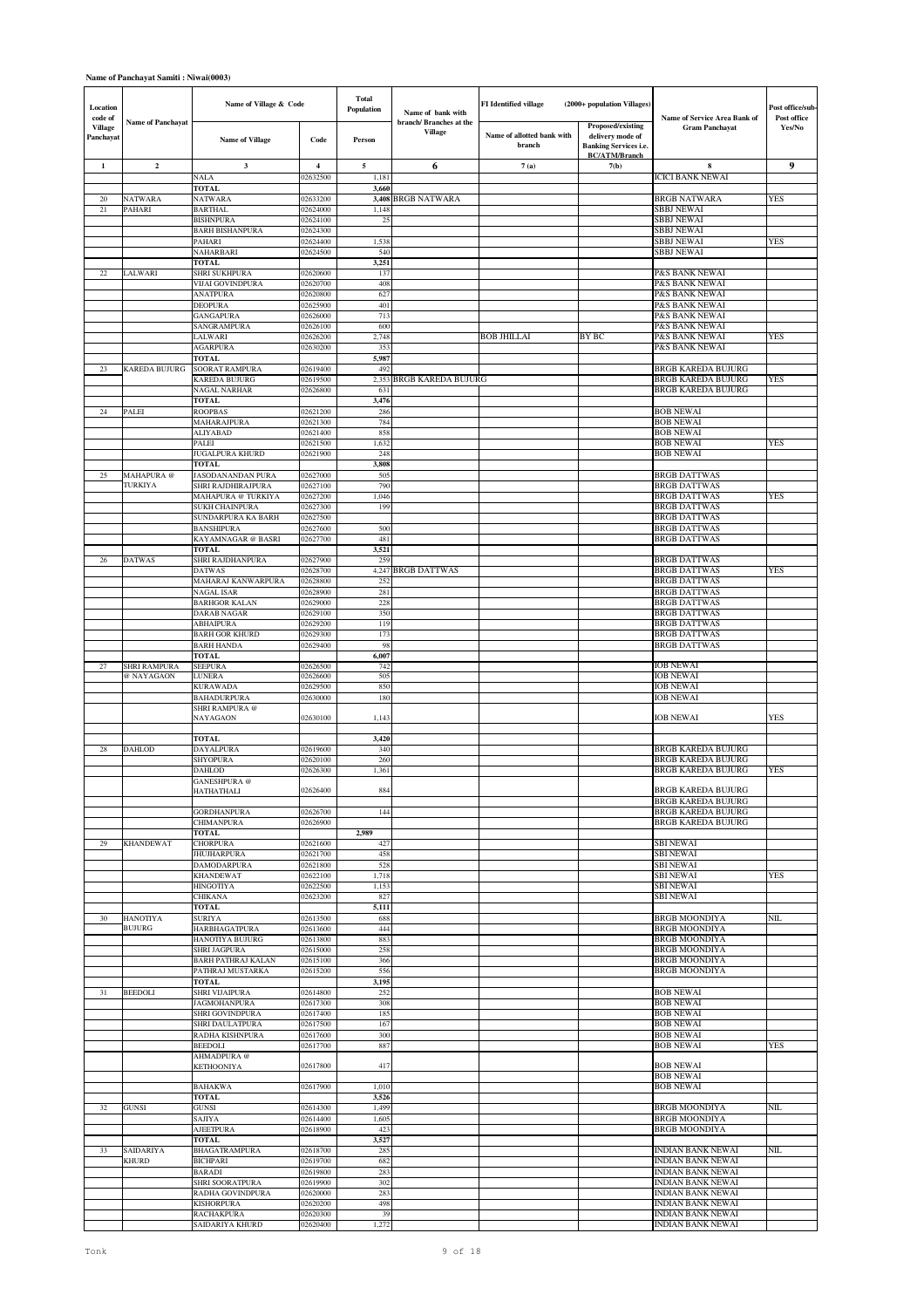### **Name of Panchayat Samiti : Niwai(0003)**

| Location<br>code of  | <b>Name of Panchayat</b> | Name of Village & Code                  |                         | <b>Total</b><br>Population | Name of bank with<br>branch/ Branches at the | <b>FI</b> Identified village         | (2000+ population Villages)                                                                          | Name of Service Area Bank of                         | Post office/sub<br>Post office |
|----------------------|--------------------------|-----------------------------------------|-------------------------|----------------------------|----------------------------------------------|--------------------------------------|------------------------------------------------------------------------------------------------------|------------------------------------------------------|--------------------------------|
| Village<br>Panchayat |                          | <b>Name of Village</b>                  | Code                    | Person                     | Village                                      | Name of allotted bank with<br>branch | <b>Proposed/existing</b><br>delivery mode of<br><b>Banking Services i.e.</b><br><b>BC/ATM/Branch</b> | <b>Gram Panchayat</b>                                | Yes/No                         |
| 1                    | $\mathbf 2$              | $\mathbf{3}$                            | $\overline{\mathbf{4}}$ | $\sqrt{5}$                 | 6                                            | 7(a)                                 | 7(b)                                                                                                 | 8                                                    | $\boldsymbol{9}$               |
|                      |                          | <b>NALA</b><br><b>TOTAL</b>             | 02632500                | 1,181<br>3,660             |                                              |                                      |                                                                                                      | <b>ICICI BANK NEWAI</b>                              |                                |
| 20                   | NATWARA                  | NATWARA                                 | 02633200                |                            | 3,408 BRGB NATWARA                           |                                      |                                                                                                      | <b>BRGB NATWARA</b>                                  | YES                            |
| $21\,$               | PAHARI                   | <b>BARTHAL</b><br><b>BISHNPURA</b>      | 02624000<br>02624100    | 1,148<br>25                |                                              |                                      |                                                                                                      | SBBJ NEWAI<br><b>SBBJ NEWAI</b>                      |                                |
|                      |                          | <b>BARH BISHANPURA</b>                  | 02624300                |                            |                                              |                                      |                                                                                                      | <b>SBBJ NEWAI</b>                                    |                                |
|                      |                          | PAHARI                                  | 02624400                | 1,538                      |                                              |                                      |                                                                                                      | SBBJ NEWAI                                           | YES                            |
|                      |                          | NAHARBARI<br><b>TOTAL</b>               | 02624500                | 540<br>3,251               |                                              |                                      |                                                                                                      | <b>SBBJ NEWAI</b>                                    |                                |
| 22                   | LALWARI                  | SHRI SUKHPURA                           | 02620600                | 137                        |                                              |                                      |                                                                                                      | P&S BANK NEWAI                                       |                                |
|                      |                          | VIJAI GOVINDPURA                        | 02620700                | 408                        |                                              |                                      |                                                                                                      | P&S BANK NEWAI                                       |                                |
|                      |                          | ANATPURA<br><b>DEOPURA</b>              | 02620800<br>02625900    | 627<br>401                 |                                              |                                      |                                                                                                      | P&S BANK NEWAI<br><b>P&amp;S BANK NEWAI</b>          |                                |
|                      |                          | <b>GANGAPURA</b>                        | 02626000                | 713                        |                                              |                                      |                                                                                                      | P&S BANK NEWAI                                       |                                |
|                      |                          | SANGRAMPURA                             | 02626100                | 600                        |                                              |                                      |                                                                                                      | P&S BANK NEWAI                                       |                                |
|                      |                          | LALWARI<br><b>AGARPURA</b>              | 02626200<br>02630200    | 2,748<br>353               |                                              | <b>BOB JHILLAI</b>                   | BY BC                                                                                                | P&S BANK NEWAI<br>P&S BANK NEWAI                     | YES                            |
|                      |                          | <b>TOTAL</b>                            |                         | 5,987                      |                                              |                                      |                                                                                                      |                                                      |                                |
| 23                   | KAREDA BUJURG            | <b>SOORAT RAMPURA</b><br>KAREDA BUJURG  | 02619400<br>02619500    | 492<br>2,353               | <b>BRGB KAREDA BUJURG</b>                    |                                      |                                                                                                      | BRGB KAREDA BUJURG<br>BRGB KAREDA BUJURG             | YES                            |
|                      |                          | NAGAL NARHAR                            | 02626800                | 631                        |                                              |                                      |                                                                                                      | BRGB KAREDA BUJURG                                   |                                |
|                      |                          | <b>TOTAL</b>                            |                         | 3,476                      |                                              |                                      |                                                                                                      |                                                      |                                |
| 24                   | PALEI                    | ROOPBAS<br>MAHARAJPURA                  | 02621200<br>02621300    | 286<br>784                 |                                              |                                      |                                                                                                      | <b>BOB NEWAI</b><br><b>BOB NEWAI</b>                 |                                |
|                      |                          | <b>ALIYABAD</b>                         | 02621400                | 858                        |                                              |                                      |                                                                                                      | <b>BOB NEWAI</b>                                     |                                |
|                      |                          | PALEI                                   | 02621500                | 1,632                      |                                              |                                      |                                                                                                      | <b>BOB NEWAI</b>                                     | YES                            |
|                      |                          | JUGALPURA KHURD<br>TOTAL                | 02621900                | 248<br>3,808               |                                              |                                      |                                                                                                      | <b>BOB NEWAI</b>                                     |                                |
| 25                   | MAHAPURA @               | JASODANANDAN PURA                       | 02627000                | 505                        |                                              |                                      |                                                                                                      | <b>BRGB DATTWAS</b>                                  |                                |
|                      | TURKIYA                  | SHRI RAJDHIRAJPURA                      | 02627100                | 790                        |                                              |                                      |                                                                                                      | <b>BRGB DATTWAS</b>                                  |                                |
|                      |                          | MAHAPURA @ TURKIYA<br>SUKH CHAINPURA    | 02627200<br>02627300    | 1,046<br>199               |                                              |                                      |                                                                                                      | <b>BRGB DATTWAS</b><br><b>BRGB DATTWAS</b>           | YES                            |
|                      |                          | SUNDARPURA KA BARH                      | 02627500                |                            |                                              |                                      |                                                                                                      | <b>BRGB DATTWAS</b>                                  |                                |
|                      |                          | <b>BANSHIPURA</b><br>KAYAMNAGAR @ BASRI | 02627600<br>02627700    | 500<br>481                 |                                              |                                      |                                                                                                      | <b>BRGB DATTWAS</b><br><b>BRGB DATTWAS</b>           |                                |
|                      |                          | TOTAL                                   |                         | 3,521                      |                                              |                                      |                                                                                                      |                                                      |                                |
| 26                   | <b>DATWAS</b>            | SHRI RAJDHANPURA                        | 02627900                | 259                        |                                              |                                      |                                                                                                      | <b>BRGB DATTWAS</b>                                  |                                |
|                      |                          | <b>DATWAS</b><br>MAHARAJ KANWARPURA     | 02628700<br>02628800    | 4,247<br>252               | <b>BRGB DATTWAS</b>                          |                                      |                                                                                                      | <b>BRGB DATTWAS</b><br><b>BRGB DATTWAS</b>           | YES                            |
|                      |                          | <b>NAGAL ISAR</b>                       | 02628900                | 281                        |                                              |                                      |                                                                                                      | <b>BRGB DATTWAS</b>                                  |                                |
|                      |                          | <b>BARHGOR KALAN</b>                    | 02629000                | 228                        |                                              |                                      |                                                                                                      | <b>BRGB DATTWAS</b>                                  |                                |
|                      |                          | DARAB NAGAR<br><b>ABHAIPURA</b>         | 02629100<br>02629200    | 350<br>119                 |                                              |                                      |                                                                                                      | <b>BRGB DATTWAS</b><br><b>BRGB DATTWAS</b>           |                                |
|                      |                          | <b>BARH GOR KHURD</b>                   | 02629300                | 173                        |                                              |                                      |                                                                                                      | <b>BRGB DATTWAS</b>                                  |                                |
|                      |                          | <b>BARH HANDA</b>                       | 02629400                | 98                         |                                              |                                      |                                                                                                      | <b>BRGB DATTWAS</b>                                  |                                |
| 27                   | <b>SHRI RAMPURA</b>      | <b>TOTAL</b><br><b>SEEPURA</b>          | 02626500                | 6,007<br>742               |                                              |                                      |                                                                                                      | <b>IOB NEWAI</b>                                     |                                |
|                      | @ NAYAGAON               | LUNERA                                  | 02626600                | 505                        |                                              |                                      |                                                                                                      | <b>IOB NEWAI</b>                                     |                                |
|                      |                          | KURAWADA<br>BAHADURPURA                 | 02629500<br>02630000    | 850<br>180                 |                                              |                                      |                                                                                                      | <b>IOB NEWAI</b><br><b>IOB NEWAI</b>                 |                                |
|                      |                          | SHRI RAMPURA @                          |                         |                            |                                              |                                      |                                                                                                      |                                                      |                                |
|                      |                          | NAYAGAON                                | 02630100                | 1,143                      |                                              |                                      |                                                                                                      | <b>IOB NEWAI</b>                                     | YES                            |
|                      |                          | <b>TOTAL</b>                            |                         | 3,420                      |                                              |                                      |                                                                                                      |                                                      |                                |
| 28                   | DAHLOD                   | <b>DAYALPURA</b>                        | 02619600<br>02620100    | 340<br>260                 |                                              |                                      |                                                                                                      | BRGB KAREDA BUJURG<br>BRGB KAREDA BUJURG             |                                |
|                      |                          | SHYOPURA<br>DAHLOD                      | 02626300                | 1,361                      |                                              |                                      |                                                                                                      | BRGB KAREDA BUJURG                                   | YES                            |
|                      |                          | GANESHPURA @                            | 02626400                | 884                        |                                              |                                      |                                                                                                      | <b>BRGB KAREDA BUJURG</b>                            |                                |
|                      |                          | HATHATHALI                              |                         |                            |                                              |                                      |                                                                                                      | BRGB KAREDA BUJURG                                   |                                |
|                      |                          | <b>GORDHANPURA</b>                      | 02626700                | 144                        |                                              |                                      |                                                                                                      | BRGB KAREDA BUJURG                                   |                                |
|                      |                          | <b>CHIMANPURA</b><br><b>TOTAL</b>       | 02626900                | 2,989                      |                                              |                                      |                                                                                                      | <b>BRGB KAREDA BUJURG</b>                            |                                |
| 29                   | <b>KHANDEWAT</b>         | <b>CHORPURA</b>                         | 02621600                | 427                        |                                              |                                      |                                                                                                      | <b>SBI NEWAI</b>                                     |                                |
|                      |                          | <b>JHUJHARPURA</b>                      | 02621700                | 458                        |                                              |                                      |                                                                                                      | <b>SBI NEWAI</b>                                     |                                |
|                      |                          | DAMODARPURA<br><b>KHANDEWAT</b>         | 02621800<br>02622100    | 528<br>1,718               |                                              |                                      |                                                                                                      | <b>SBI NEWAI</b><br><b>SBI NEWAI</b>                 | YES                            |
|                      |                          | <b>HINGOTIYA</b>                        | 02622500                | 1,153                      |                                              |                                      |                                                                                                      | <b>SBI NEWAI</b>                                     |                                |
|                      |                          | <b>CHIKANA</b>                          | 02623200                | 827                        |                                              |                                      |                                                                                                      | <b>SBI NEWAI</b>                                     |                                |
| 30                   | HANOTIYA                 | <b>TOTAL</b><br>SURIYA                  | 02613500                | 5,111<br>688               |                                              |                                      |                                                                                                      | BRGB MOONDIYA                                        | NIL                            |
|                      | <b>BUJURG</b>            | HARBHAGATPURA                           | 02613600                | 444                        |                                              |                                      |                                                                                                      | <b>BRGB MOONDIYA</b>                                 |                                |
|                      |                          | HANOTIYA BUJURG<br><b>SHRI JAGPURA</b>  | 02613800<br>02615000    | 883<br>258                 |                                              |                                      |                                                                                                      | <b>BRGB MOONDIYA</b><br>BRGB MOONDIYA                |                                |
|                      |                          | <b>BARH PATHRAJ KALAN</b>               | 02615100                | 366                        |                                              |                                      |                                                                                                      | <b>BRGB MOONDIYA</b>                                 |                                |
|                      |                          | PATHRAJ MUSTARKA                        | 02615200                | 556                        |                                              |                                      |                                                                                                      | BRGB MOONDIYA                                        |                                |
| 31                   | <b>BEEDOLI</b>           | <b>TOTAL</b><br>SHRI VIJAIPURA          | 02614800                | 3,195<br>252               |                                              |                                      |                                                                                                      | <b>BOB NEWAI</b>                                     |                                |
|                      |                          | <b>JAGMOHANPURA</b>                     | 02617300                | 308                        |                                              |                                      |                                                                                                      | <b>BOB NEWAI</b>                                     |                                |
|                      |                          | SHRI GOVINDPURA                         | 02617400                | 185                        |                                              |                                      |                                                                                                      | <b>BOB NEWAI</b>                                     |                                |
|                      |                          | SHRI DAULATPURA<br>RADHA KISHNPURA      | 02617500<br>02617600    | 167<br>300                 |                                              |                                      |                                                                                                      | <b>BOB NEWAI</b><br><b>BOB NEWAI</b>                 |                                |
|                      |                          | <b>BEEDOLI</b>                          | 02617700                | 887                        |                                              |                                      |                                                                                                      | <b>BOB NEWAI</b>                                     | YES                            |
|                      |                          | AHMADPURA @                             | 02617800                | 417                        |                                              |                                      |                                                                                                      | <b>BOB NEWAI</b>                                     |                                |
|                      |                          | <b>KETHOONIYA</b>                       |                         |                            |                                              |                                      |                                                                                                      | <b>BOB NEWAI</b>                                     |                                |
|                      |                          | <b>BAHAKWA</b>                          | 02617900                | 1,010                      |                                              |                                      |                                                                                                      | <b>BOB NEWAI</b>                                     |                                |
| 32                   | GUNSI                    | <b>TOTAL</b><br>GUNSI                   | 02614300                | 3,526<br>1,499             |                                              |                                      |                                                                                                      | BRGB MOONDIYA                                        | NIL                            |
|                      |                          | SAJIYA                                  | 02614400                | 1,605                      |                                              |                                      |                                                                                                      | <b>BRGB MOONDIYA</b>                                 |                                |
|                      |                          | <b>AJEETPURA</b>                        | 02618900                | 423                        |                                              |                                      |                                                                                                      | BRGB MOONDIYA                                        |                                |
| 33                   | SAIDARIYA                | <b>TOTAL</b><br>BHAGATRAMPURA           | 02618700                | 3,527<br>285               |                                              |                                      |                                                                                                      | <b>INDIAN BANK NEWAI</b>                             | NIL.                           |
|                      | KHURD                    | <b>BICHPARI</b>                         | 02619700                | 682                        |                                              |                                      |                                                                                                      | INDIAN BANK NEWAI                                    |                                |
|                      |                          | <b>BARADI</b>                           | 02619800                | 283                        |                                              |                                      |                                                                                                      | INDIAN BANK NEWAI                                    |                                |
|                      |                          | SHRI SOORATPURA<br>RADHA GOVINDPURA     | 02619900<br>02620000    | 302<br>283                 |                                              |                                      |                                                                                                      | INDIAN BANK NEWAI<br><b>INDIAN BANK NEWAI</b>        |                                |
|                      |                          | <b>KISHORPURA</b>                       | 02620200                | 498                        |                                              |                                      |                                                                                                      | INDIAN BANK NEWAI                                    |                                |
|                      |                          | <b>RACHAKPURA</b><br>SAIDARIYA KHURD    | 02620300<br>02620400    | 39<br>1,272                |                                              |                                      |                                                                                                      | <b>INDIAN BANK NEWAI</b><br><b>INDIAN BANK NEWAI</b> |                                |
|                      |                          |                                         |                         |                            |                                              |                                      |                                                                                                      |                                                      |                                |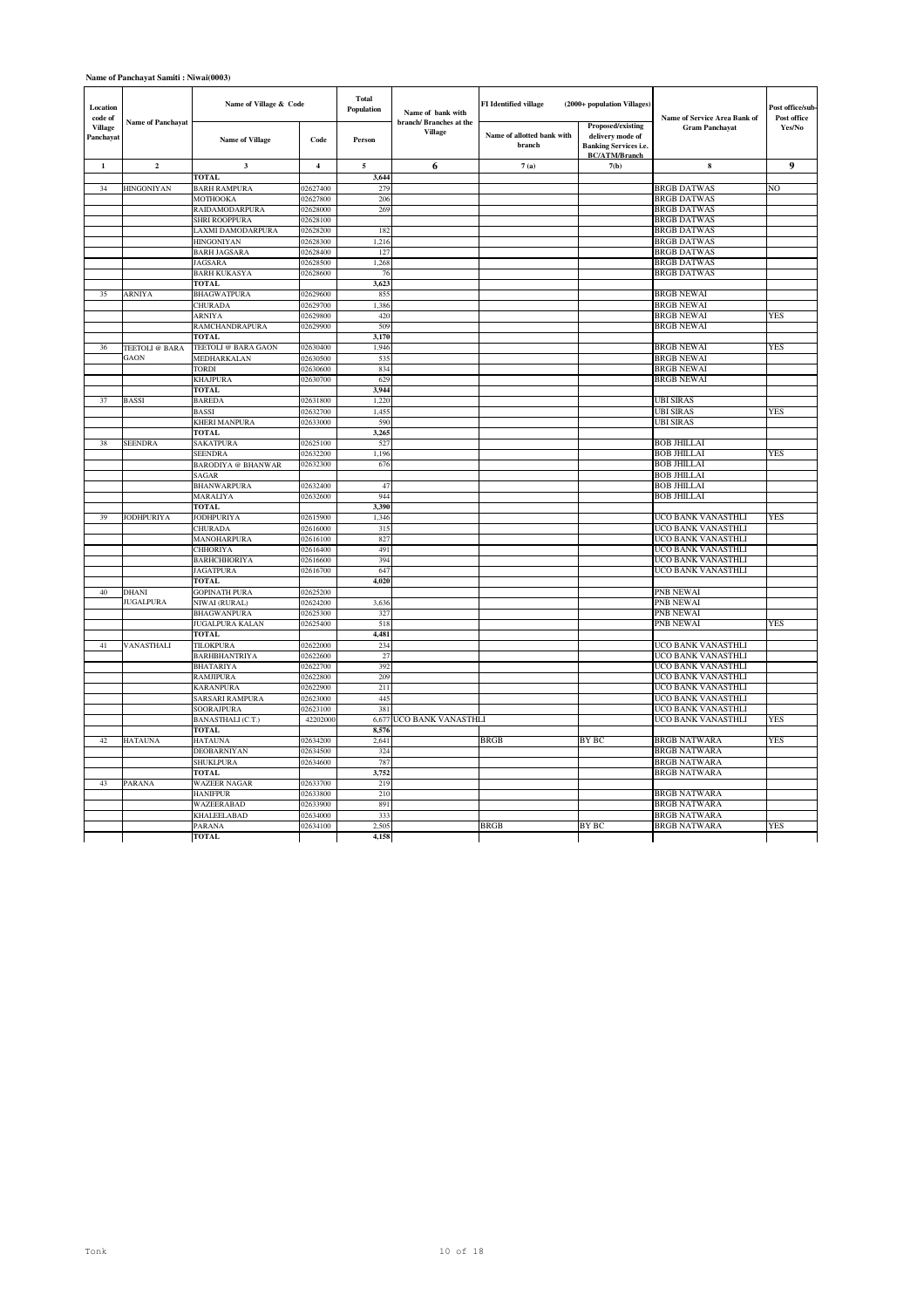### **Name of Panchayat Samiti : Niwai(0003)**

| Location<br>code of<br><b>Name of Panchayat</b><br>Village |                   | Name of Village & Code                |                      | <b>Total</b><br>Population | Name of bank with<br>branch/ Branches at the | FI Identified village                | (2000+ population Villages)                                                                   | Name of Service Area Bank of<br><b>Gram Panchayat</b> | Post office/sub-<br>Post office |
|------------------------------------------------------------|-------------------|---------------------------------------|----------------------|----------------------------|----------------------------------------------|--------------------------------------|-----------------------------------------------------------------------------------------------|-------------------------------------------------------|---------------------------------|
| Panchayat                                                  |                   | <b>Name of Village</b>                | Code                 | Person                     | <b>Village</b>                               | Name of allotted bank with<br>branch | Proposed/existing<br>delivery mode of<br><b>Banking Services i.e.</b><br><b>BC/ATM/Branch</b> |                                                       | Yes/No                          |
| $\mathbf 1$                                                | $\overline{2}$    | 3                                     | $\overline{4}$       | 5                          | 6                                            | 7(a)                                 | 7(b)                                                                                          | 8                                                     | 9                               |
|                                                            |                   | <b>TOTAL</b>                          |                      | 3.644                      |                                              |                                      |                                                                                               |                                                       |                                 |
| 34                                                         | <b>HINGONIYAN</b> | <b>BARH RAMPURA</b>                   | 02627400             | 279                        |                                              |                                      |                                                                                               | <b>BRGB DATWAS</b>                                    | N <sub>O</sub>                  |
|                                                            |                   | MOTHOOKA                              | 02627800             | 206                        |                                              |                                      |                                                                                               | <b>BRGB DATWAS</b>                                    |                                 |
|                                                            |                   | RAIDAMODARPURA                        | 02628000             | 269                        |                                              |                                      |                                                                                               | <b>BRGB DATWAS</b>                                    |                                 |
|                                                            |                   | <b>SHRI ROOPPURA</b>                  | 02628100             |                            |                                              |                                      |                                                                                               | <b>BRGB DATWAS</b>                                    |                                 |
|                                                            |                   | LAXMI DAMODARPURA                     | 02628200             | 182                        |                                              |                                      |                                                                                               | <b>BRGB DATWAS</b>                                    |                                 |
|                                                            |                   | <b>HINGONIYAN</b>                     | 02628300             | 1,216                      |                                              |                                      |                                                                                               | <b>BRGB DATWAS</b>                                    |                                 |
|                                                            |                   | <b>BARH JAGSARA</b>                   | 02628400             | 127                        |                                              |                                      |                                                                                               | <b>BRGB DATWAS</b>                                    |                                 |
|                                                            |                   | <b>JAGSARA</b><br><b>BARH KUKASYA</b> | 02628500<br>02628600 | 1,268<br>76                |                                              |                                      |                                                                                               | <b>BRGB DATWAS</b><br><b>BRGB DATWAS</b>              |                                 |
|                                                            |                   | <b>TOTAL</b>                          |                      | 3,623                      |                                              |                                      |                                                                                               |                                                       |                                 |
| 35                                                         | <b>ARNIYA</b>     | <b>BHAGWATPURA</b>                    | 02629600             | 855                        |                                              |                                      |                                                                                               | <b>BRGB NEWAI</b>                                     |                                 |
|                                                            |                   | CHURADA                               | 02629700             | 1,386                      |                                              |                                      |                                                                                               | <b>BRGB NEWAI</b>                                     |                                 |
|                                                            |                   | <b>ARNIYA</b>                         | 02629800             | 420                        |                                              |                                      |                                                                                               | <b>BRGB NEWAI</b>                                     | YES                             |
|                                                            |                   | RAMCHANDRAPURA                        | 02629900             | 509                        |                                              |                                      |                                                                                               | <b>BRGB NEWAI</b>                                     |                                 |
|                                                            |                   | <b>TOTAL</b>                          |                      | 3,170                      |                                              |                                      |                                                                                               |                                                       |                                 |
| 36                                                         | TEETOLI @ BARA    | TEETOLI @ BARA GAON                   | 02630400             | 1,946                      |                                              |                                      |                                                                                               | <b>BRGB NEWAI</b>                                     | <b>YES</b>                      |
|                                                            | GAON              | MEDHARKALAN                           | 02630500             | 535                        |                                              |                                      |                                                                                               | <b>BRGB NEWAI</b>                                     |                                 |
|                                                            |                   | TORDI                                 | 02630600             | 834                        |                                              |                                      |                                                                                               | <b>BRGB NEWAI</b>                                     |                                 |
|                                                            |                   | <b>KHAJPURA</b>                       | 02630700             | 629                        |                                              |                                      |                                                                                               | <b>BRGB NEWAI</b>                                     |                                 |
|                                                            |                   | <b>TOTAL</b>                          |                      | 3.944                      |                                              |                                      |                                                                                               |                                                       |                                 |
| 37                                                         | <b>BASSI</b>      | <b>BAREDA</b>                         | 02631800             | 1,220                      |                                              |                                      |                                                                                               | <b>UBI SIRAS</b>                                      |                                 |
|                                                            |                   | BASSI                                 | 02632700             | 1,455                      |                                              |                                      |                                                                                               | <b>UBI SIRAS</b>                                      | YES                             |
|                                                            |                   | <b>KHERI MANPURA</b>                  | 02633000             | 590                        |                                              |                                      |                                                                                               | <b>UBI SIRAS</b>                                      |                                 |
|                                                            |                   | <b>TOTAL</b>                          |                      | 3,265                      |                                              |                                      |                                                                                               |                                                       |                                 |
| 38                                                         | <b>SEENDRA</b>    | <b>SAKATPURA</b>                      | 02625100             | 527                        |                                              |                                      |                                                                                               | <b>BOB JHILLAI</b>                                    |                                 |
|                                                            |                   | <b>SEENDRA</b>                        | 02632200             | 1,196                      |                                              |                                      |                                                                                               | <b>BOB JHILLAI</b>                                    | <b>YES</b>                      |
|                                                            |                   | <b>BARODIYA</b> @ BHANWAR             | 02632300             | 676                        |                                              |                                      |                                                                                               | <b>BOB JHILLAI</b>                                    |                                 |
|                                                            |                   | <b>SAGAR</b>                          |                      |                            |                                              |                                      |                                                                                               | <b>BOB JHILLAI</b>                                    |                                 |
|                                                            |                   | <b>BHANWARPURA</b>                    | 02632400<br>02632600 | 47<br>944                  |                                              |                                      |                                                                                               | <b>BOB JHILLAI</b><br><b>BOB JHILLAI</b>              |                                 |
|                                                            |                   | MARALIYA<br><b>TOTAL</b>              |                      | 3 3 9 0                    |                                              |                                      |                                                                                               |                                                       |                                 |
| 39                                                         | <b>JODHPURIYA</b> | <b>JODHPURIYA</b>                     | 02615900             | 1,346                      |                                              |                                      |                                                                                               | UCO BANK VANASTHLI                                    | YES                             |
|                                                            |                   | CHURADA                               | 02616000             | 315                        |                                              |                                      |                                                                                               | UCO BANK VANASTHLI                                    |                                 |
|                                                            |                   | MANOHARPURA                           | 02616100             | 827                        |                                              |                                      |                                                                                               | UCO BANK VANASTHLI                                    |                                 |
|                                                            |                   | CHHORIYA                              | 02616400             | 491                        |                                              |                                      |                                                                                               | UCO BANK VANASTHLI                                    |                                 |
|                                                            |                   | <b>BARHCHHORIYA</b>                   | 02616600             | 394                        |                                              |                                      |                                                                                               | UCO BANK VANASTHLI                                    |                                 |
|                                                            |                   | <b>JAGATPURA</b>                      | 02616700             | 647                        |                                              |                                      |                                                                                               | UCO BANK VANASTHLI                                    |                                 |
|                                                            |                   | TOTAL                                 |                      | 4,020                      |                                              |                                      |                                                                                               |                                                       |                                 |
| 40                                                         | <b>DHANI</b>      | <b>GOPINATH PURA</b>                  | 02625200             |                            |                                              |                                      |                                                                                               | PNB NEWAI                                             |                                 |
|                                                            | <b>JUGALPURA</b>  | NIWAI (RURAL)                         | 02624200             | 3,636                      |                                              |                                      |                                                                                               | <b>PNB NEWAI</b>                                      |                                 |
|                                                            |                   | <b>BHAGWANPURA</b>                    | 02625300             | 327                        |                                              |                                      |                                                                                               | PNB NEWAI                                             |                                 |
|                                                            |                   | JUGALPURA KALAN                       | 02625400             | 518                        |                                              |                                      |                                                                                               | PNB NEWAI                                             | YES                             |
|                                                            |                   | TOTAL                                 |                      | 4,481                      |                                              |                                      |                                                                                               |                                                       |                                 |
| 41                                                         | VANASTHALI        | TILOKPURA                             | 02622000             | 234                        |                                              |                                      |                                                                                               | UCO BANK VANASTHLI                                    |                                 |
|                                                            |                   | <b>BARHBHANTRIYA</b>                  | 02622600             | 27                         |                                              |                                      |                                                                                               | UCO BANK VANASTHLI                                    |                                 |
|                                                            |                   | <b>BHATARIYA</b>                      | 02622700             | 392                        |                                              |                                      |                                                                                               | UCO BANK VANASTHLI                                    |                                 |
|                                                            |                   | <b>RAMJIPURA</b>                      | 02622800             | 209                        |                                              |                                      |                                                                                               | UCO BANK VANASTHLI                                    |                                 |
|                                                            |                   | <b>KARANPURA</b>                      | 02622900             | 211                        |                                              |                                      |                                                                                               | UCO BANK VANASTHLI                                    |                                 |
|                                                            |                   | SARSARI RAMPURA                       | 02623000             | 445<br>381                 |                                              |                                      |                                                                                               | UCO BANK VANASTHLI<br>UCO BANK VANASTHLI              |                                 |
|                                                            |                   | SOORAJPURA                            | 02623100             |                            |                                              |                                      |                                                                                               |                                                       |                                 |
|                                                            |                   | BANASTHALI (C.T.)<br><b>TOTAL</b>     | 42202000             | 6,677<br>8,576             | UCO BANK VANASTHLI                           |                                      |                                                                                               | UCO BANK VANASTHLI                                    | YES                             |
| 42                                                         | <b>HATAUNA</b>    | <b>HATAUNA</b>                        | 02634200             | 2,641                      |                                              | <b>BRGB</b>                          | <b>BY BC</b>                                                                                  | <b>BRGB NATWARA</b>                                   | <b>YES</b>                      |
|                                                            |                   | <b>DEOBARNIYAN</b>                    | 02634500             | 324                        |                                              |                                      |                                                                                               | <b>BRGB NATWARA</b>                                   |                                 |
|                                                            |                   | SHUKLPURA                             | 02634600             | 787                        |                                              |                                      |                                                                                               | <b>BRGB NATWARA</b>                                   |                                 |
|                                                            |                   | <b>TOTAL</b>                          |                      | 3,752                      |                                              |                                      |                                                                                               | <b>BRGB NATWARA</b>                                   |                                 |
| 43                                                         | PARANA            | <b>WAZEER NAGAR</b>                   | 02633700             | 219                        |                                              |                                      |                                                                                               |                                                       |                                 |
|                                                            |                   | <b>HANIFPUR</b>                       | 02633800             | 210                        |                                              |                                      |                                                                                               | <b>BRGB NATWARA</b>                                   |                                 |
|                                                            |                   | WAZEERABAD                            | 02633900             | 891                        |                                              |                                      |                                                                                               | <b>BRGB NATWARA</b>                                   |                                 |
|                                                            |                   | <b>KHALEELABAD</b>                    | 02634000             | 333                        |                                              |                                      |                                                                                               | <b>BRGB NATWARA</b>                                   |                                 |
|                                                            |                   | PARANA                                | 02634100             | 2,505                      |                                              | <b>BRGB</b>                          | BY BC                                                                                         | <b>BRGB NATWARA</b>                                   | YES                             |
|                                                            |                   | <b>TOTAL</b>                          |                      | 4,158                      |                                              |                                      |                                                                                               |                                                       |                                 |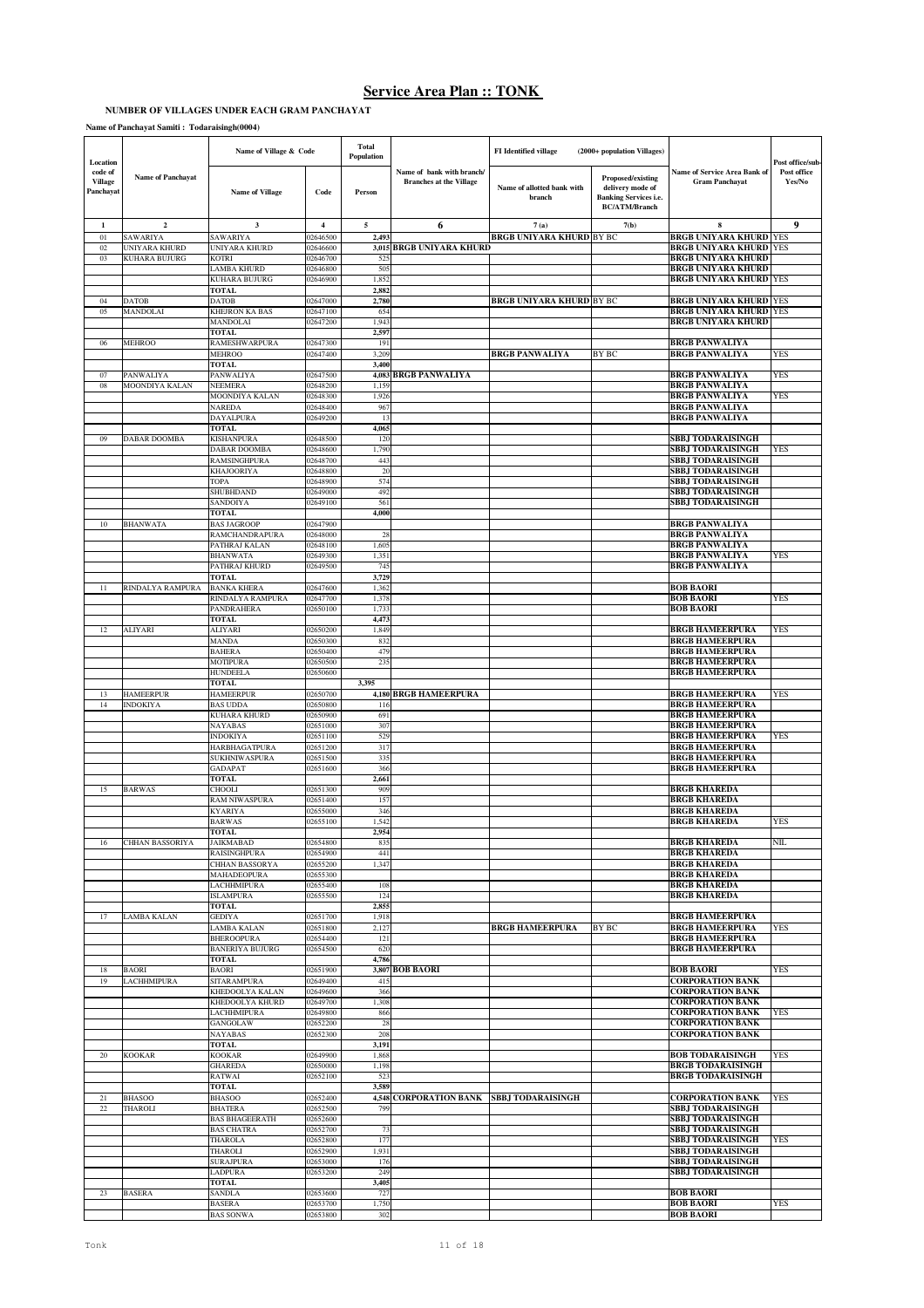## **NUMBER OF VILLAGES UNDER EACH GRAM PANCHAYAT**

**Name of Panchayat Samiti : Todaraisingh(0004)**

| Location                               |                                | Name of Village & Code                      |                         | Total<br>Population |                                                             | <b>FI</b> Identified village         | (2000+ population Villages)                                                                          |                                                        | Post office/sub-      |
|----------------------------------------|--------------------------------|---------------------------------------------|-------------------------|---------------------|-------------------------------------------------------------|--------------------------------------|------------------------------------------------------------------------------------------------------|--------------------------------------------------------|-----------------------|
| code of<br><b>Village</b><br>Panchayat | <b>Name of Panchayat</b>       | <b>Name of Village</b>                      | Code                    | Person              | Name of bank with branch/<br><b>Branches at the Village</b> | Name of allotted bank with<br>branch | <b>Proposed/existing</b><br>delivery mode of<br><b>Banking Services i.e.</b><br><b>BC/ATM/Branch</b> | Name of Service Area Bank of<br><b>Gram Panchayat</b>  | Post office<br>Yes/No |
| 1                                      | $\mathbf 2$                    | 3                                           | $\overline{\mathbf{4}}$ | 5                   | 6                                                           | 7(a)                                 | 7(b)                                                                                                 | 8                                                      | 9                     |
| 01                                     | SAWARIYA                       | SAWARIYA<br>UNIYARA KHURD                   | 02646500                | 2.493               | <b>BRGB UNIYARA KHURD</b>                                   | <b>BRGB UNIYARA KHURD BY BC</b>      |                                                                                                      | <b>BRGB UNIYARA KHURD</b><br><b>BRGB UNIYARA KHURD</b> | <b>YES</b>            |
| 02<br>03                               | UNIYARA KHURD<br>KUHARA BUJURG | KOTRI                                       | 02646600<br>02646700    | 3,015<br>52         |                                                             |                                      |                                                                                                      | <b>BRGB UNIYARA KHURD</b>                              | YES                   |
|                                        |                                | LAMBA KHURD                                 | 02646800                | 505                 |                                                             |                                      |                                                                                                      | <b>BRGB UNIYARA KHURD</b>                              |                       |
|                                        |                                | <b>KUHARA BUJURG</b><br><b>TOTAL</b>        | 02646900                | 1,852<br>2,882      |                                                             |                                      |                                                                                                      | <b>BRGB UNIYARA KHURD</b>                              | YES                   |
| 04                                     | DATOB                          | <b>DATOB</b>                                | 02647000                | 2,780               |                                                             | <b>BRGB UNIYARA KHURD BY BC</b>      |                                                                                                      | <b>BRGB UNIYARA KHURD</b>                              | YES                   |
| 05                                     | MANDOLAI                       | <b>KHEJRON KA BAS</b>                       | 02647100                | 654                 |                                                             |                                      |                                                                                                      | <b>BRGB UNIYARA KHURD</b>                              | <b>YES</b>            |
|                                        |                                | <b>MANDOLAI</b>                             | 02647200                | 1,943               |                                                             |                                      |                                                                                                      | <b>BRGB UNIYARA KHURD</b>                              |                       |
| 06                                     | <b>MEHROO</b>                  | <b>TOTAL</b><br><b>RAMESHWARPURA</b>        | 02647300                | 2.597<br>191        |                                                             |                                      |                                                                                                      | <b>BRGB PANWALIYA</b>                                  |                       |
|                                        |                                | <b>MEHROO</b>                               | 02647400                | 3,209               |                                                             | <b>BRGB PANWALIYA</b>                | <b>BY BC</b>                                                                                         | <b>BRGB PANWALIYA</b>                                  | YES                   |
|                                        |                                | <b>TOTAL</b>                                |                         | 3,400               |                                                             |                                      |                                                                                                      |                                                        |                       |
| 07<br>08                               | PANWALIYA<br>MOONDIYA KALAN    | PANWALIYA<br><b>NEEMERA</b>                 | 02647500<br>02648200    | 1,159               | 4,083 BRGB PANWALIYA                                        |                                      |                                                                                                      | <b>BRGB PANWALIYA</b><br><b>BRGB PANWALIYA</b>         | YES                   |
|                                        |                                | MOONDIYA KALAN                              | 02648300                | 1,926               |                                                             |                                      |                                                                                                      | <b>BRGB PANWALIYA</b>                                  | YES                   |
|                                        |                                | <b>NAREDA</b>                               | 02648400                | 967                 |                                                             |                                      |                                                                                                      | <b>BRGB PANWALIYA</b>                                  |                       |
|                                        |                                | <b>DAYALPURA</b><br><b>TOTAL</b>            | 02649200                | 13<br>4,06          |                                                             |                                      |                                                                                                      | <b>BRGB PANWALIYA</b>                                  |                       |
| 09                                     | DABAR DOOMBA                   | KISHANPURA                                  | 02648500                | 120                 |                                                             |                                      |                                                                                                      | <b>BBJ TODARAISINGH</b>                                |                       |
|                                        |                                | DABAR DOOMBA                                | 02648600                | 1,790               |                                                             |                                      |                                                                                                      | <b>SBBJ TODARAISINGH</b>                               | YES                   |
|                                        |                                | <b>RAMSINGHPURA</b>                         | 02648700                | 443                 |                                                             |                                      |                                                                                                      | <b>SBBJ TODARAISINGH</b>                               |                       |
|                                        |                                | <b>KHAJOORIYA</b><br><b>TOPA</b>            | 02648800<br>02648900    | 20<br>574           |                                                             |                                      |                                                                                                      | <b>SBBJ TODARAISINGH</b><br>SBBJ TODARAISINGH          |                       |
|                                        |                                | SHUBHDAND                                   | 02649000                | 492                 |                                                             |                                      |                                                                                                      | SBBJ TODARAISINGH                                      |                       |
|                                        |                                | SANDOIYA                                    | 02649100                | 561                 |                                                             |                                      |                                                                                                      | <b>SBBJ TODARAISINGH</b>                               |                       |
| 10                                     | BHANWATA                       | TOTAL<br><b>BAS JAGROOP</b>                 | 02647900                | 4,000               |                                                             |                                      |                                                                                                      | <b>BRGB PANWALIYA</b>                                  |                       |
|                                        |                                | RAMCHANDRAPURA                              | 02648000                | 28                  |                                                             |                                      |                                                                                                      | <b>BRGB PANWALIYA</b>                                  |                       |
|                                        |                                | PATHRAJ KALAN                               | 02648100                | 1,605               |                                                             |                                      |                                                                                                      | <b>BRGB PANWALIYA</b>                                  |                       |
|                                        |                                | <b>BHANWATA</b><br>PATHRAJ KHURD            | 02649300                | 1,351               |                                                             |                                      |                                                                                                      | <b>BRGB PANWALIYA</b>                                  | YES                   |
|                                        |                                | <b>TOTAL</b>                                | 02649500                | 74:<br>3,729        |                                                             |                                      |                                                                                                      | <b>BRGB PANWALIYA</b>                                  |                       |
| 11                                     | RINDALYA RAMPURA               | <b>BANKA KHERA</b>                          | 02647600                | 1,362               |                                                             |                                      |                                                                                                      | <b>BOB BAORI</b>                                       |                       |
|                                        |                                | RINDALYA RAMPURA                            | 02647700                | 1,378               |                                                             |                                      |                                                                                                      | <b>BOB BAORI</b>                                       | YES                   |
|                                        |                                | PANDRAHERA<br><b>TOTAL</b>                  | 02650100                | 1,733<br>4,473      |                                                             |                                      |                                                                                                      | <b>BOB BAORI</b>                                       |                       |
| 12                                     | ALIYARI                        | ALIYARI                                     | 02650200                | 1,849               |                                                             |                                      |                                                                                                      | <b>BRGB HAMEERPURA</b>                                 | YES                   |
|                                        |                                | MANDA                                       | 02650300                | 832                 |                                                             |                                      |                                                                                                      | <b>BRGB HAMEERPURA</b>                                 |                       |
|                                        |                                | <b>BAHERA</b><br><b>MOTIPURA</b>            | 02650400<br>02650500    | 479<br>23.5         |                                                             |                                      |                                                                                                      | <b>BRGB HAMEERPURA</b><br><b>BRGB HAMEERPURA</b>       |                       |
|                                        |                                | <b>HUNDEELA</b>                             | 02650600                |                     |                                                             |                                      |                                                                                                      | <b>BRGB HAMEERPURA</b>                                 |                       |
|                                        |                                | <b>TOTAL</b>                                |                         | 3,395               |                                                             |                                      |                                                                                                      |                                                        |                       |
| 13                                     | <b>HAMEERPUR</b>               | <b>HAMEERPUR</b>                            | 02650700                |                     | 4,180 BRGB HAMEERPURA                                       |                                      |                                                                                                      | <b>BRGB HAMEERPURA</b>                                 | YES                   |
|                                        |                                |                                             |                         |                     |                                                             |                                      |                                                                                                      |                                                        |                       |
| 14                                     | <b>INDOKIYA</b>                | <b>BAS UDDA</b>                             | 02650800                | 116                 |                                                             |                                      |                                                                                                      | <b>BRGB HAMEERPURA</b>                                 |                       |
|                                        |                                | KUHARA KHURD<br>NAYABAS                     | 02650900<br>02651000    | 691<br>307          |                                                             |                                      |                                                                                                      | <b>BRGB HAMEERPURA</b><br><b>BRGB HAMEERPURA</b>       |                       |
|                                        |                                | <b>INDOKIYA</b>                             | 02651100                | 529                 |                                                             |                                      |                                                                                                      | <b>BRGB HAMEERPURA</b>                                 | YES                   |
|                                        |                                | <b>HARBHAGATPURA</b>                        | 02651200                | 317                 |                                                             |                                      |                                                                                                      | <b>BRGB HAMEERPURA</b>                                 |                       |
|                                        |                                | <b>SUKHNIWASPURA</b><br><b>GADAPAT</b>      | 02651500<br>02651600    | 335<br>366          |                                                             |                                      |                                                                                                      | <b>BRGB HAMEERPURA</b><br><b>BRGB HAMEERPURA</b>       |                       |
|                                        |                                | TOTAL                                       |                         | 2,661               |                                                             |                                      |                                                                                                      |                                                        |                       |
| 15                                     | BARWAS                         | CHOOLI                                      | 02651300                | 909                 |                                                             |                                      |                                                                                                      | <b>BRGB KHAREDA</b>                                    |                       |
|                                        |                                | <b>RAM NIWASPURA</b><br><b>KYARIYA</b>      | 02651400<br>02655000    | 157<br>346          |                                                             |                                      |                                                                                                      | <b>BRGB KHAREDA</b><br><b>BRGB KHAREDA</b>             |                       |
|                                        |                                | <b>BARWAS</b>                               | 02655100                | 1,542               |                                                             |                                      |                                                                                                      | <b>BRGB KHAREDA</b>                                    | YES                   |
|                                        |                                | <b>TOTAL</b>                                |                         | 2,954               |                                                             |                                      |                                                                                                      |                                                        |                       |
| 16                                     | CHHAN BASSORIYA                | <b>JAIKMABAD</b><br><b>RAISINGHPURA</b>     | 02654800<br>02654900    | 835<br>441          |                                                             |                                      |                                                                                                      | <b>BRGB KHAREDA</b><br><b>BRGB KHAREDA</b>             | NIL.                  |
|                                        |                                | CHHAN BASSORYA                              | 02655200                | 1,347               |                                                             |                                      |                                                                                                      | <b>BRGB KHAREDA</b>                                    |                       |
|                                        |                                | MAHADEOPURA                                 | 02655300                |                     |                                                             |                                      |                                                                                                      | <b>BRGB KHAREDA</b>                                    |                       |
|                                        |                                | <b>LACHHMIPURA</b>                          | 02655400                | 108<br>124          |                                                             |                                      |                                                                                                      | <b>BRGB KHAREDA</b>                                    |                       |
|                                        |                                | <b>ISLAMPURA</b><br><b>TOTAL</b>            | 02655500                | 2,85.               |                                                             |                                      |                                                                                                      | <b>BRGB KHAREDA</b>                                    |                       |
| 17                                     | LAMBA KALAN                    | <b>GEDIYA</b>                               | 02651700                | 1,918               |                                                             |                                      |                                                                                                      | <b>BRGB HAMEERPURA</b>                                 |                       |
|                                        |                                | <b>AMBA KALAN</b>                           | 02651800                | 2,127               |                                                             | <b>BRGB HAMEERPURA</b>               | <b>BY BC</b>                                                                                         | <b>BRGB HAMEERPURA</b>                                 | YES                   |
|                                        |                                | <b>BHEROOPURA</b><br><b>BANERIYA BUJURG</b> | 02654400<br>02654500    | 121<br>620          |                                                             |                                      |                                                                                                      | <b>BRGB HAMEERPURA</b><br><b>BRGB HAMEERPURA</b>       |                       |
|                                        |                                | <b>TOTAL</b>                                |                         | 4,786               |                                                             |                                      |                                                                                                      |                                                        |                       |
| 18                                     | <b>BAORI</b>                   | <b>BAORI</b>                                | 02651900                | 3,807               | <b>BOB BAORI</b>                                            |                                      |                                                                                                      | <b>BOB BAORI</b>                                       | YES                   |
| 19                                     | LACHHMIPURA                    | <b>SITARAMPURA</b><br>KHEDOOLYA KALAN       | 02649400<br>02649600    | 415<br>366          |                                                             |                                      |                                                                                                      | <b>CORPORATION BANK</b><br><b>CORPORATION BANK</b>     |                       |
|                                        |                                | KHEDOOLYA KHURD                             | 02649700                | 1,308               |                                                             |                                      |                                                                                                      | <b>CORPORATION BANK</b>                                |                       |
|                                        |                                | LACHHMIPURA                                 | 02649800                | 866                 |                                                             |                                      |                                                                                                      | <b>CORPORATION BANK</b>                                | YES                   |
|                                        |                                | <b>GANGOLAW</b><br>NAYABAS                  | 02652200                | 28<br>208           |                                                             |                                      |                                                                                                      | <b>CORPORATION BANK</b><br><b>CORPORATION BANK</b>     |                       |
|                                        |                                | <b>TOTAL</b>                                | 02652300                | 3,191               |                                                             |                                      |                                                                                                      |                                                        |                       |
| 20                                     | KOOKAR                         | <b>KOOKAR</b>                               | 02649900                | 1,868               |                                                             |                                      |                                                                                                      | <b>BOB TODARAISINGH</b>                                | YES                   |
|                                        |                                | <b>GHAREDA</b>                              | 02650000                | 1,198               |                                                             |                                      |                                                                                                      | <b>BRGB TODARAISINGH</b>                               |                       |
|                                        |                                | RATWAI<br><b>TOTAL</b>                      | 02652100                | 523<br>3,589        |                                                             |                                      |                                                                                                      | <b>BRGB TODARAISINGH</b>                               |                       |
| 21                                     | BHASOO                         | <b>BHASOO</b>                               | 02652400                |                     | 4,548 CORPORATION BANK SBBJ TODARAISINGH                    |                                      |                                                                                                      | <b>CORPORATION BANK</b>                                | YES                   |
| 22                                     | THAROLI                        | <b>BHATERA</b>                              | 02652500                | 799                 |                                                             |                                      |                                                                                                      | <b>SBBJ TODARAISINGH</b>                               |                       |
|                                        |                                | <b>BAS BHAGEERATH</b>                       | 02652600                |                     |                                                             |                                      |                                                                                                      | SBBJ TODARAISINGH                                      |                       |
|                                        |                                | <b>BAS CHATRA</b><br><b>THAROLA</b>         | 02652700<br>02652800    | 73<br>177           |                                                             |                                      |                                                                                                      | <b>SBBJ TODARAISINGH</b><br>SBBJ TODARAISINGH          | YES                   |
|                                        |                                | THAROLI                                     | 02652900                | 1,931               |                                                             |                                      |                                                                                                      | <b>SBBJ TODARAISINGH</b>                               |                       |
|                                        |                                | <b>SURAJPURA</b>                            | 02653000                | 176                 |                                                             |                                      |                                                                                                      | SBBJ TODARAISINGH                                      |                       |
|                                        |                                | LADPURA<br><b>TOTAL</b>                     | 02653200                | 249<br>3,405        |                                                             |                                      |                                                                                                      | <b>SBBJ TODARAISINGH</b>                               |                       |
| 23                                     | <b>BASERA</b>                  | SANDLA                                      | 02653600                | 727                 |                                                             |                                      |                                                                                                      | <b>BOB BAORI</b>                                       |                       |
|                                        |                                | <b>BASERA</b><br><b>BAS SONWA</b>           | 02653700<br>02653800    | 1,750<br>302        |                                                             |                                      |                                                                                                      | <b>BOB BAORI</b><br><b>BOB BAORI</b>                   | YES                   |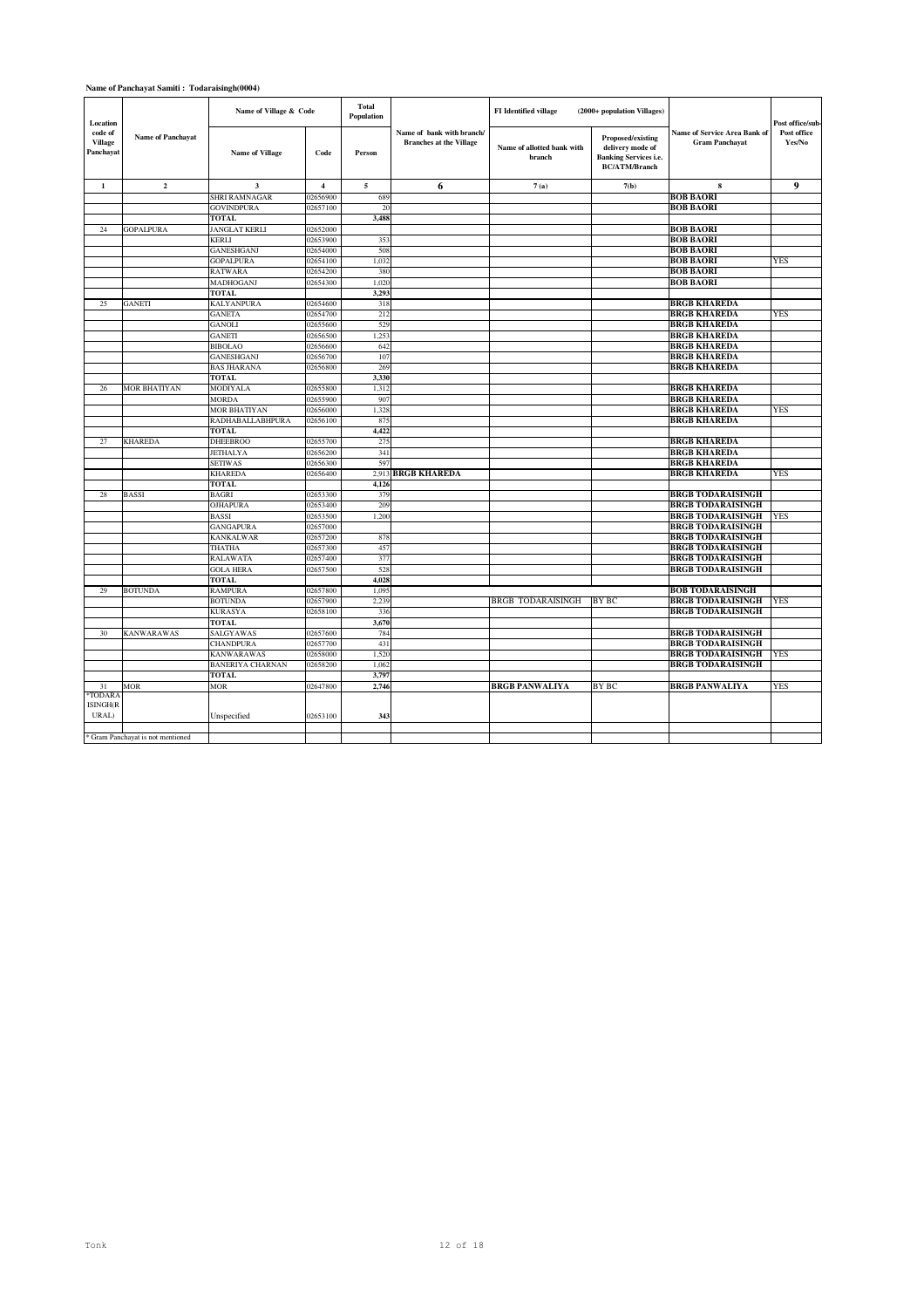### **Name of Panchayat Samiti : Todaraisingh(0004)**

| Location                               |                                   | Name of Village & Code          |                      | <b>Total</b><br>Population |                                                             | FI Identified village                | (2000+ population Villages)                                                                   |                                                       | Post office/sub-      |
|----------------------------------------|-----------------------------------|---------------------------------|----------------------|----------------------------|-------------------------------------------------------------|--------------------------------------|-----------------------------------------------------------------------------------------------|-------------------------------------------------------|-----------------------|
| code of<br><b>Village</b><br>Panchayat | Name of Panchayat                 | <b>Name of Village</b>          | Code                 | Person                     | Name of bank with branch/<br><b>Branches at the Village</b> | Name of allotted bank with<br>branch | Proposed/existing<br>delivery mode of<br><b>Banking Services i.e.</b><br><b>BC/ATM/Branch</b> | Name of Service Area Bank of<br><b>Gram Panchayat</b> | Post office<br>Yes/No |
| $\mathbf{1}$                           | $\mathbf 2$                       | $\mathbf{3}$                    | $\overline{4}$       | 5                          | 6                                                           | 7(a)                                 | 7(b)                                                                                          | 8                                                     | 9                     |
|                                        |                                   | SHRI RAMNAGAR                   | 02656900             | 689                        |                                                             |                                      |                                                                                               | <b>BOB BAORI</b>                                      |                       |
|                                        |                                   | <b>GOVINDPURA</b>               | 02657100             | 20                         |                                                             |                                      |                                                                                               | <b>BOB BAORI</b>                                      |                       |
|                                        |                                   | <b>TOTAL</b>                    |                      | 3.488                      |                                                             |                                      |                                                                                               |                                                       |                       |
| 24                                     | <b>GOPALPURA</b>                  | <b>JANGLAT KERLI</b>            | 02652000             |                            |                                                             |                                      |                                                                                               | <b>BOB BAORI</b>                                      |                       |
|                                        |                                   | <b>KERLI</b>                    | 02653900             | 353                        |                                                             |                                      |                                                                                               | <b>BOB BAORI</b>                                      |                       |
|                                        |                                   | <b>GANESHGANJ</b>               | 02654000             | 508                        |                                                             |                                      |                                                                                               | <b>BOB BAORI</b>                                      |                       |
|                                        |                                   | <b>GOPALPURA</b>                | 02654100             | 1,032                      |                                                             |                                      |                                                                                               | <b>BOB BAORI</b>                                      | YES                   |
|                                        |                                   | <b>RATWARA</b>                  | 02654200             | 380                        |                                                             |                                      |                                                                                               | <b>BOB BAORI</b>                                      |                       |
|                                        |                                   | MADHOGANJ                       | 02654300             | 1,020                      |                                                             |                                      |                                                                                               | <b>BOB BAORI</b>                                      |                       |
|                                        |                                   | <b>TOTAL</b>                    |                      | 3,293                      |                                                             |                                      |                                                                                               |                                                       |                       |
| 25                                     | GANETI                            | KALYANPURA                      | 02654600             | 318                        |                                                             |                                      |                                                                                               | <b>BRGB KHAREDA</b>                                   |                       |
|                                        |                                   | <b>GANETA</b>                   | 02654700             | 212                        |                                                             |                                      |                                                                                               | <b>BRGB KHAREDA</b>                                   | <b>YES</b>            |
|                                        |                                   | <b>GANOLI</b>                   | 02655600             | 529                        |                                                             |                                      |                                                                                               | <b>BRGB KHAREDA</b>                                   |                       |
|                                        |                                   | <b>GANETI</b>                   | 02656500             | 1.25 <sup>2</sup>          |                                                             |                                      |                                                                                               | <b>BRGB KHAREDA</b>                                   |                       |
|                                        |                                   | <b>BIBOLAO</b>                  | 02656600             | 642                        |                                                             |                                      |                                                                                               | <b>BRGB KHAREDA</b>                                   |                       |
|                                        |                                   | <b>GANESHGANJ</b>               | 02656700             | 107                        |                                                             |                                      |                                                                                               | <b>BRGB KHAREDA</b>                                   |                       |
|                                        |                                   | <b>BAS JHARANA</b>              | 02656800             | 269                        |                                                             |                                      |                                                                                               | <b>BRGB KHAREDA</b>                                   |                       |
|                                        |                                   | <b>TOTAL</b>                    |                      | 3,330                      |                                                             |                                      |                                                                                               |                                                       |                       |
| 26                                     | <b>MOR BHATIYAN</b>               | <b>MODIYALA</b>                 | 02655800             | 1,312                      |                                                             |                                      |                                                                                               | <b>BRGB KHAREDA</b>                                   |                       |
|                                        |                                   | <b>MORDA</b>                    | 02655900             | 907                        |                                                             |                                      |                                                                                               | <b>BRGB KHAREDA</b>                                   |                       |
|                                        |                                   | MOR BHATIYAN                    | 02656000             | 1,328                      |                                                             |                                      |                                                                                               | <b>BRGB KHAREDA</b>                                   | YES                   |
|                                        |                                   | RADHABALLABHPURA                | 02656100             | 875                        |                                                             |                                      |                                                                                               | <b>BRGB KHAREDA</b>                                   |                       |
|                                        | <b>KHAREDA</b>                    | <b>TOTAL</b><br><b>DHEEBROO</b> | 02655700             | 4,422<br>275               |                                                             |                                      |                                                                                               | <b>BRGB KHAREDA</b>                                   |                       |
| 27                                     |                                   | <b>JETHALYA</b>                 |                      | 341                        |                                                             |                                      |                                                                                               | <b>BRGB KHAREDA</b>                                   |                       |
|                                        |                                   | <b>SETIWAS</b>                  | 02656200<br>02656300 | 597                        |                                                             |                                      |                                                                                               | <b>BRGB KHAREDA</b>                                   |                       |
|                                        |                                   | <b>KHAREDA</b>                  | 02656400             | 2,913                      | <b>BRGB KHAREDA</b>                                         |                                      |                                                                                               | <b>BRGB KHAREDA</b>                                   | YES                   |
|                                        |                                   | <b>TOTAL</b>                    |                      | 4.126                      |                                                             |                                      |                                                                                               |                                                       |                       |
| 28                                     | BASSI                             | <b>BAGRI</b>                    | 02653300             | 379                        |                                                             |                                      |                                                                                               | <b>BRGB TODARAISINGH</b>                              |                       |
|                                        |                                   | <b>OJHAPURA</b>                 | 02653400             | 209                        |                                                             |                                      |                                                                                               | <b>BRGB TODARAISINGH</b>                              |                       |
|                                        |                                   | <b>BASSI</b>                    | 02653500             | 1,200                      |                                                             |                                      |                                                                                               | <b>BRGB TODARAISINGH</b>                              | <b>YES</b>            |
|                                        |                                   | <b>GANGAPURA</b>                | 02657000             |                            |                                                             |                                      |                                                                                               | <b>BRGB TODARAISINGH</b>                              |                       |
|                                        |                                   | <b>KANKALWAR</b>                | 02657200             | 878                        |                                                             |                                      |                                                                                               | <b>BRGB TODARAISINGH</b>                              |                       |
|                                        |                                   | <b>THATHA</b>                   | 02657300             | 457                        |                                                             |                                      |                                                                                               | <b>BRGB TODARAISINGH</b>                              |                       |
|                                        |                                   | <b>RALAWATA</b>                 | 02657400             | 377                        |                                                             |                                      |                                                                                               | <b>BRGB TODARAISINGH</b>                              |                       |
|                                        |                                   | <b>GOLA HERA</b>                | 02657500             | 528                        |                                                             |                                      |                                                                                               | <b>BRGB TODARAISINGH</b>                              |                       |
|                                        |                                   | <b>TOTAL</b>                    |                      | 4.028                      |                                                             |                                      |                                                                                               |                                                       |                       |
| 29                                     | <b>BOTUNDA</b>                    | <b>RAMPURA</b>                  | 02657800             | 1,095                      |                                                             |                                      |                                                                                               | <b>BOB TODARAISINGH</b>                               |                       |
|                                        |                                   | <b>BOTUNDA</b>                  | 02657900             | 2,239                      |                                                             | <b>BRGB TODARAISINGH</b>             | BY BC                                                                                         | <b>BRGB TODARAISINGH</b>                              | <b>YES</b>            |
|                                        |                                   | <b>KURASYA</b>                  | 02658100             | 336                        |                                                             |                                      |                                                                                               | <b>BRGB TODARAISINGH</b>                              |                       |
|                                        |                                   | <b>TOTAL</b>                    |                      | 3,670                      |                                                             |                                      |                                                                                               |                                                       |                       |
| 30                                     | KANWARAWAS                        | <b>SALGYAWAS</b>                | 02657600             | 784                        |                                                             |                                      |                                                                                               | <b>BRGB TODARAISINGH</b>                              |                       |
|                                        |                                   | <b>CHANDPURA</b>                | 02657700             | 431                        |                                                             |                                      |                                                                                               | <b>BRGB TODARAISINGH</b>                              |                       |
|                                        |                                   | <b>KANWARAWAS</b>               | 02658000             | 1,520                      |                                                             |                                      |                                                                                               | <b>BRGB TODARAISINGH</b>                              | YES                   |
|                                        |                                   | <b>BANERIYA CHARNAN</b>         | 02658200             | 1,062                      |                                                             |                                      |                                                                                               | <b>BRGB TODARAISINGH</b>                              |                       |
|                                        |                                   | <b>TOTAL</b>                    |                      | 3,797                      |                                                             |                                      |                                                                                               |                                                       |                       |
| 31                                     | MOR                               | <b>MOR</b>                      | 02647800             | 2,746                      |                                                             | <b>BRGB PANWALIYA</b>                | <b>BY BC</b>                                                                                  | <b>BRGB PANWALIYA</b>                                 | <b>YES</b>            |
| *TODARA                                |                                   |                                 |                      |                            |                                                             |                                      |                                                                                               |                                                       |                       |
| ISINGH(R                               |                                   |                                 |                      |                            |                                                             |                                      |                                                                                               |                                                       |                       |
| URAL)                                  |                                   | Unspecified                     | 02653100             | 343                        |                                                             |                                      |                                                                                               |                                                       |                       |
|                                        |                                   |                                 |                      |                            |                                                             |                                      |                                                                                               |                                                       |                       |
|                                        | * Gram Panchayat is not mentioned |                                 |                      |                            |                                                             |                                      |                                                                                               |                                                       |                       |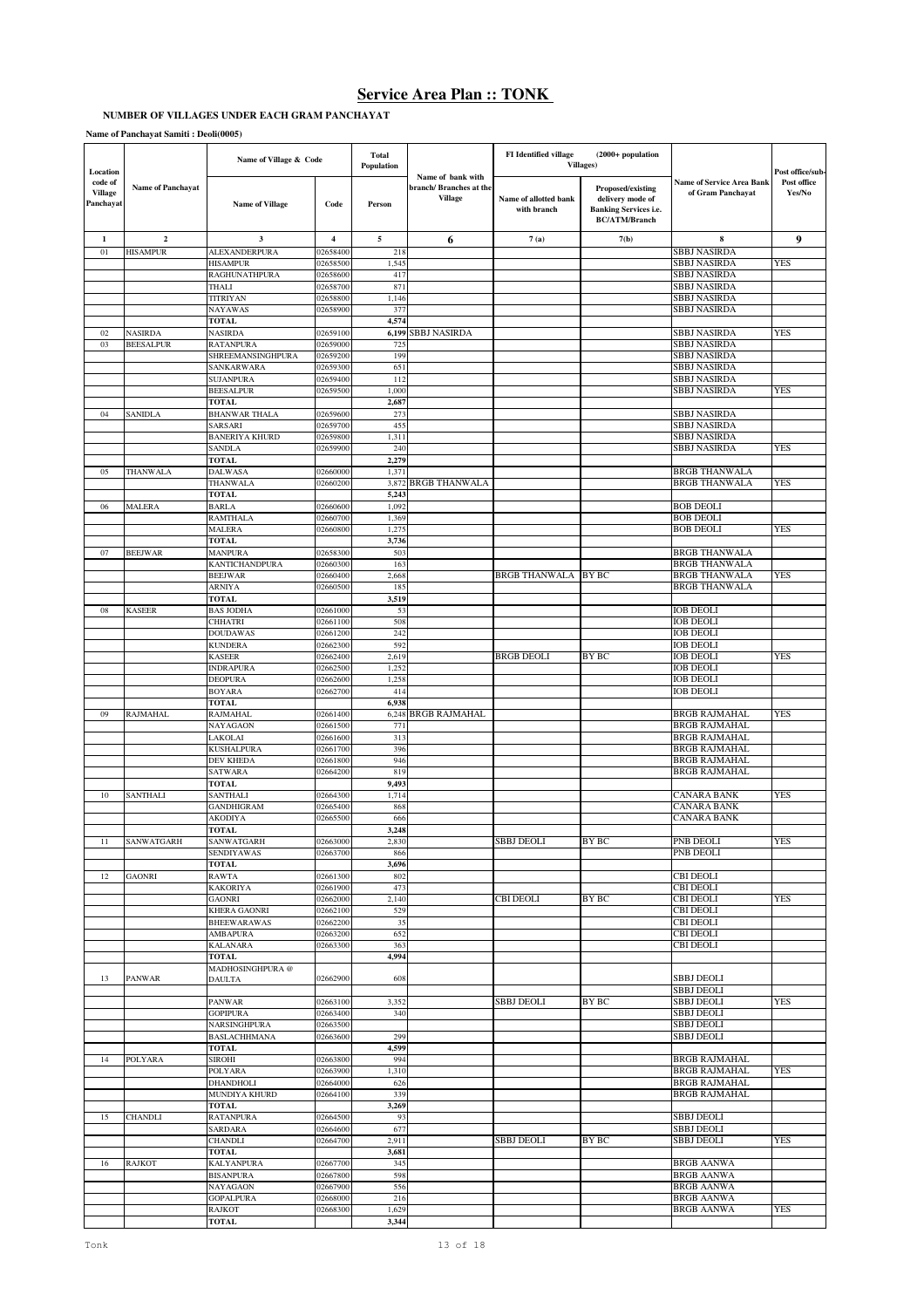# **NUMBER OF VILLAGES UNDER EACH GRAM PANCHAYAT**

### **Name of Panchayat Samiti : Deoli(0005)**

| Location                               |                          | Name of Village & Code                 |                      | <b>Total</b><br>Population |                                                               | <b>FI</b> Identified village         | $(2000+$ population<br><b>Villages</b> )                                                             |                                                       | Post office/sub       |
|----------------------------------------|--------------------------|----------------------------------------|----------------------|----------------------------|---------------------------------------------------------------|--------------------------------------|------------------------------------------------------------------------------------------------------|-------------------------------------------------------|-----------------------|
| code of<br><b>Village</b><br>Panchayat | <b>Name of Panchayat</b> | <b>Name of Village</b>                 | Code                 | Person                     | Name of bank with<br>branch/Branches at the<br><b>Village</b> | Name of allotted bank<br>with branch | <b>Proposed/existing</b><br>delivery mode of<br><b>Banking Services i.e.</b><br><b>BC/ATM/Branch</b> | <b>Name of Service Area Bank</b><br>of Gram Panchayat | Post office<br>Yes/No |
| 1                                      | $\overline{2}$           | 3                                      | $\overline{4}$       | 5                          | 6                                                             | 7(a)                                 | 7(b)                                                                                                 | 8                                                     | 9                     |
| 01                                     | <b>HISAMPUR</b>          | ALEXANDERPURA                          | 02658400             | 218<br>1,545               |                                                               |                                      |                                                                                                      | SBBJ NASIRDA<br><b>SBBJ NASIRDA</b>                   | YES                   |
|                                        |                          | <b>HISAMPUR</b><br>RAGHUNATHPURA       | 02658500<br>02658600 | 417                        |                                                               |                                      |                                                                                                      | <b>SBBJ NASIRDA</b>                                   |                       |
|                                        |                          | THALI                                  | 02658700             | 871                        |                                                               |                                      |                                                                                                      | SBBJ NASIRDA                                          |                       |
|                                        |                          | TITRIYAN                               | 02658800             | 1,146                      |                                                               |                                      |                                                                                                      | <b>SBBJ NASIRDA</b>                                   |                       |
|                                        |                          | NAYAWAS                                | 02658900             | 377                        |                                                               |                                      |                                                                                                      | SBBJ NASIRDA                                          |                       |
| 02                                     | <b>NASIRDA</b>           | <b>TOTAL</b><br><b>NASIRDA</b>         | 02659100             | 4,574                      | 6,199 SBBJ NASIRDA                                            |                                      |                                                                                                      | SBBJ NASIRDA                                          | YES                   |
| 03                                     | <b>BEESALPUR</b>         | RATANPURA                              | 02659000             | 725                        |                                                               |                                      |                                                                                                      | <b>SBBJ NASIRDA</b>                                   |                       |
|                                        |                          | SHREEMANSINGHPURA                      | 02659200             | 199                        |                                                               |                                      |                                                                                                      | SBBJ NASIRDA                                          |                       |
|                                        |                          | SANKARWARA                             | 02659300             | 651                        |                                                               |                                      |                                                                                                      | <b>SBBJ NASIRDA</b>                                   |                       |
|                                        |                          | <b>SUJANPURA</b>                       | 02659400             | 112                        |                                                               |                                      |                                                                                                      | <b>SBBJ NASIRDA</b>                                   |                       |
|                                        |                          | <b>BEESALPUR</b><br>TOTAL              | 02659500             | 1,000<br>2,687             |                                                               |                                      |                                                                                                      | SBBJ NASIRDA                                          | YES                   |
| 04                                     | SANIDLA                  | <b>BHANWAR THALA</b>                   | 02659600             | 273                        |                                                               |                                      |                                                                                                      | SBBJ NASIRDA                                          |                       |
|                                        |                          | SARSARI                                | 02659700             | 455                        |                                                               |                                      |                                                                                                      | SBBJ NASIRDA                                          |                       |
|                                        |                          | <b>BANERIYA KHURD</b>                  | 02659800             | 1,311                      |                                                               |                                      |                                                                                                      | <b>SBBJ NASIRDA</b>                                   |                       |
|                                        |                          | SANDLA                                 | 02659900             | 240                        |                                                               |                                      |                                                                                                      | SBBJ NASIRDA                                          | YES                   |
| 05                                     |                          | TOTAL<br><b>DALWASA</b>                |                      | 2,279<br>1,371             |                                                               |                                      |                                                                                                      | <b>BRGB THANWALA</b>                                  |                       |
|                                        | THANWALA                 | THANWALA                               | 02660000<br>02660200 | 3,872                      | <b>BRGB THANWALA</b>                                          |                                      |                                                                                                      | <b>BRGB THANWALA</b>                                  | YES                   |
|                                        |                          | <b>TOTAL</b>                           |                      | 5,24                       |                                                               |                                      |                                                                                                      |                                                       |                       |
| 06                                     | MALERA                   | BARLA                                  | 02660600             | 1,092                      |                                                               |                                      |                                                                                                      | <b>BOB DEOLI</b>                                      |                       |
|                                        |                          | RAMTHALA                               | 02660700             | 1,369                      |                                                               |                                      |                                                                                                      | <b>BOB DEOLI</b>                                      |                       |
|                                        |                          | MALERA<br>TOTAL                        | 02660800             | 1,275<br>3,736             |                                                               |                                      |                                                                                                      | <b>BOB DEOLI</b>                                      | YES                   |
| 07                                     | <b>BEEJWAR</b>           | <b>MANPURA</b>                         | 02658300             | 503                        |                                                               |                                      |                                                                                                      | <b>BRGB THANWALA</b>                                  |                       |
|                                        |                          | KANTICHANDPURA                         | 02660300             | 163                        |                                                               |                                      |                                                                                                      | <b>BRGB THANWALA</b>                                  |                       |
|                                        |                          | <b>BEEJWAR</b>                         | 02660400             | 2,668                      |                                                               | BRGB THANWALA                        | <b>BY BC</b>                                                                                         | <b>BRGB THANWALA</b>                                  | YES                   |
|                                        |                          | ARNIYA                                 | 02660500             | 185                        |                                                               |                                      |                                                                                                      | <b>BRGB THANWALA</b>                                  |                       |
| 08                                     | <b>KASEER</b>            | TOTAL<br><b>BAS JODHA</b>              | 02661000             | 3,519<br>53                |                                                               |                                      |                                                                                                      | <b>IOB DEOLI</b>                                      |                       |
|                                        |                          | CHHATRI                                | 02661100             | 508                        |                                                               |                                      |                                                                                                      | <b>IOB DEOLI</b>                                      |                       |
|                                        |                          | <b>DOUDAWAS</b>                        | 02661200             | 242                        |                                                               |                                      |                                                                                                      | <b>IOB DEOLI</b>                                      |                       |
|                                        |                          | <b>KUNDERA</b>                         | 02662300             | 592                        |                                                               |                                      |                                                                                                      | <b>IOB DEOLI</b>                                      |                       |
|                                        |                          | <b>KASEER</b>                          | 02662400             | 2,619                      |                                                               | <b>BRGB DEOLI</b>                    | BY BC                                                                                                | <b>IOB DEOLI</b>                                      | YES                   |
|                                        |                          | <b>INDRAPURA</b><br>DEOPURA            | 02662500             | 1,252<br>1,258             |                                                               |                                      |                                                                                                      | <b>IOB DEOLI</b><br><b>IOB DEOLI</b>                  |                       |
|                                        |                          | BOYARA                                 | 02662600<br>02662700 | 414                        |                                                               |                                      |                                                                                                      | <b>IOB DEOLI</b>                                      |                       |
|                                        |                          | TOTAL                                  |                      | 6,938                      |                                                               |                                      |                                                                                                      |                                                       |                       |
| 09                                     | RAJMAHAL                 | RAJMAHAL                               | 02661400             | 6,248                      | <b>BRGB RAJMAHAL</b>                                          |                                      |                                                                                                      | <b>BRGB RAJMAHAL</b>                                  | YES                   |
|                                        |                          | NAYAGAON                               | 02661500             | 771                        |                                                               |                                      |                                                                                                      | <b>BRGB RAJMAHAL</b>                                  |                       |
|                                        |                          | LAKOLAI                                | 02661600             | 313                        |                                                               |                                      |                                                                                                      | <b>BRGB RAJMAHAL</b>                                  |                       |
|                                        |                          | KUSHALPURA<br><b>DEV KHEDA</b>         | 02661700<br>02661800 | 396<br>946                 |                                                               |                                      |                                                                                                      | <b>BRGB RAJMAHAL</b><br><b>BRGB RAJMAHAL</b>          |                       |
|                                        |                          | <b>SATWARA</b>                         | 02664200             | 819                        |                                                               |                                      |                                                                                                      | <b>BRGB RAJMAHAL</b>                                  |                       |
|                                        |                          | <b>TOTAL</b>                           |                      | 9,493                      |                                                               |                                      |                                                                                                      |                                                       |                       |
| $10\,$                                 | <b>SANTHALI</b>          | SANTHALI                               | 02664300             | 1,714                      |                                                               |                                      |                                                                                                      | <b>CANARA BANK</b>                                    | <b>YES</b>            |
|                                        |                          | GANDHIGRAM                             | 02665400             | 868                        |                                                               |                                      |                                                                                                      | <b>CANARA BANK</b>                                    |                       |
|                                        |                          | AKODIYA<br>TOTAL                       | 02665500             | 666<br>3,248               |                                                               |                                      |                                                                                                      | <b>CANARA BANK</b>                                    |                       |
| 11                                     | SANWATGARH               | SANWATGARH                             | 02663000             | 2.830                      |                                                               | <b>SBBJ DEOLI</b>                    | <b>BY BC</b>                                                                                         | PNB DEOLI                                             | <b>YES</b>            |
|                                        |                          | SENDIYAWAS                             | 02663700             | 866                        |                                                               |                                      |                                                                                                      | PNB DEOLI                                             |                       |
|                                        |                          | <b>TOTAL</b>                           |                      | 3,696                      |                                                               |                                      |                                                                                                      |                                                       |                       |
| 12                                     | <b>GAONRI</b>            | RAWTA                                  | 02661300             | 802<br>473                 |                                                               |                                      |                                                                                                      | <b>CBI DEOLI</b>                                      |                       |
|                                        |                          | <b>KAKORIYA</b><br>GAONRI              | 02661900<br>02662000 | 2,140                      |                                                               | CBI DEOLI                            | <b>BY BC</b>                                                                                         | <b>CBI DEOLI</b><br><b>CBI DEOLI</b>                  | YES                   |
|                                        |                          | <b>KHERA GAONRI</b>                    | 02662100             | 529                        |                                                               |                                      |                                                                                                      | <b>CBI DEOLI</b>                                      |                       |
|                                        |                          | <b>BHEEWARAWAS</b>                     | 02662200             | 35                         |                                                               |                                      |                                                                                                      | <b>CBI DEOLI</b>                                      |                       |
|                                        |                          | <b>AMBAPURA</b>                        | 02663200             | 652                        |                                                               |                                      |                                                                                                      | <b>CBI DEOLI</b>                                      |                       |
|                                        |                          | <b>KALANARA</b>                        | 02663300             | 363                        |                                                               |                                      |                                                                                                      | <b>CBI DEOLI</b>                                      |                       |
|                                        |                          | TOTAL<br>MADHOSINGHPURA@               |                      | 4,994                      |                                                               |                                      |                                                                                                      |                                                       |                       |
| 13                                     | <b>PANWAR</b>            | <b>DAULTA</b>                          | 02662900             | 608                        |                                                               |                                      |                                                                                                      | <b>SBBJ DEOLI</b>                                     |                       |
|                                        |                          |                                        |                      |                            |                                                               |                                      |                                                                                                      | <b>SBBJ DEOLI</b>                                     |                       |
|                                        |                          | <b>PANWAR</b>                          | 02663100             | 3,352                      |                                                               | <b>SBBJ DEOLI</b>                    | BY BC                                                                                                | <b>SBBJ DEOLI</b>                                     | <b>YES</b>            |
|                                        |                          | <b>GOPIPURA</b><br><b>NARSINGHPURA</b> | 02663400<br>02663500 | 340                        |                                                               |                                      |                                                                                                      | <b>SBBJ DEOLI</b><br><b>SBBJ DEOLI</b>                |                       |
|                                        |                          | <b>BASLACHHMANA</b>                    | 02663600             | 299                        |                                                               |                                      |                                                                                                      | <b>SBBJ DEOLI</b>                                     |                       |
|                                        |                          | <b>TOTAL</b>                           |                      | 4,599                      |                                                               |                                      |                                                                                                      |                                                       |                       |
| 14                                     | POLYARA                  | SIROHI                                 | 02663800             | 994                        |                                                               |                                      |                                                                                                      | <b>BRGB RAJMAHAL</b>                                  |                       |
|                                        |                          | POLYARA                                | 02663900             | 1,310                      |                                                               |                                      |                                                                                                      | <b>BRGB RAJMAHAL</b>                                  | <b>YES</b>            |
|                                        |                          | DHANDHOLI<br>MUNDIYA KHURD             | 02664000<br>02664100 | 626<br>339                 |                                                               |                                      |                                                                                                      | <b>BRGB RAJMAHAL</b><br><b>BRGB RAJMAHAL</b>          |                       |
|                                        |                          | TOTAL                                  |                      | 3,269                      |                                                               |                                      |                                                                                                      |                                                       |                       |
| 15                                     | <b>CHANDLI</b>           | <b>RATANPURA</b>                       | 02664500             | 93                         |                                                               |                                      |                                                                                                      | <b>SBBJ DEOLI</b>                                     |                       |
|                                        |                          | SARDARA                                | 02664600             | 677                        |                                                               |                                      |                                                                                                      | <b>SBBJ DEOLI</b>                                     |                       |
|                                        |                          | <b>CHANDLI</b>                         | 02664700             | 2,911                      |                                                               | <b>SBBJ DEOLI</b>                    | <b>BY BC</b>                                                                                         | <b>SBBJ DEOLI</b>                                     | YES                   |
|                                        |                          | TOTAL                                  |                      | 3,681                      |                                                               |                                      |                                                                                                      |                                                       |                       |
| 16                                     | <b>RAJKOT</b>            | <b>KALYANPURA</b><br><b>BISANPURA</b>  | 02667700<br>02667800 | 345<br>598                 |                                                               |                                      |                                                                                                      | <b>BRGB AANWA</b><br><b>BRGB AANWA</b>                |                       |
|                                        |                          | NAYAGAON                               | 02667900             | 556                        |                                                               |                                      |                                                                                                      | <b>BRGB AANWA</b>                                     |                       |
|                                        |                          | <b>GOPALPURA</b>                       | 02668000             | 216                        |                                                               |                                      |                                                                                                      | <b>BRGB AANWA</b>                                     |                       |
|                                        |                          | RAJKOT                                 | 02668300             | 1,629                      |                                                               |                                      |                                                                                                      | <b>BRGB AANWA</b>                                     | YES                   |
|                                        |                          | <b>TOTAL</b>                           |                      | 3,344                      |                                                               |                                      |                                                                                                      |                                                       |                       |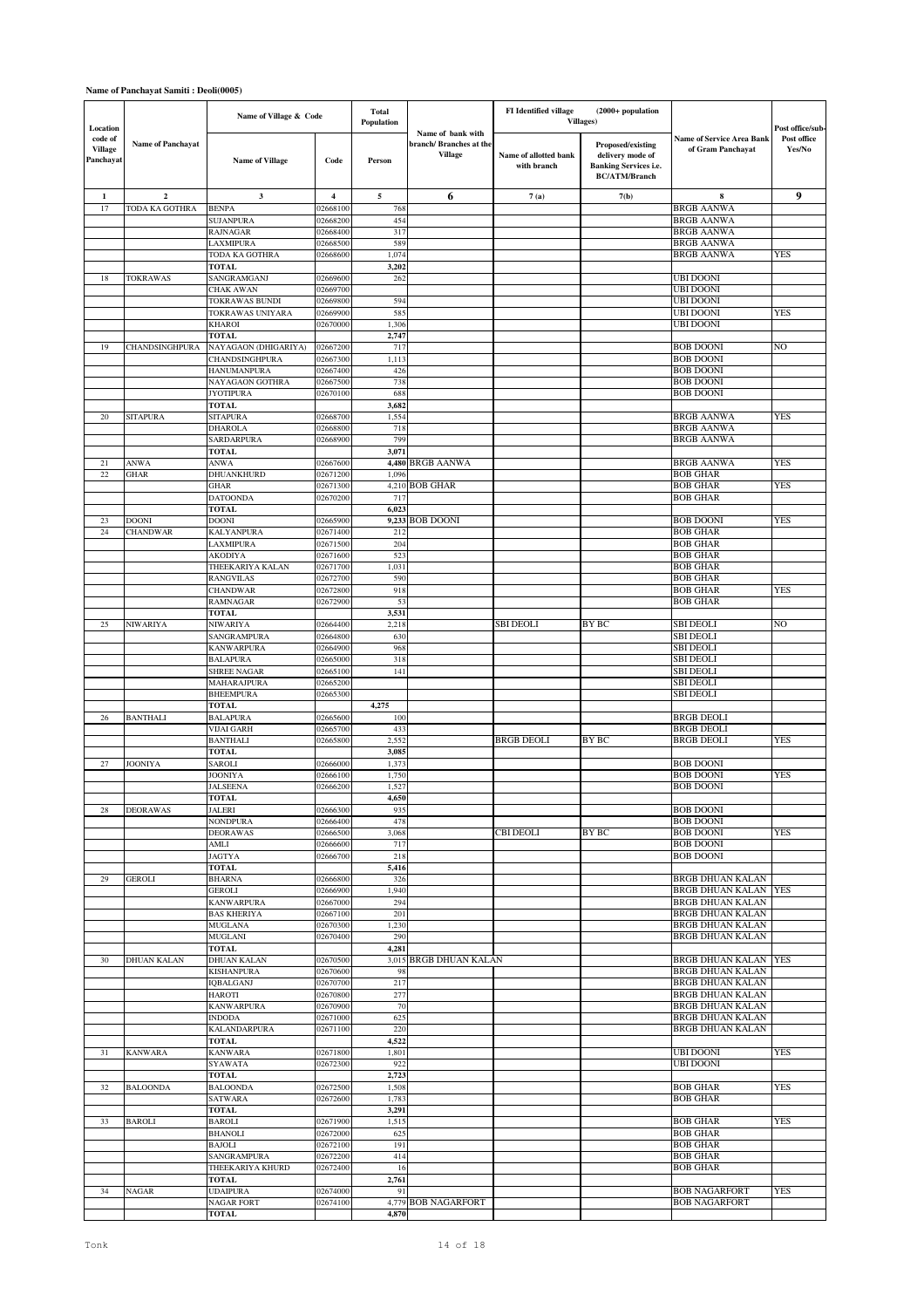### **Name of Panchayat Samiti : Deoli(0005)**

| Location                               |                          | Name of Village & Code                  |                      | <b>Total</b><br>Population |                                                        | <b>FI</b> Identified village         | $(2000+$ population<br><b>Villages</b> )                                                      |                                                       | Post office/sub-      |
|----------------------------------------|--------------------------|-----------------------------------------|----------------------|----------------------------|--------------------------------------------------------|--------------------------------------|-----------------------------------------------------------------------------------------------|-------------------------------------------------------|-----------------------|
| code of<br><b>Village</b><br>Panchayat | <b>Name of Panchayat</b> | <b>Name of Village</b>                  | Code                 | Person                     | Name of bank with<br>branch/Branches at the<br>Village | Name of allotted bank<br>with branch | Proposed/existing<br>delivery mode of<br><b>Banking Services i.e.</b><br><b>BC/ATM/Branch</b> | <b>Name of Service Area Bank</b><br>of Gram Panchayat | Post office<br>Yes/No |
| 1                                      | $\mathbf 2$              | $\mathbf{3}$                            | $\overline{4}$       | $\overline{5}$             | 6                                                      | 7(a)                                 | 7(b)                                                                                          | $\bf8$                                                | 9                     |
| 17                                     | TODA KA GOTHRA           | <b>BENPA</b><br><b>SUJANPURA</b>        | 02668100<br>02668200 | 768<br>454                 |                                                        |                                      |                                                                                               | <b>BRGB AANWA</b><br><b>BRGB AANWA</b>                |                       |
|                                        |                          | <b>RAJNAGAR</b>                         | 02668400             | 317                        |                                                        |                                      |                                                                                               | <b>BRGB AANWA</b>                                     |                       |
|                                        |                          | LAXMIPURA                               | 02668500             | 589                        |                                                        |                                      |                                                                                               | <b>BRGB AANWA</b>                                     |                       |
|                                        |                          | TODA KA GOTHRA<br><b>TOTAL</b>          | 02668600             | 1,074<br>3,202             |                                                        |                                      |                                                                                               | <b>BRGB AANWA</b>                                     | <b>YES</b>            |
| 18                                     | <b>TOKRAWAS</b>          | SANGRAMGANJ                             | 02669600             | 262                        |                                                        |                                      |                                                                                               | <b>UBI DOONI</b>                                      |                       |
|                                        |                          | <b>CHAK AWAN</b>                        | 02669700             |                            |                                                        |                                      |                                                                                               | <b>UBI DOONI</b>                                      |                       |
|                                        |                          | TOKRAWAS BUNDI<br>TOKRAWAS UNIYARA      | 02669800<br>02669900 | 594<br>585                 |                                                        |                                      |                                                                                               | <b>UBI DOONI</b><br><b>UBI DOONI</b>                  | YES                   |
|                                        |                          | <b>KHAROI</b>                           | 02670000             | 1,306                      |                                                        |                                      |                                                                                               | <b>UBI DOONI</b>                                      |                       |
|                                        |                          | TOTAL                                   |                      | 2,747                      |                                                        |                                      |                                                                                               |                                                       |                       |
| 19                                     | <b>CHANDSINGHPURA</b>    | NAYAGAON (DHIGARIYA)<br>CHANDSINGHPURA  | 02667200<br>02667300 | 717<br>1,113               |                                                        |                                      |                                                                                               | <b>BOB DOONI</b><br><b>BOB DOONI</b>                  | NO                    |
|                                        |                          | <b>HANUMANPURA</b>                      | 02667400             | 426                        |                                                        |                                      |                                                                                               | <b>BOB DOONI</b>                                      |                       |
|                                        |                          | NAYAGAON GOTHRA                         | 02667500             | 738                        |                                                        |                                      |                                                                                               | <b>BOB DOONI</b>                                      |                       |
|                                        |                          | <b>JYOTIPURA</b><br><b>TOTAL</b>        | 02670100             | 688<br>3,682               |                                                        |                                      |                                                                                               | <b>BOB DOONI</b>                                      |                       |
| 20                                     | <b>SITAPURA</b>          | <b>SITAPURA</b>                         | 02668700             | 1,554                      |                                                        |                                      |                                                                                               | <b>BRGB AANWA</b>                                     | YES                   |
|                                        |                          | <b>DHAROLA</b>                          | 02668800             | 718                        |                                                        |                                      |                                                                                               | <b>BRGB AANWA</b>                                     |                       |
|                                        |                          | <b>SARDARPURA</b>                       | 02668900             | 799                        |                                                        |                                      |                                                                                               | <b>BRGB AANWA</b>                                     |                       |
| 21                                     | <b>ANWA</b>              | <b>TOTAL</b><br><b>ANWA</b>             | 02667600             | 3,071<br>4,480             | <b>BRGB AANWA</b>                                      |                                      |                                                                                               | <b>BRGB AANWA</b>                                     | YES                   |
| 22                                     | <b>GHAR</b>              | DHUANKHURD                              | 02671200             | 1,096                      |                                                        |                                      |                                                                                               | <b>BOB GHAR</b>                                       |                       |
|                                        |                          | <b>GHAR</b>                             | 02671300             | 4,210                      | <b>BOB GHAR</b>                                        |                                      |                                                                                               | <b>BOB GHAR</b>                                       | YES                   |
|                                        |                          | <b>DATOONDA</b><br>TOTAL                | 02670200             | 717<br>6,023               |                                                        |                                      |                                                                                               | <b>BOB GHAR</b>                                       |                       |
| 23                                     | <b>DOONI</b>             | <b>DOONI</b>                            | 02665900             | 9,233                      | <b>BOB DOONI</b>                                       |                                      |                                                                                               | <b>BOB DOONI</b>                                      | YES                   |
| 24                                     | <b>CHANDWAR</b>          | <b>KALYANPURA</b>                       | 02671400             | 212                        |                                                        |                                      |                                                                                               | <b>BOB GHAR</b>                                       |                       |
|                                        |                          | LAXMIPURA                               | 02671500             | 204                        |                                                        |                                      |                                                                                               | <b>BOB GHAR</b>                                       |                       |
|                                        |                          | <b>AKODIYA</b><br>THEEKARIYA KALAN      | 02671600<br>02671700 | 523<br>1,031               |                                                        |                                      |                                                                                               | <b>BOB GHAR</b><br><b>BOB GHAR</b>                    |                       |
|                                        |                          | <b>RANGVILAS</b>                        | 02672700             | 590                        |                                                        |                                      |                                                                                               | <b>BOB GHAR</b>                                       |                       |
|                                        |                          | <b>CHANDWAR</b>                         | 02672800             | 918                        |                                                        |                                      |                                                                                               | <b>BOB GHAR</b>                                       | YES                   |
|                                        |                          | RAMNAGAR<br><b>TOTAL</b>                | 02672900             | 53<br>3,531                |                                                        |                                      |                                                                                               | <b>BOB GHAR</b>                                       |                       |
| 25                                     | NIWARIYA                 | NIWARIYA                                | 02664400             | 2,218                      |                                                        | SBI DEOLI                            | BY BC                                                                                         | SBI DEOLI                                             | NO                    |
|                                        |                          | SANGRAMPURA                             | 02664800             | 630                        |                                                        |                                      |                                                                                               | <b>SBI DEOLI</b>                                      |                       |
|                                        |                          | <b>KANWARPURA</b>                       | 02664900             | 968                        |                                                        |                                      |                                                                                               | <b>SBI DEOLI</b><br><b>SBI DEOLI</b>                  |                       |
|                                        |                          | <b>BALAPURA</b><br><b>SHREE NAGAR</b>   | 02665000<br>02665100 | 318<br>141                 |                                                        |                                      |                                                                                               | <b>SBI DEOLI</b>                                      |                       |
|                                        |                          | MAHARAJPURA                             | 02665200             |                            |                                                        |                                      |                                                                                               | SBI DEOLI                                             |                       |
|                                        |                          | <b>BHEEMPURA</b>                        | 02665300             |                            |                                                        |                                      |                                                                                               | SBI DEOLI                                             |                       |
| 26                                     | <b>BANTHALI</b>          | TOTAL<br><b>BALAPURA</b>                | 02665600             | 4,275<br>100               |                                                        |                                      |                                                                                               | <b>BRGB DEOLI</b>                                     |                       |
|                                        |                          | VIJAI GARH                              | 02665700             | 433                        |                                                        |                                      |                                                                                               | <b>BRGB DEOLI</b>                                     |                       |
|                                        |                          | <b>BANTHALI</b>                         | 02665800             | 2,552                      |                                                        | <b>BRGB DEOLI</b>                    | <b>BY BC</b>                                                                                  | <b>BRGB DEOLI</b>                                     | <b>YES</b>            |
| $27\,$                                 | <b>JOONIYA</b>           | <b>TOTAL</b><br>SAROLI                  | 02666000             | 3,085<br>1,373             |                                                        |                                      |                                                                                               | BOB DOONI                                             |                       |
|                                        |                          | JOONIYA                                 | 02666100             | 1,750                      |                                                        |                                      |                                                                                               | <b>BOB DOONI</b>                                      | <b>YES</b>            |
|                                        |                          | <b>JALSEENA</b>                         | 02666200             | 1,527                      |                                                        |                                      |                                                                                               | <b>BOB DOONI</b>                                      |                       |
|                                        |                          | <b>TOTAL</b>                            |                      | 4,650                      |                                                        |                                      |                                                                                               | <b>BOB DOONI</b>                                      |                       |
| 28                                     | <b>DEORAWAS</b>          | <b>JALERI</b><br><b>NONDPURA</b>        | 02666300<br>02666400 | 935<br>478                 |                                                        |                                      |                                                                                               | <b>BOB DOONI</b>                                      |                       |
|                                        |                          | <b>DEORAWAS</b>                         | 02666500             | 3,068                      |                                                        | CBI DEOLI                            | <b>BY BC</b>                                                                                  | <b>BOB DOONI</b>                                      | YES                   |
|                                        |                          | AMLI                                    | 02666600             | 717                        |                                                        |                                      |                                                                                               | <b>BOB DOONI</b><br><b>BOB DOONI</b>                  |                       |
|                                        |                          | <b>JAGTYA</b><br><b>TOTAL</b>           | 02666700             | 218<br>5,416               |                                                        |                                      |                                                                                               |                                                       |                       |
| 29                                     | <b>GEROLI</b>            | <b>BHARNA</b>                           | 02666800             | 326                        |                                                        |                                      |                                                                                               | <b>BRGB DHUAN KALAN</b>                               |                       |
|                                        |                          | <b>GEROLI</b>                           | 02666900             | 1,940                      |                                                        |                                      |                                                                                               | <b>BRGB DHUAN KALAN YES</b>                           |                       |
|                                        |                          | <b>KANWARPURA</b><br><b>BAS KHERIYA</b> | 02667000<br>02667100 | 294<br>201                 |                                                        |                                      |                                                                                               | <b>BRGB DHUAN KALAN</b><br><b>BRGB DHUAN KALAN</b>    |                       |
|                                        |                          | MUGLANA                                 | 02670300             | 1,230                      |                                                        |                                      |                                                                                               | <b>BRGB DHUAN KALAN</b>                               |                       |
|                                        |                          | MUGLANI                                 | 02670400             | 290                        |                                                        |                                      |                                                                                               | <b>BRGB DHUAN KALAN</b>                               |                       |
| 30                                     | <b>DHUAN KALAN</b>       | TOTAL<br><b>DHUAN KALAN</b>             | 02670500             | 4,281                      | 3,015 BRGB DHUAN KALAN                                 |                                      |                                                                                               | BRGB DHUAN KALAN YES                                  |                       |
|                                        |                          | <b>KISHANPURA</b>                       | 02670600             | 98                         |                                                        |                                      |                                                                                               | <b>BRGB DHUAN KALAN</b>                               |                       |
|                                        |                          | IQBALGANJ                               | 02670700             | 217                        |                                                        |                                      |                                                                                               | <b>BRGB DHUAN KALAN</b>                               |                       |
|                                        |                          | <b>HAROTI</b><br><b>KANWARPURA</b>      | 02670800<br>02670900 | 277<br>70                  |                                                        |                                      |                                                                                               | <b>BRGB DHUAN KALAN</b><br><b>BRGB DHUAN KALAN</b>    |                       |
|                                        |                          | <b>INDODA</b>                           | 02671000             | 625                        |                                                        |                                      |                                                                                               | <b>BRGB DHUAN KALAN</b>                               |                       |
|                                        |                          | <b>KALANDARPURA</b>                     | 02671100             | 220                        |                                                        |                                      |                                                                                               | <b>BRGB DHUAN KALAN</b>                               |                       |
|                                        |                          | <b>TOTAL</b>                            |                      | 4,522                      |                                                        |                                      |                                                                                               | UBI DOONI                                             |                       |
| 31                                     | <b>KANWARA</b>           | <b>KANWARA</b><br><b>SYAWATA</b>        | 02671800<br>02672300 | 1,801<br>922               |                                                        |                                      |                                                                                               | <b>UBI DOONI</b>                                      | YES                   |
|                                        |                          | <b>TOTAL</b>                            |                      | 2,723                      |                                                        |                                      |                                                                                               |                                                       |                       |
| 32                                     | <b>BALOONDA</b>          | <b>BALOONDA</b>                         | 02672500             | 1,508                      |                                                        |                                      |                                                                                               | <b>BOB GHAR</b>                                       | YES                   |
|                                        |                          | <b>SATWARA</b><br><b>TOTAL</b>          | 02672600             | 1,783<br>3,291             |                                                        |                                      |                                                                                               | <b>BOB GHAR</b>                                       |                       |
| 33                                     | <b>BAROLI</b>            | <b>BAROLI</b>                           | 02671900             | 1,515                      |                                                        |                                      |                                                                                               | <b>BOB GHAR</b>                                       | YES                   |
|                                        |                          | <b>BHANOLI</b>                          | 02672000             | 625                        |                                                        |                                      |                                                                                               | <b>BOB GHAR</b>                                       |                       |
|                                        |                          | <b>BAJOLI</b>                           | 02672100             | 191                        |                                                        |                                      |                                                                                               | <b>BOB GHAR</b>                                       |                       |
|                                        |                          | SANGRAMPURA<br>THEEKARIYA KHURD         | 02672200<br>02672400 | 414<br>16                  |                                                        |                                      |                                                                                               | <b>BOB GHAR</b><br><b>BOB GHAR</b>                    |                       |
|                                        |                          | <b>TOTAL</b>                            |                      | 2,761                      |                                                        |                                      |                                                                                               |                                                       |                       |
| 34                                     | <b>NAGAR</b>             | <b>UDAIPURA</b>                         | 02674000             | 91                         |                                                        |                                      |                                                                                               | <b>BOB NAGARFORT</b>                                  | YES                   |
|                                        |                          | <b>NAGAR FORT</b><br><b>TOTAL</b>       | 02674100             | 4,870                      | 4,779 BOB NAGARFORT                                    |                                      |                                                                                               | <b>BOB NAGARFORT</b>                                  |                       |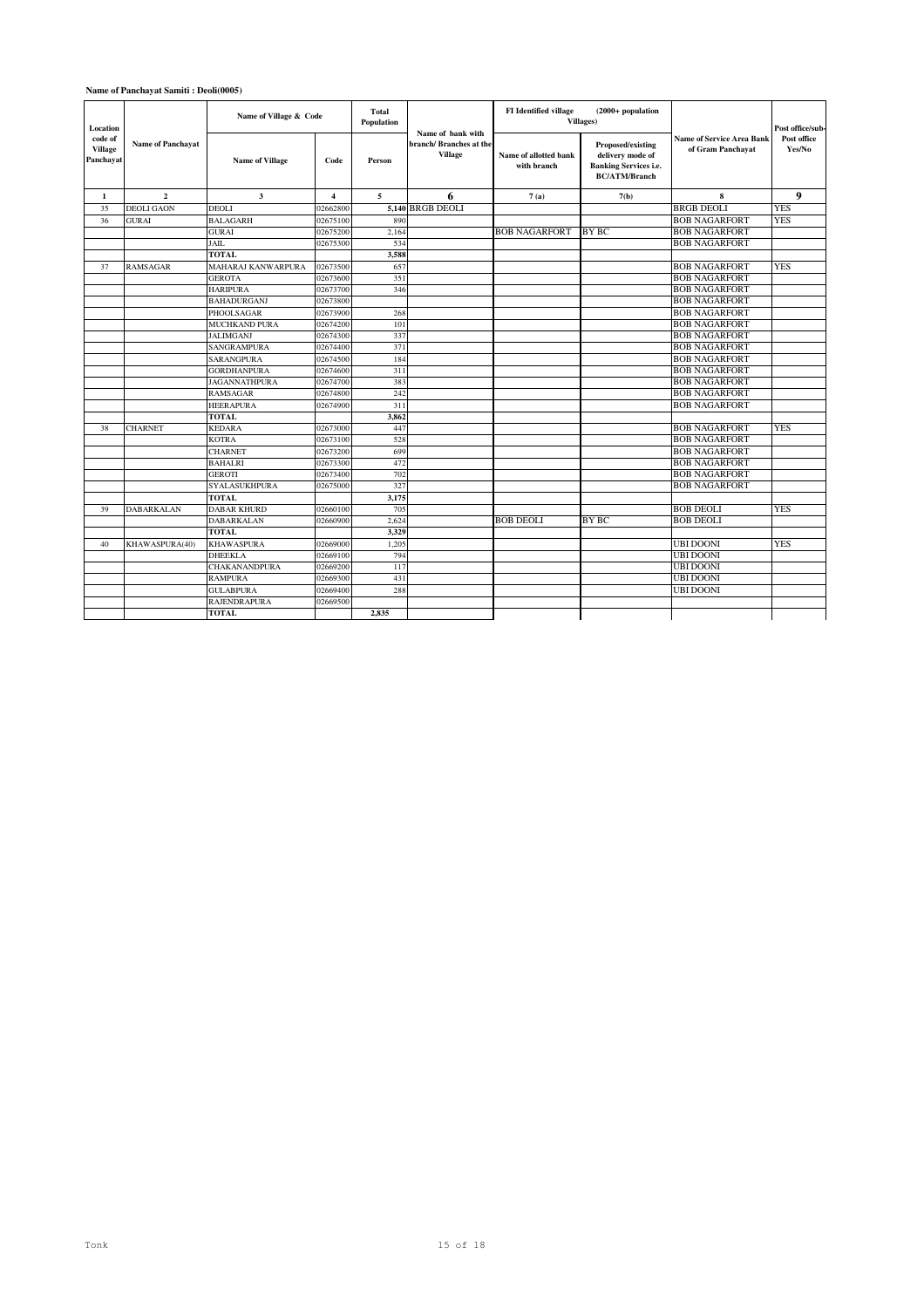### **Name of Panchayat Samiti : Deoli(0005)**

| Location                               |                          | Name of Village & Code |                         | Total<br>Population |                                                               | <b>FI</b> Identified village         | $(2000+$ population<br><b>Villages</b> )                                                      |                                                       | Post office/sub-      |
|----------------------------------------|--------------------------|------------------------|-------------------------|---------------------|---------------------------------------------------------------|--------------------------------------|-----------------------------------------------------------------------------------------------|-------------------------------------------------------|-----------------------|
| code of<br><b>Village</b><br>Panchayat | <b>Name of Panchayat</b> | <b>Name of Village</b> | Code                    | Person              | Name of bank with<br>branch/Branches at the<br><b>Village</b> | Name of allotted bank<br>with branch | Proposed/existing<br>delivery mode of<br><b>Banking Services i.e.</b><br><b>BC/ATM/Branch</b> | <b>Name of Service Area Bank</b><br>of Gram Panchayat | Post office<br>Yes/No |
| 1                                      | $\mathbf{2}$             | 3                      | $\overline{\mathbf{4}}$ | 5                   | 6                                                             | 7(a)                                 | 7(b)                                                                                          | 8                                                     | 9                     |
| 35                                     | <b>DEOLI GAON</b>        | <b>DEOLI</b>           | 02662800                |                     | 5,140 BRGB DEOLI                                              |                                      |                                                                                               | <b>BRGB DEOLI</b>                                     | <b>YES</b>            |
| 36                                     | <b>GURAI</b>             | <b>BALAGARH</b>        | 02675100                | 890                 |                                                               |                                      |                                                                                               | <b>BOB NAGARFORT</b>                                  | <b>YES</b>            |
|                                        |                          | <b>GURAI</b>           | 02675200                | 2,164               |                                                               | <b>BOB NAGARFORT</b>                 | <b>BY BC</b>                                                                                  | <b>BOB NAGARFORT</b>                                  |                       |
|                                        |                          | JAIL                   | 02675300                | 534                 |                                                               |                                      |                                                                                               | <b>BOB NAGARFORT</b>                                  |                       |
|                                        |                          | <b>TOTAL</b>           |                         | 3,588               |                                                               |                                      |                                                                                               |                                                       |                       |
| 37                                     | RAMSAGAR                 | MAHARAJ KANWARPURA     | 02673500                | 657                 |                                                               |                                      |                                                                                               | <b>BOB NAGARFORT</b>                                  | <b>YES</b>            |
|                                        |                          | <b>GEROTA</b>          | 02673600                | 351                 |                                                               |                                      |                                                                                               | <b>BOB NAGARFORT</b>                                  |                       |
|                                        |                          | <b>HARIPURA</b>        | 02673700                | 346                 |                                                               |                                      |                                                                                               | <b>BOB NAGARFORT</b>                                  |                       |
|                                        |                          | <b>BAHADURGANJ</b>     | 02673800                |                     |                                                               |                                      |                                                                                               | <b>BOB NAGARFORT</b>                                  |                       |
|                                        |                          | PHOOLSAGAR             | 02673900                | 268                 |                                                               |                                      |                                                                                               | <b>BOB NAGARFORT</b>                                  |                       |
|                                        |                          | <b>MUCHKAND PURA</b>   | 02674200                | 101                 |                                                               |                                      |                                                                                               | <b>BOB NAGARFORT</b>                                  |                       |
|                                        |                          | <b>JALIMGANJ</b>       | 02674300                | 337                 |                                                               |                                      |                                                                                               | <b>BOB NAGARFORT</b>                                  |                       |
|                                        |                          | <b>SANGRAMPURA</b>     | 02674400                | 371                 |                                                               |                                      |                                                                                               | <b>BOB NAGARFORT</b>                                  |                       |
|                                        |                          | SARANGPURA             | 02674500                | 184                 |                                                               |                                      |                                                                                               | <b>BOB NAGARFORT</b>                                  |                       |
|                                        |                          | <b>GORDHANPURA</b>     | 02674600                | 311                 |                                                               |                                      |                                                                                               | <b>BOB NAGARFORT</b>                                  |                       |
|                                        |                          | <b>JAGANNATHPURA</b>   | 02674700                | 383                 |                                                               |                                      |                                                                                               | <b>BOB NAGARFORT</b>                                  |                       |
|                                        |                          | <b>RAMSAGAR</b>        | 02674800                | 242                 |                                                               |                                      |                                                                                               | <b>BOB NAGARFORT</b>                                  |                       |
|                                        |                          | <b>HEERAPURA</b>       | 02674900                | 311                 |                                                               |                                      |                                                                                               | <b>BOB NAGARFORT</b>                                  |                       |
|                                        |                          | <b>TOTAL</b>           |                         | 3.862               |                                                               |                                      |                                                                                               |                                                       |                       |
| 38                                     | <b>CHARNET</b>           | <b>KEDARA</b>          | 02673000                | 447                 |                                                               |                                      |                                                                                               | <b>BOB NAGARFORT</b>                                  | <b>YES</b>            |
|                                        |                          | <b>KOTRA</b>           | 02673100                | 528                 |                                                               |                                      |                                                                                               | <b>BOB NAGARFORT</b>                                  |                       |
|                                        |                          | <b>CHARNET</b>         | 02673200                | 699                 |                                                               |                                      |                                                                                               | <b>BOB NAGARFORT</b>                                  |                       |
|                                        |                          | <b>BAHALRI</b>         | 02673300                | 472                 |                                                               |                                      |                                                                                               | <b>BOB NAGARFORT</b>                                  |                       |
|                                        |                          | <b>GEROTI</b>          | 02673400                | 702                 |                                                               |                                      |                                                                                               | <b>BOB NAGARFORT</b>                                  |                       |
|                                        |                          | <b>SYALASUKHPURA</b>   | 02675000                | 327                 |                                                               |                                      |                                                                                               | <b>BOB NAGARFORT</b>                                  |                       |
|                                        |                          | TOTAL                  |                         | 3,175               |                                                               |                                      |                                                                                               |                                                       |                       |
| 39                                     | <b>DABARKALAN</b>        | <b>DABAR KHURD</b>     | 02660100                | 705                 |                                                               |                                      |                                                                                               | <b>BOB DEOLI</b>                                      | <b>YES</b>            |
|                                        |                          | <b>DABARKALAN</b>      | 02660900                | 2,624               |                                                               | <b>BOB DEOLI</b>                     | BY BC                                                                                         | <b>BOB DEOLI</b>                                      |                       |
|                                        |                          | <b>TOTAL</b>           |                         | 3.329               |                                                               |                                      |                                                                                               |                                                       |                       |
| 40                                     | KHAWASPURA(40)           | <b>KHAWASPURA</b>      | 02669000                | 1.205               |                                                               |                                      |                                                                                               | <b>UBI DOONI</b>                                      | <b>YES</b>            |
|                                        |                          | <b>DHEEKLA</b>         | 02669100                | 794                 |                                                               |                                      |                                                                                               | <b>UBI DOONI</b>                                      |                       |
|                                        |                          | CHAKANANDPURA          | 02669200                | 117                 |                                                               |                                      |                                                                                               | <b>UBI DOONI</b>                                      |                       |
|                                        |                          | <b>RAMPURA</b>         | 02669300                | 431                 |                                                               |                                      |                                                                                               | <b>UBI DOONI</b>                                      |                       |
|                                        |                          | <b>GULABPURA</b>       | 02669400                | 288                 |                                                               |                                      |                                                                                               | <b>UBI DOONI</b>                                      |                       |
|                                        |                          | <b>RAJENDRAPURA</b>    | 02669500                |                     |                                                               |                                      |                                                                                               |                                                       |                       |
|                                        |                          | <b>TOTAL</b>           |                         | 2.835               |                                                               |                                      |                                                                                               |                                                       |                       |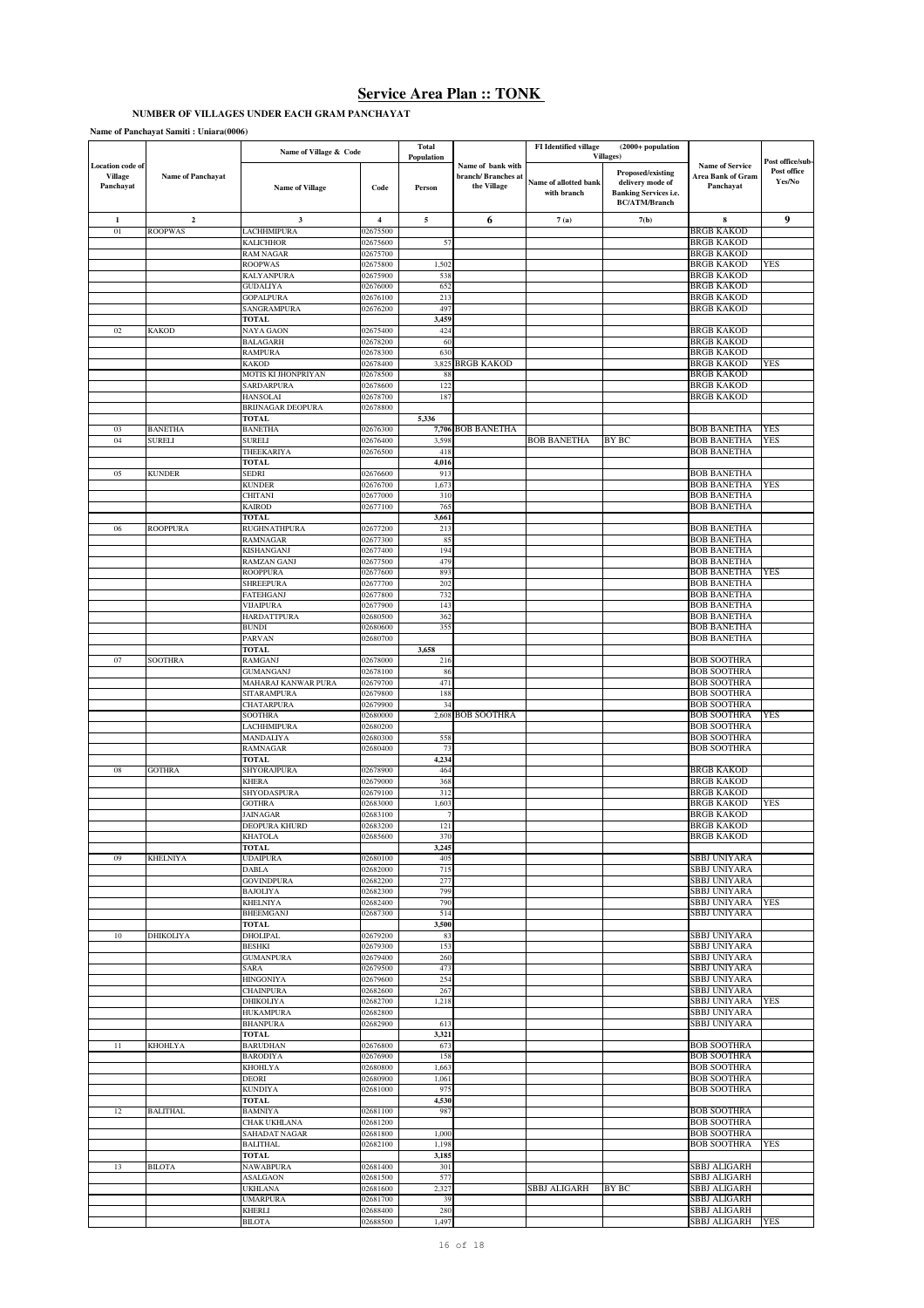# **NUMBER OF VILLAGES UNDER EACH GRAM PANCHAYAT**

| Name of Panchayat Samiti: Uniara(0006) |  |
|----------------------------------------|--|
|----------------------------------------|--|

|                  |                          | Name of Village & Code                  |                         | Total          |                    | FI Identified village | $(2000+$ population          |                                            |                  |
|------------------|--------------------------|-----------------------------------------|-------------------------|----------------|--------------------|-----------------------|------------------------------|--------------------------------------------|------------------|
| Location code of |                          |                                         |                         | Population     | Name of bank with  |                       | Villages)                    | <b>Name of Service</b>                     | Post office/sub- |
| <b>Village</b>   | <b>Name of Panchayat</b> |                                         |                         |                | branch/Branches at |                       | Proposed/existing            | <b>Area Bank of Gram</b>                   | Post office      |
| Panchayat        |                          | <b>Name of Village</b>                  | Code                    | Person         | the Village        | Name of allotted bank | delivery mode of             | Panchayat                                  | Yes/No           |
|                  |                          |                                         |                         |                |                    | with branch           | <b>Banking Services i.e.</b> |                                            |                  |
|                  |                          |                                         |                         |                |                    |                       | <b>BC/ATM/Branch</b>         |                                            |                  |
| $\mathbf{1}$     | $\mathbf 2$              | 3                                       | $\overline{\mathbf{4}}$ | $\sqrt{5}$     | 6                  | 7(a)                  | 7(b)                         | 8                                          | 9                |
| 01               | <b>ROOPWAS</b>           | LACHHMIPURA                             | 02675500                |                |                    |                       |                              | <b>BRGB KAKOD</b>                          |                  |
|                  |                          | <b>KALICHHOR</b>                        | 02675600                | 57             |                    |                       |                              | <b>BRGB KAKOD</b>                          |                  |
|                  |                          | <b>RAM NAGAR</b>                        | 02675700                |                |                    |                       |                              | <b>BRGB KAKOD</b>                          |                  |
|                  |                          | <b>ROOPWAS</b>                          | 02675800                | 1,502          |                    |                       |                              | <b>BRGB KAKOD</b>                          | YES              |
|                  |                          | KALYANPURA                              | 02675900                | 538            |                    |                       |                              | <b>BRGB KAKOD</b>                          |                  |
|                  |                          | <b>GUDALIYA</b><br><b>GOPALPURA</b>     | 02676000<br>02676100    | 652<br>213     |                    |                       |                              | <b>BRGB KAKOD</b><br><b>BRGB KAKOD</b>     |                  |
|                  |                          | SANGRAMPURA                             | 02676200                | 497            |                    |                       |                              | <b>BRGB KAKOD</b>                          |                  |
|                  |                          | <b>TOTAL</b>                            |                         | 3,459          |                    |                       |                              |                                            |                  |
| 02               | <b>KAKOD</b>             | NAYA GAON                               | 02675400                | 424            |                    |                       |                              | <b>BRGB KAKOD</b>                          |                  |
|                  |                          | <b>BALAGARH</b>                         | 02678200                | 60             |                    |                       |                              | <b>BRGB KAKOD</b>                          |                  |
|                  |                          | <b>RAMPURA</b>                          | 02678300                | 630            |                    |                       |                              | <b>BRGB KAKOD</b>                          |                  |
|                  |                          | <b>KAKOD</b>                            | 02678400                |                | 3.825 BRGB KAKOD   |                       |                              | <b>BRGB KAKOD</b>                          | YES              |
|                  |                          | MOTIS KI JHONPRIYAN                     | 02678500                | 88             |                    |                       |                              | <b>BRGB KAKOD</b>                          |                  |
|                  |                          | SARDARPURA                              | 02678600                | 122            |                    |                       |                              | <b>BRGB KAKOD</b>                          |                  |
|                  |                          | <b>HANSOLAI</b>                         | 02678700                | 187            |                    |                       |                              | <b>BRGB KAKOD</b>                          |                  |
|                  |                          | <b>BRIJNAGAR DEOPURA</b>                | 02678800                |                |                    |                       |                              |                                            |                  |
| 03               | <b>BANETHA</b>           | <b>TOTAL</b><br><b>BANETHA</b>          | 02676300                | 5,336          | 7,706 BOB BANETHA  |                       |                              | <b>BOB BANETHA</b>                         | YES              |
| 04               | <b>SURELI</b>            | SURELI                                  | 02676400                | 3,598          |                    | <b>BOB BANETHA</b>    | BY BC                        | <b>BOB BANETHA</b>                         | YES              |
|                  |                          | THEEKARIYA                              | 02676500                | 418            |                    |                       |                              | <b>BOB BANETHA</b>                         |                  |
|                  |                          | <b>TOTAL</b>                            |                         | 4,016          |                    |                       |                              |                                            |                  |
| 05               | <b>KUNDER</b>            | <b>SEDRI</b>                            | 02676600                | 913            |                    |                       |                              | <b>BOB BANETHA</b>                         |                  |
|                  |                          | <b>KUNDER</b>                           | 02676700                | 1,673          |                    |                       |                              | <b>BOB BANETHA</b>                         | YES              |
|                  |                          | CHITANI                                 | 02677000                | 310            |                    |                       |                              | <b>BOB BANETHA</b>                         |                  |
|                  |                          | <b>KAIROD</b>                           | 02677100                | 765            |                    |                       |                              | <b>BOB BANETHA</b>                         |                  |
|                  |                          | <b>TOTAL</b>                            |                         | 3,661          |                    |                       |                              |                                            |                  |
| 06               | <b>ROOPPURA</b>          | RUGHNATHPURA                            | 02677200                | 213            |                    |                       |                              | <b>BOB BANETHA</b>                         |                  |
|                  |                          | RAMNAGAR                                | 02677300                | 85<br>194      |                    |                       |                              | <b>BOB BANETHA</b><br><b>BOB BANETHA</b>   |                  |
|                  |                          | KISHANGANJ<br><b>RAMZAN GANJ</b>        | 02677400<br>02677500    | 479            |                    |                       |                              | <b>BOB BANETHA</b>                         |                  |
|                  |                          | <b>ROOPPURA</b>                         | 02677600                | 893            |                    |                       |                              | <b>BOB BANETHA</b>                         | YES              |
|                  |                          | <b>SHREEPURA</b>                        | 02677700                | 202            |                    |                       |                              | <b>BOB BANETHA</b>                         |                  |
|                  |                          | FATEHGANJ                               | 02677800                | 732            |                    |                       |                              | <b>BOB BANETHA</b>                         |                  |
|                  |                          | VIJAIPURA                               | 02677900                | 143            |                    |                       |                              | <b>BOB BANETHA</b>                         |                  |
|                  |                          | <b>HARDATTPURA</b>                      | 02680500                | 362            |                    |                       |                              | <b>BOB BANETHA</b>                         |                  |
|                  |                          | <b>BUNDI</b>                            | 02680600                | 355            |                    |                       |                              | <b>BOB BANETHA</b>                         |                  |
|                  |                          | PARVAN                                  | 02680700                |                |                    |                       |                              | <b>BOB BANETHA</b>                         |                  |
|                  |                          | TOTAL                                   |                         | 3,658          |                    |                       |                              |                                            |                  |
| 07               | <b>SOOTHRA</b>           | <b>RAMGANJ</b>                          | 02678000                | 216            |                    |                       |                              | <b>BOB SOOTHRA</b>                         |                  |
|                  |                          | <b>GUMANGANJ</b><br>MAHARAJ KANWAR PURA | 02678100<br>02679700    | 86<br>471      |                    |                       |                              | <b>BOB SOOTHRA</b><br><b>BOB SOOTHRA</b>   |                  |
|                  |                          | SITARAMPURA                             | 02679800                | 188            |                    |                       |                              | <b>BOB SOOTHRA</b>                         |                  |
|                  |                          | CHATARPURA                              | 02679900                | 34             |                    |                       |                              | <b>BOB SOOTHRA</b>                         |                  |
|                  |                          | <b>SOOTHRA</b>                          | 02680000                |                | 2,608 BOB SOOTHRA  |                       |                              | <b>BOB SOOTHRA</b>                         | <b>YES</b>       |
|                  |                          | LACHHMIPURA                             | 02680200                |                |                    |                       |                              | <b>BOB SOOTHRA</b>                         |                  |
|                  |                          | MANDALIYA                               | 02680300                | 558            |                    |                       |                              | <b>BOB SOOTHRA</b>                         |                  |
|                  |                          | <b>RAMNAGAR</b>                         | 02680400                | 73             |                    |                       |                              | <b>BOB SOOTHRA</b>                         |                  |
|                  |                          | <b>TOTAL</b>                            |                         | 4,234          |                    |                       |                              |                                            |                  |
| 08               | <b>GOTHRA</b>            | SHYORAJPURA                             | 02678900                | 464            |                    |                       |                              | <b>BRGB KAKOD</b>                          |                  |
|                  |                          | <b>KHERA</b>                            | 02679000<br>02679100    | 368            |                    |                       |                              | <b>BRGB KAKOD</b>                          |                  |
|                  |                          | SHYODASPURA<br><b>GOTHRA</b>            | 02683000                | 312<br>1,603   |                    |                       |                              | <b>BRGB KAKOD</b><br><b>BRGB KAKOD</b>     | YES              |
|                  |                          | <b>JAINAGAR</b>                         | 02683100                | 7              |                    |                       |                              | <b>BRGB KAKOD</b>                          |                  |
|                  |                          | DEOPURA KHURD                           | 02683200                | 121            |                    |                       |                              | <b>BRGB KAKOD</b>                          |                  |
|                  |                          | <b>KHATOLA</b>                          | 02685600                | 370            |                    |                       |                              | <b>BRGB KAKOD</b>                          |                  |
|                  |                          | <b>TOTAL</b>                            |                         | 3,245          |                    |                       |                              |                                            |                  |
| 09               | <b>KHELNIYA</b>          | <b>UDAIPURA</b>                         | 02680100                | 405            |                    |                       |                              | <b>SBBJ UNIYARA</b>                        |                  |
|                  |                          | <b>DABLA</b>                            | 02682000                | 715            |                    |                       |                              | SBBJ UNIYARA                               |                  |
|                  |                          | <b>GOVINDPURA</b>                       | 02682200                | 277            |                    |                       |                              | <b>SBBJ UNIYARA</b>                        |                  |
|                  |                          | <b>BAJOLIYA</b>                         | 02682300                | 799            |                    |                       |                              | <b>SBBJ UNIYARA</b>                        |                  |
|                  |                          | <b>KHELNIYA</b><br><b>BHEEMGANJ</b>     | 02682400<br>02687300    | 790<br>514     |                    |                       |                              | SBBJ UNIYARA<br>SBBJ UNIYARA               | <b>YES</b>       |
|                  |                          | TOTAL                                   |                         | 3,500          |                    |                       |                              |                                            |                  |
| 10               | <b>DHIKOLIYA</b>         | <b>DHOLIPAL</b>                         | 02679200                | 83             |                    |                       |                              | <b>SBBJ UNIYARA</b>                        |                  |
|                  |                          | <b>BESHKI</b>                           | 02679300                | 153            |                    |                       |                              | <b>SBBJ UNIYARA</b>                        |                  |
|                  |                          | <b>GUMANPURA</b>                        | 02679400                | 260            |                    |                       |                              | <b>SBBJ UNIYARA</b>                        |                  |
|                  |                          | SARA                                    | 02679500                | 473            |                    |                       |                              | <b>SBBJ UNIYARA</b>                        |                  |
|                  |                          | <b>HINGONIYA</b>                        | 02679600                | 254            |                    |                       |                              | <b>SBBJ UNIYARA</b>                        |                  |
|                  |                          | <b>CHAINPURA</b>                        | 02682600                | 267            |                    |                       |                              | SBBJ UNIYARA                               |                  |
|                  |                          | <b>DHIKOLIYA</b>                        | 02682700                | 1,218          |                    |                       |                              | SBBJ UNIYARA                               | YES              |
|                  |                          | <b>HUKAMPURA</b>                        | 02682800                |                |                    |                       |                              | <b>SBBJ UNIYARA</b><br><b>SBBJ UNIYARA</b> |                  |
|                  |                          | <b>BHANPURA</b><br>TOTAL                | 02682900                | 613<br>3,321   |                    |                       |                              |                                            |                  |
| 11               | <b>KHOHLYA</b>           | <b>BARUDHAN</b>                         | 02676800                | 673            |                    |                       |                              | <b>BOB SOOTHRA</b>                         |                  |
|                  |                          | <b>BARODIYA</b>                         | 02676900                | 158            |                    |                       |                              | <b>BOB SOOTHRA</b>                         |                  |
|                  |                          | KHOHLYA                                 | 02680800                | 1,663          |                    |                       |                              | <b>BOB SOOTHRA</b>                         |                  |
|                  |                          | <b>DEORI</b>                            | 02680900                | 1,061          |                    |                       |                              | <b>BOB SOOTHRA</b>                         |                  |
|                  |                          | <b>KUNDIYA</b>                          | 02681000                | 975            |                    |                       |                              | <b>BOB SOOTHRA</b>                         |                  |
|                  |                          | <b>TOTAL</b>                            |                         | 4,530          |                    |                       |                              |                                            |                  |
| 12               | <b>BALITHAL</b>          | <b>BAMNIYA</b>                          | 02681100                | 987            |                    |                       |                              | <b>BOB SOOTHRA</b>                         |                  |
|                  |                          | CHAK UKHLANA                            | 02681200                |                |                    |                       |                              | <b>BOB SOOTHRA</b>                         |                  |
|                  |                          | <b>SAHADAT NAGAR</b>                    | 02681800                | 1,000          |                    |                       |                              | <b>BOB SOOTHRA</b>                         |                  |
|                  |                          | <b>BALITHAL</b><br>TOTAL                | 02682100                | 1,198<br>3,185 |                    |                       |                              | <b>BOB SOOTHRA</b>                         | YES              |
| 13               | <b>BILOTA</b>            | <b>NAWABPURA</b>                        | 02681400                | 301            |                    |                       |                              | SBBJ ALIGARH                               |                  |
|                  |                          | <b>ASALGAON</b>                         | 02681500                | 577            |                    |                       |                              | SBBJ ALIGARH                               |                  |
|                  |                          | <b>UKHLANA</b>                          | 02681600                | 2,327          |                    | SBBJ ALIGARH          | BY BC                        | SBBJ ALIGARH                               |                  |
|                  |                          | <b>UMARPURA</b>                         | 02681700                | 39             |                    |                       |                              | <b>SBBJ ALIGARH</b>                        |                  |
|                  |                          | <b>KHERLI</b>                           | 02688400                | 280            |                    |                       |                              | <b>SBBJ ALIGARH</b>                        |                  |
|                  |                          | <b>BILOTA</b>                           | 02688500                | 1,497          |                    |                       |                              | SBBJ ALIGARH                               | YES              |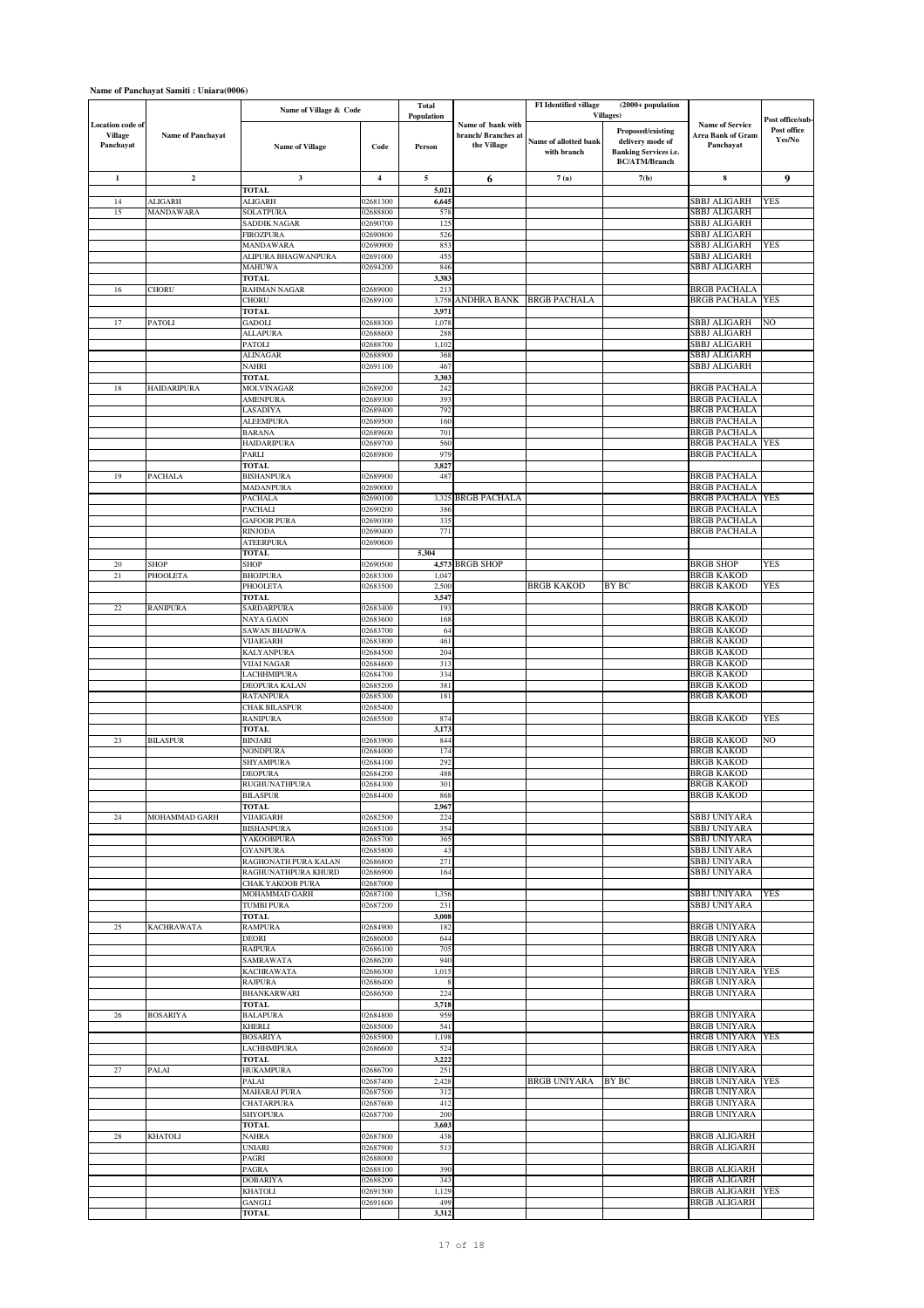## **Name of Panchayat Samiti : Uniara(0006)**

|                                                        |                          |                                    |                      | Total          |                                                        | FI Identified village                | $(2000+$ population                                                                           |                                                          |                       |
|--------------------------------------------------------|--------------------------|------------------------------------|----------------------|----------------|--------------------------------------------------------|--------------------------------------|-----------------------------------------------------------------------------------------------|----------------------------------------------------------|-----------------------|
|                                                        |                          | Name of Village & Code             |                      | Population     |                                                        |                                      | Villages)                                                                                     |                                                          | Post office/sub-      |
| <b>Location</b> code of<br><b>Village</b><br>Panchayat | <b>Name of Panchayat</b> | <b>Name of Village</b>             | Code                 | Person         | Name of bank with<br>branch/Branches at<br>the Village | Name of allotted bank<br>with branch | Proposed/existing<br>delivery mode of<br><b>Banking Services i.e.</b><br><b>BC/ATM/Branch</b> | <b>Name of Service</b><br>Area Bank of Gram<br>Panchayat | Post office<br>Yes/No |
| $\mathbf{1}$                                           | $\mathbf 2$              | $\overline{\mathbf{3}}$            | $\boldsymbol{4}$     | $\sqrt{5}$     | 6                                                      | 7(a)                                 | 7(b)                                                                                          | 8                                                        | 9                     |
|                                                        |                          | <b>TOTAL</b>                       |                      | 5,021          |                                                        |                                      |                                                                                               |                                                          |                       |
| 14                                                     | <b>ALIGARH</b>           | <b>ALIGARH</b>                     | 02681300             | 6,645          |                                                        |                                      |                                                                                               | <b>SBBJ ALIGARH</b>                                      | <b>YES</b>            |
| 15                                                     | <b>MANDAWARA</b>         | SOLATPURA<br>SADDIK NAGAR          | 02688800<br>02690700 | 578<br>125     |                                                        |                                      |                                                                                               | SBBJ ALIGARH<br>SBBJ ALIGARH                             |                       |
|                                                        |                          | FIROZPURA                          | 02690800             | 526            |                                                        |                                      |                                                                                               | <b>SBBJ ALIGARH</b>                                      |                       |
|                                                        |                          | MANDAWARA                          | 02690900             | 853            |                                                        |                                      |                                                                                               | SBBJ ALIGARH                                             | YES                   |
|                                                        |                          | ALIPURA BHAGWANPURA                | 02691000             | 455            |                                                        |                                      |                                                                                               | <b>SBBJ ALIGARH</b>                                      |                       |
|                                                        |                          | MAHUWA<br>TOTAL                    | 02694200             | 846<br>3,383   |                                                        |                                      |                                                                                               | SBBJ ALIGARH                                             |                       |
| 16                                                     | <b>CHORU</b>             | RAHMAN NAGAR                       | 02689000             | 213            |                                                        |                                      |                                                                                               | <b>BRGB PACHALA</b>                                      |                       |
|                                                        |                          | CHORU                              | 02689100             | 3,758          | ANDHRA BANK BRGB PACHALA                               |                                      |                                                                                               | <b>BRGB PACHALA</b>                                      | YES                   |
|                                                        |                          | TOTAL                              |                      | 3,971          |                                                        |                                      |                                                                                               | SBBJ ALIGARH                                             | NO                    |
| 17                                                     | PATOLI                   | GADOLI<br><b>ALLAPURA</b>          | 02688300<br>02688600 | 1,078<br>288   |                                                        |                                      |                                                                                               | SBBJ ALIGARH                                             |                       |
|                                                        |                          | PATOLI                             | 02688700             | 1,102          |                                                        |                                      |                                                                                               | SBBJ ALIGARH                                             |                       |
|                                                        |                          | <b>ALINAGAR</b>                    | 02688900             | 368            |                                                        |                                      |                                                                                               | SBBJ ALIGARH                                             |                       |
|                                                        |                          | NAHRI<br>TOTAL                     | 02691100             | 467<br>3,303   |                                                        |                                      |                                                                                               | SBBJ ALIGARH                                             |                       |
| 18                                                     | <b>HAIDARIPURA</b>       | MOLVINAGAR                         | 02689200             | 242            |                                                        |                                      |                                                                                               | <b>BRGB PACHALA</b>                                      |                       |
|                                                        |                          | AMENPURA                           | 02689300             | 393            |                                                        |                                      |                                                                                               | <b>BRGB PACHALA</b>                                      |                       |
|                                                        |                          | LASADIYA                           | 02689400             | 792            |                                                        |                                      |                                                                                               | <b>BRGB PACHALA</b>                                      |                       |
|                                                        |                          | <b>ALEEMPURA</b><br>BARANA         | 02689500<br>02689600 | 160<br>701     |                                                        |                                      |                                                                                               | <b>BRGB PACHALA</b><br><b>BRGB PACHALA</b>               |                       |
|                                                        |                          | <b>HAIDARIPURA</b>                 | 02689700             | 560            |                                                        |                                      |                                                                                               | BRGB PACHALA                                             | <b>YES</b>            |
|                                                        |                          | PARLI                              | 02689800             | 979            |                                                        |                                      |                                                                                               | <b>BRGB PACHALA</b>                                      |                       |
|                                                        |                          | TOTAL                              |                      | 3,827          |                                                        |                                      |                                                                                               |                                                          |                       |
| 19                                                     | <b>PACHALA</b>           | BISHANPURA<br>MADANPURA            | 02689900<br>02690000 | 487            |                                                        |                                      |                                                                                               | <b>BRGB PACHALA</b><br><b>BRGB PACHALA</b>               |                       |
|                                                        |                          | PACHALA                            | 02690100             |                | 3,325 BRGB PACHALA                                     |                                      |                                                                                               | BRGB PACHALA                                             | <b>YES</b>            |
|                                                        |                          | PACHALI                            | 02690200             | 386            |                                                        |                                      |                                                                                               | <b>BRGB PACHALA</b>                                      |                       |
|                                                        |                          | <b>GAFOOR PURA</b>                 | 02690300             | 335            |                                                        |                                      |                                                                                               | <b>BRGB PACHALA</b>                                      |                       |
|                                                        |                          | RINJODA<br><b>ATEERPURA</b>        | 02690400<br>02690600 | 771            |                                                        |                                      |                                                                                               | <b>BRGB PACHALA</b>                                      |                       |
|                                                        |                          | TOTAL                              |                      | 5,304          |                                                        |                                      |                                                                                               |                                                          |                       |
| $20\,$                                                 | <b>SHOP</b>              | SHOP                               | 02690500             |                | 4,573 BRGB SHOP                                        |                                      |                                                                                               | <b>BRGB SHOP</b>                                         | <b>YES</b>            |
| 21                                                     | PHOOLETA                 | <b>BHOJPURA</b>                    | 02683300             | 1,047          |                                                        |                                      |                                                                                               | <b>BRGB KAKOD</b>                                        |                       |
|                                                        |                          | PHOOLETA<br>TOTAL                  | 02683500             | 2,500<br>3,547 |                                                        | <b>BRGB KAKOD</b>                    | BY BC                                                                                         | BRGB KAKOD                                               | YES                   |
| $22\,$                                                 | <b>RANIPURA</b>          | SARDARPURA                         | 02683400             | 193            |                                                        |                                      |                                                                                               | <b>BRGB KAKOD</b>                                        |                       |
|                                                        |                          | NAYA GAON                          | 02683600             | 168            |                                                        |                                      |                                                                                               | <b>BRGB KAKOD</b>                                        |                       |
|                                                        |                          | SAWAN BHADWA<br>VIJAIGARH          | 02683700<br>02683800 | 64<br>461      |                                                        |                                      |                                                                                               | <b>BRGB KAKOD</b><br><b>BRGB KAKOD</b>                   |                       |
|                                                        |                          | KALYANPURA                         | 02684500             | 204            |                                                        |                                      |                                                                                               | <b>BRGB KAKOD</b>                                        |                       |
|                                                        |                          | <b>VIJAI NAGAR</b>                 | 02684600             | 313            |                                                        |                                      |                                                                                               | <b>BRGB KAKOD</b>                                        |                       |
|                                                        |                          | LACHHMIPURA                        | 02684700             | 334            |                                                        |                                      |                                                                                               | BRGB KAKOD                                               |                       |
|                                                        |                          | DEOPURA KALAN<br><b>RATANPURA</b>  | 02685200<br>02685300 | 381<br>181     |                                                        |                                      |                                                                                               | <b>BRGB KAKOD</b><br><b>BRGB KAKOD</b>                   |                       |
|                                                        |                          | CHAK BILASPUR                      | 02685400             |                |                                                        |                                      |                                                                                               |                                                          |                       |
|                                                        |                          | RANIPURA                           | 02685500             | 874            |                                                        |                                      |                                                                                               | <b>BRGB KAKOD</b>                                        | <b>YES</b>            |
|                                                        |                          | <b>TOTAL</b>                       |                      | 3,173          |                                                        |                                      |                                                                                               |                                                          |                       |
| 23                                                     | <b>BILASPUR</b>          | BINJARI<br>NONDPURA                | 02683900<br>02684000 | 844<br>174     |                                                        |                                      |                                                                                               | <b>BRGB KAKOD</b><br><b>BRGB KAKOD</b>                   | NO                    |
|                                                        |                          | SHYAMPURA                          | 02684100             | 292            |                                                        |                                      |                                                                                               | <b>BRGB KAKOD</b>                                        |                       |
|                                                        |                          | <b>DEOPURA</b>                     | 02684200             | 488            |                                                        |                                      |                                                                                               | <b>BRGB KAKOD</b>                                        |                       |
|                                                        |                          | RUGHUNATHPURA                      | 02684300             | 301            |                                                        |                                      |                                                                                               | <b>BRGB KAKOD</b>                                        |                       |
|                                                        |                          | <b>BILASPUR</b><br>TOTAL           | 02684400             | 868<br>2,967   |                                                        |                                      |                                                                                               | BRGB KAKOD                                               |                       |
| 24                                                     | MOHAMMAD GARH            | VIJAIGARH                          | 02682500             | 224            |                                                        |                                      |                                                                                               | SBBJ UNIYARA                                             |                       |
|                                                        |                          | <b>BISHANPURA</b>                  | 02685100             | 354            |                                                        |                                      |                                                                                               | SBBJ UNIYARA                                             |                       |
|                                                        |                          | YAKOOBPURA<br><b>GYANPURA</b>      | 02685700<br>02685800 | 365<br>43      |                                                        |                                      |                                                                                               | <b>SBBJ UNIYARA</b><br><b>SBBJ UNIYARA</b>               |                       |
|                                                        |                          | RAGHONATH PURA KALAN               | 02686800             | 271            |                                                        |                                      |                                                                                               | SBBJ UNIYARA                                             |                       |
|                                                        |                          | RAGHUNATHPURA KHURD                | 02686900             | 164            |                                                        |                                      |                                                                                               | <b>SBBJ UNIYARA</b>                                      |                       |
|                                                        |                          | CHAK YAKOOB PURA                   | 02687000             |                |                                                        |                                      |                                                                                               |                                                          |                       |
|                                                        |                          | MOHAMMAD GARH<br><b>TUMBI PURA</b> | 02687100<br>02687200 | 1,356<br>231   |                                                        |                                      |                                                                                               | SBBJ UNIYARA<br>SBBJ UNIYARA                             | YES                   |
|                                                        |                          | TOTAL                              |                      | 3,008          |                                                        |                                      |                                                                                               |                                                          |                       |
| 25                                                     | <b>KACHRAWATA</b>        | <b>RAMPURA</b>                     | 02684900             | 182            |                                                        |                                      |                                                                                               | <b>BRGB UNIYARA</b>                                      |                       |
|                                                        |                          | DEORI<br><b>RAIPURA</b>            | 02686000<br>02686100 | 644<br>705     |                                                        |                                      |                                                                                               | BRGB UNIYARA<br><b>BRGB UNIYARA</b>                      |                       |
|                                                        |                          | <b>SAMRAWATA</b>                   | 02686200             | 940            |                                                        |                                      |                                                                                               | <b>BRGB UNIYARA</b>                                      |                       |
|                                                        |                          | <b>KACHRAWATA</b>                  | 02686300             | 1,015          |                                                        |                                      |                                                                                               | BRGB UNIYARA                                             | YES                   |
|                                                        |                          | <b>RAJPURA</b>                     | 02686400             | 8              |                                                        |                                      |                                                                                               | BRGB UNIYARA                                             |                       |
|                                                        |                          | BHANKARWARI<br>TOTAL               | 02686500             | 224<br>3,718   |                                                        |                                      |                                                                                               | <b>BRGB UNIYARA</b>                                      |                       |
| 26                                                     | <b>BOSARIYA</b>          | <b>BALAPURA</b>                    | 02684800             | 959            |                                                        |                                      |                                                                                               | <b>BRGB UNIYARA</b>                                      |                       |
|                                                        |                          | KHERLI                             | 02685000             | 541            |                                                        |                                      |                                                                                               | BRGB UNIYARA                                             |                       |
|                                                        |                          | <b>BOSARIYA</b><br>LACHHMIPURA     | 02685900<br>02686600 | 1,198<br>524   |                                                        |                                      |                                                                                               | BRGB UNIYARA<br><b>BRGB UNIYARA</b>                      | YES                   |
|                                                        |                          | TOTAL                              |                      | 3,222          |                                                        |                                      |                                                                                               |                                                          |                       |
| $27\,$                                                 | PALAI                    | <b>HUKAMPURA</b>                   | 02686700             | 251            |                                                        |                                      |                                                                                               | BRGB UNIYARA                                             |                       |
|                                                        |                          | PALAI                              | 02687400             | 2,428          |                                                        | <b>BRGB UNIYARA</b>                  | <b>BY BC</b>                                                                                  | BRGB UNIYARA                                             | YES                   |
|                                                        |                          | MAHARAJ PURA<br>CHATARPURA         | 02687500<br>02687600 | 312<br>412     |                                                        |                                      |                                                                                               | <b>BRGB UNIYARA</b><br>BRGB UNIYARA                      |                       |
|                                                        |                          | <b>SHYOPURA</b>                    | 02687700             | 200            |                                                        |                                      |                                                                                               | <b>BRGB UNIYARA</b>                                      |                       |
|                                                        |                          | TOTAL                              |                      | 3,603          |                                                        |                                      |                                                                                               |                                                          |                       |
| $\sqrt{28}$                                            | <b>KHATOLI</b>           | <b>NAHRA</b>                       | 02687800             | 438            |                                                        |                                      |                                                                                               | <b>BRGB ALIGARH</b>                                      |                       |
|                                                        |                          | UNIARI<br>PAGRI                    | 02687900<br>02688000 | 513            |                                                        |                                      |                                                                                               | <b>BRGB ALIGARH</b>                                      |                       |
|                                                        |                          | PAGRA                              | 02688100             | 390            |                                                        |                                      |                                                                                               | <b>BRGB ALIGARH</b>                                      |                       |
|                                                        |                          | <b>DOBARIYA</b>                    | 02688200             | 343            |                                                        |                                      |                                                                                               | BRGB ALIGARH                                             |                       |
|                                                        |                          | KHATOLI<br>GANGLI                  | 02691500<br>02691600 | 1,129<br>499   |                                                        |                                      |                                                                                               | BRGB ALIGARH<br><b>BRGB ALIGARH</b>                      | YES                   |
|                                                        |                          | TOTAL                              |                      | 3,312          |                                                        |                                      |                                                                                               |                                                          |                       |